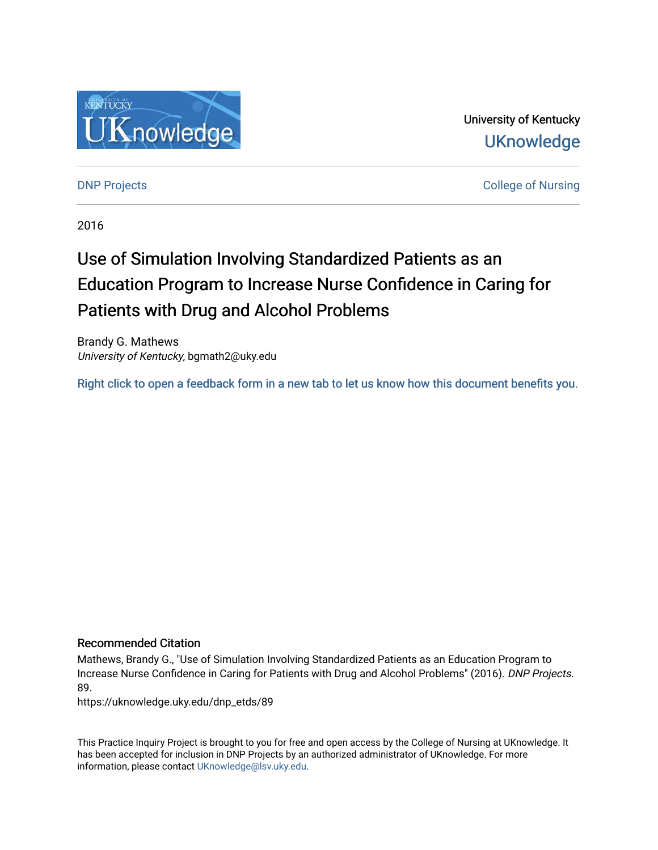

University of Kentucky **UKnowledge** 

**DNP Projects** College of Nursing

2016

# Use of Simulation Involving Standardized Patients as an Education Program to Increase Nurse Confidence in Caring for Patients with Drug and Alcohol Problems

Brandy G. Mathews University of Kentucky, bgmath2@uky.edu

[Right click to open a feedback form in a new tab to let us know how this document benefits you.](https://uky.az1.qualtrics.com/jfe/form/SV_9mq8fx2GnONRfz7)

#### Recommended Citation

Mathews, Brandy G., "Use of Simulation Involving Standardized Patients as an Education Program to Increase Nurse Confidence in Caring for Patients with Drug and Alcohol Problems" (2016). DNP Projects. 89.

https://uknowledge.uky.edu/dnp\_etds/89

This Practice Inquiry Project is brought to you for free and open access by the College of Nursing at UKnowledge. It has been accepted for inclusion in DNP Projects by an authorized administrator of UKnowledge. For more information, please contact [UKnowledge@lsv.uky.edu](mailto:UKnowledge@lsv.uky.edu).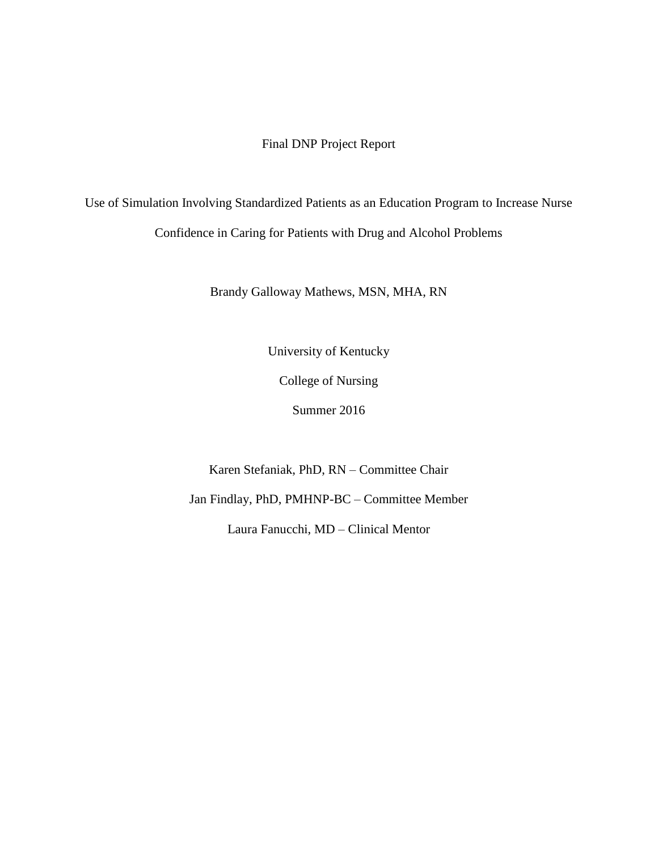### Final DNP Project Report

Use of Simulation Involving Standardized Patients as an Education Program to Increase Nurse Confidence in Caring for Patients with Drug and Alcohol Problems

Brandy Galloway Mathews, MSN, MHA, RN

University of Kentucky

College of Nursing

Summer 2016

Karen Stefaniak, PhD, RN – Committee Chair

Jan Findlay, PhD, PMHNP-BC – Committee Member

Laura Fanucchi, MD – Clinical Mentor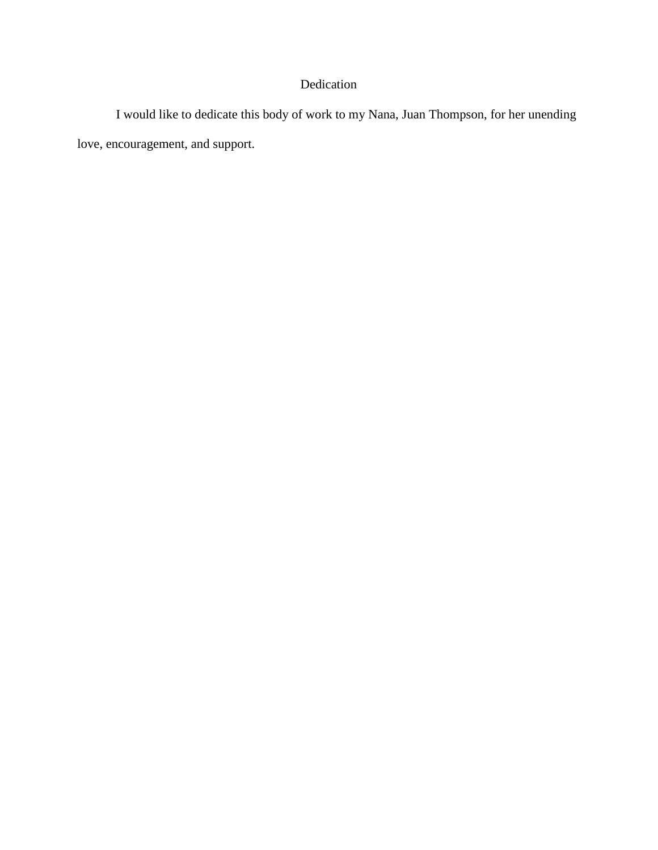## Dedication

I would like to dedicate this body of work to my Nana, Juan Thompson, for her unending love, encouragement, and support.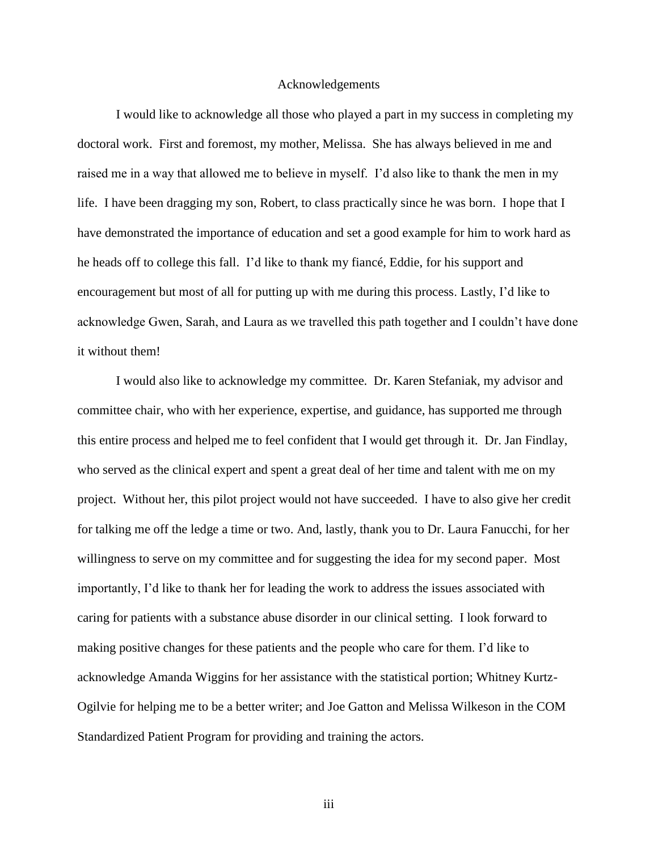#### Acknowledgements

<span id="page-3-0"></span>I would like to acknowledge all those who played a part in my success in completing my doctoral work. First and foremost, my mother, Melissa. She has always believed in me and raised me in a way that allowed me to believe in myself. I'd also like to thank the men in my life. I have been dragging my son, Robert, to class practically since he was born. I hope that I have demonstrated the importance of education and set a good example for him to work hard as he heads off to college this fall. I'd like to thank my fiancé, Eddie, for his support and encouragement but most of all for putting up with me during this process. Lastly, I'd like to acknowledge Gwen, Sarah, and Laura as we travelled this path together and I couldn't have done it without them!

I would also like to acknowledge my committee. Dr. Karen Stefaniak, my advisor and committee chair, who with her experience, expertise, and guidance, has supported me through this entire process and helped me to feel confident that I would get through it. Dr. Jan Findlay, who served as the clinical expert and spent a great deal of her time and talent with me on my project. Without her, this pilot project would not have succeeded. I have to also give her credit for talking me off the ledge a time or two. And, lastly, thank you to Dr. Laura Fanucchi, for her willingness to serve on my committee and for suggesting the idea for my second paper. Most importantly, I'd like to thank her for leading the work to address the issues associated with caring for patients with a substance abuse disorder in our clinical setting. I look forward to making positive changes for these patients and the people who care for them. I'd like to acknowledge Amanda Wiggins for her assistance with the statistical portion; Whitney Kurtz-Ogilvie for helping me to be a better writer; and Joe Gatton and Melissa Wilkeson in the COM Standardized Patient Program for providing and training the actors.

iii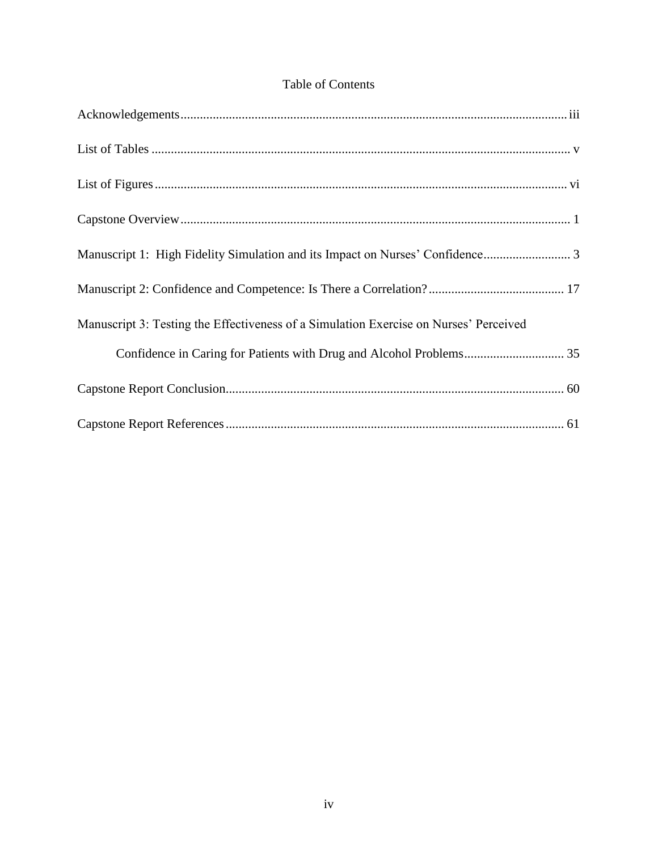## Table of Contents

| Manuscript 3: Testing the Effectiveness of a Simulation Exercise on Nurses' Perceived |
|---------------------------------------------------------------------------------------|
|                                                                                       |
|                                                                                       |
|                                                                                       |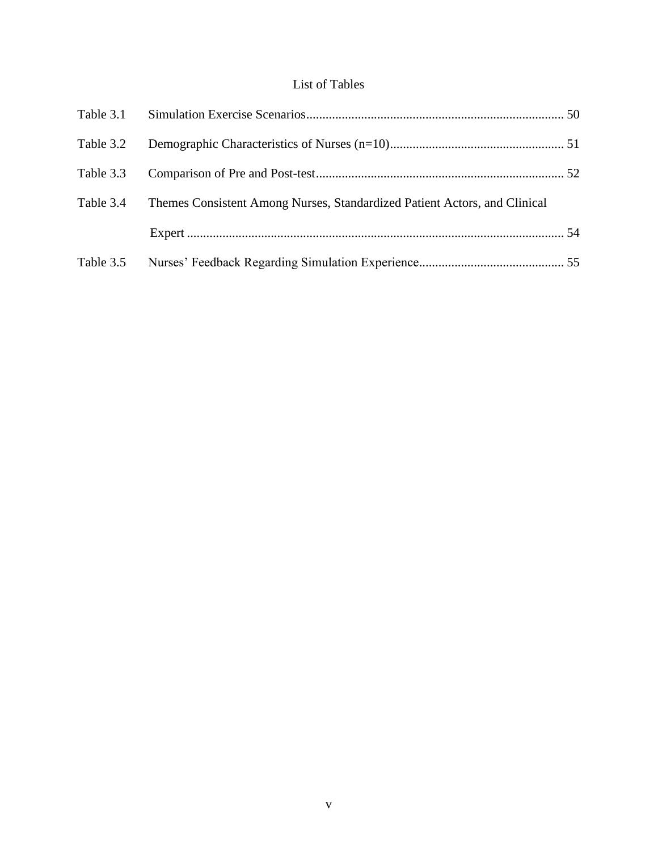## List of Tables

<span id="page-5-0"></span>

| Table 3.2 |                                                                           |  |
|-----------|---------------------------------------------------------------------------|--|
| Table 3.3 |                                                                           |  |
| Table 3.4 | Themes Consistent Among Nurses, Standardized Patient Actors, and Clinical |  |
|           |                                                                           |  |
| Table 3.5 |                                                                           |  |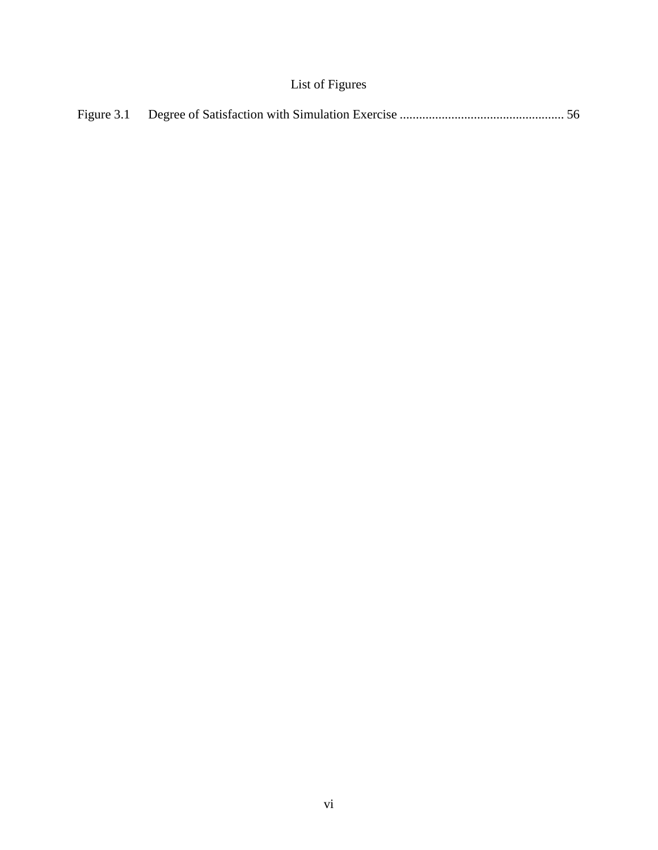## List of Figures

<span id="page-6-0"></span>

|--|--|--|--|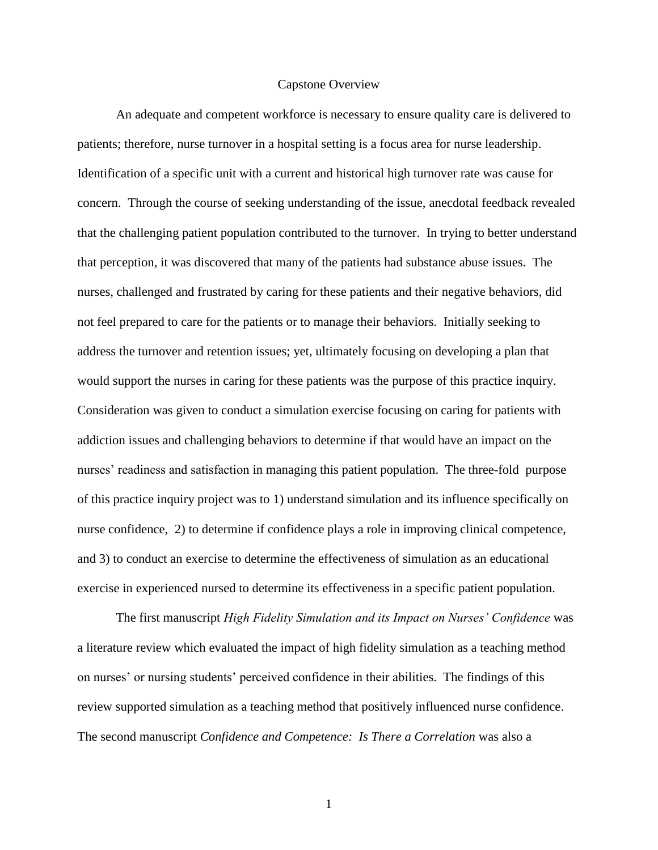#### Capstone Overview

<span id="page-7-0"></span>An adequate and competent workforce is necessary to ensure quality care is delivered to patients; therefore, nurse turnover in a hospital setting is a focus area for nurse leadership. Identification of a specific unit with a current and historical high turnover rate was cause for concern. Through the course of seeking understanding of the issue, anecdotal feedback revealed that the challenging patient population contributed to the turnover. In trying to better understand that perception, it was discovered that many of the patients had substance abuse issues. The nurses, challenged and frustrated by caring for these patients and their negative behaviors, did not feel prepared to care for the patients or to manage their behaviors. Initially seeking to address the turnover and retention issues; yet, ultimately focusing on developing a plan that would support the nurses in caring for these patients was the purpose of this practice inquiry. Consideration was given to conduct a simulation exercise focusing on caring for patients with addiction issues and challenging behaviors to determine if that would have an impact on the nurses' readiness and satisfaction in managing this patient population. The three-fold purpose of this practice inquiry project was to 1) understand simulation and its influence specifically on nurse confidence, 2) to determine if confidence plays a role in improving clinical competence, and 3) to conduct an exercise to determine the effectiveness of simulation as an educational exercise in experienced nursed to determine its effectiveness in a specific patient population.

The first manuscript *High Fidelity Simulation and its Impact on Nurses' Confidence* was a literature review which evaluated the impact of high fidelity simulation as a teaching method on nurses' or nursing students' perceived confidence in their abilities. The findings of this review supported simulation as a teaching method that positively influenced nurse confidence. The second manuscript *Confidence and Competence: Is There a Correlation* was also a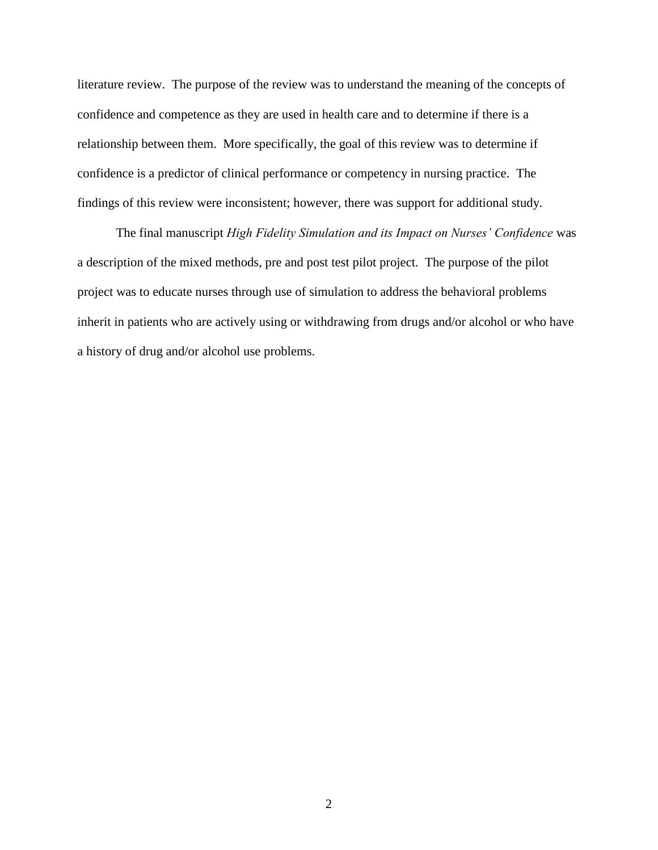literature review. The purpose of the review was to understand the meaning of the concepts of confidence and competence as they are used in health care and to determine if there is a relationship between them. More specifically, the goal of this review was to determine if confidence is a predictor of clinical performance or competency in nursing practice. The findings of this review were inconsistent; however, there was support for additional study.

The final manuscript *High Fidelity Simulation and its Impact on Nurses' Confidence* was a description of the mixed methods, pre and post test pilot project. The purpose of the pilot project was to educate nurses through use of simulation to address the behavioral problems inherit in patients who are actively using or withdrawing from drugs and/or alcohol or who have a history of drug and/or alcohol use problems.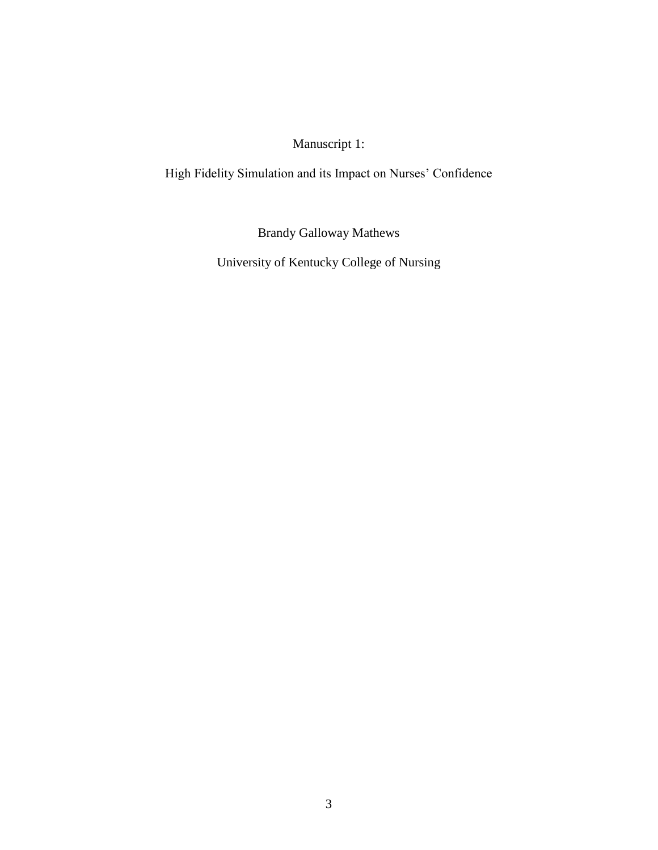Manuscript 1:

<span id="page-9-0"></span>High Fidelity Simulation and its Impact on Nurses' Confidence

Brandy Galloway Mathews

University of Kentucky College of Nursing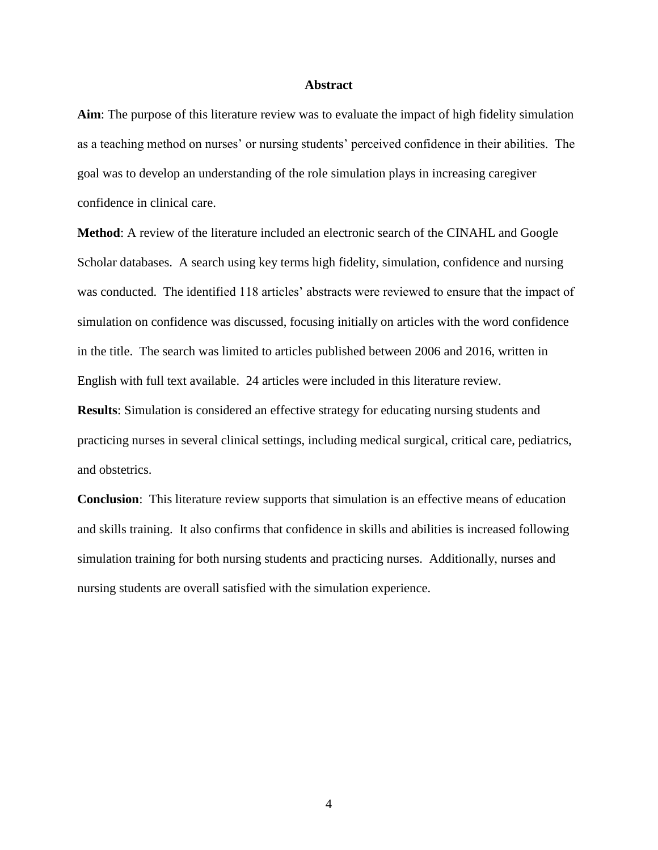#### **Abstract**

**Aim**: The purpose of this literature review was to evaluate the impact of high fidelity simulation as a teaching method on nurses' or nursing students' perceived confidence in their abilities. The goal was to develop an understanding of the role simulation plays in increasing caregiver confidence in clinical care.

**Method**: A review of the literature included an electronic search of the CINAHL and Google Scholar databases. A search using key terms high fidelity, simulation, confidence and nursing was conducted. The identified 118 articles' abstracts were reviewed to ensure that the impact of simulation on confidence was discussed, focusing initially on articles with the word confidence in the title. The search was limited to articles published between 2006 and 2016, written in English with full text available. 24 articles were included in this literature review.

**Results**: Simulation is considered an effective strategy for educating nursing students and practicing nurses in several clinical settings, including medical surgical, critical care, pediatrics, and obstetrics.

**Conclusion**: This literature review supports that simulation is an effective means of education and skills training. It also confirms that confidence in skills and abilities is increased following simulation training for both nursing students and practicing nurses. Additionally, nurses and nursing students are overall satisfied with the simulation experience.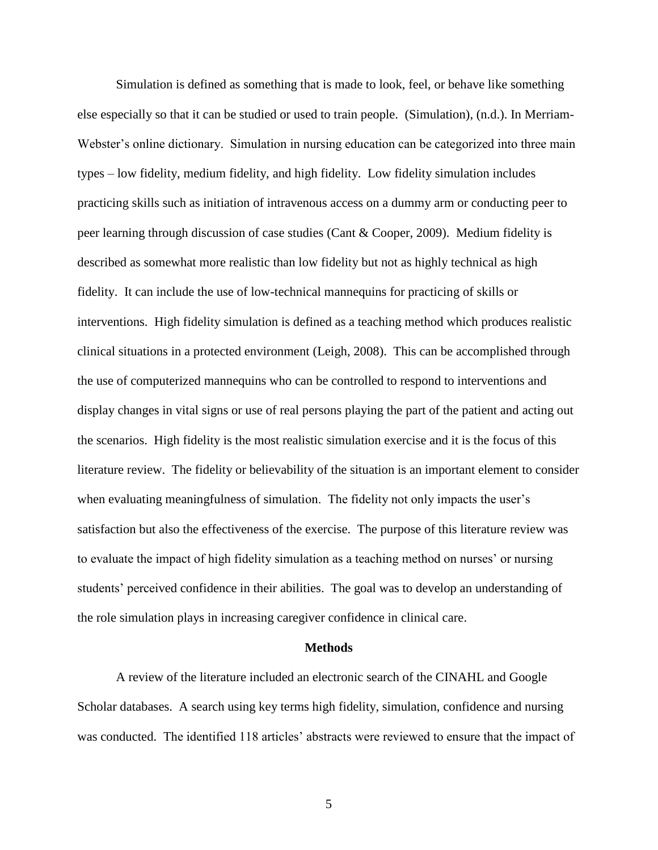Simulation is defined as something that is made to look, feel, or behave like something else especially so that it can be studied or used to train people. (Simulation), (n.d.). In Merriam-Webster's online dictionary. Simulation in nursing education can be categorized into three main types – low fidelity, medium fidelity, and high fidelity. Low fidelity simulation includes practicing skills such as initiation of intravenous access on a dummy arm or conducting peer to peer learning through discussion of case studies (Cant & Cooper, 2009). Medium fidelity is described as somewhat more realistic than low fidelity but not as highly technical as high fidelity. It can include the use of low-technical mannequins for practicing of skills or interventions. High fidelity simulation is defined as a teaching method which produces realistic clinical situations in a protected environment (Leigh, 2008). This can be accomplished through the use of computerized mannequins who can be controlled to respond to interventions and display changes in vital signs or use of real persons playing the part of the patient and acting out the scenarios. High fidelity is the most realistic simulation exercise and it is the focus of this literature review. The fidelity or believability of the situation is an important element to consider when evaluating meaningfulness of simulation. The fidelity not only impacts the user's satisfaction but also the effectiveness of the exercise. The purpose of this literature review was to evaluate the impact of high fidelity simulation as a teaching method on nurses' or nursing students' perceived confidence in their abilities. The goal was to develop an understanding of the role simulation plays in increasing caregiver confidence in clinical care.

#### **Methods**

A review of the literature included an electronic search of the CINAHL and Google Scholar databases. A search using key terms high fidelity, simulation, confidence and nursing was conducted. The identified 118 articles' abstracts were reviewed to ensure that the impact of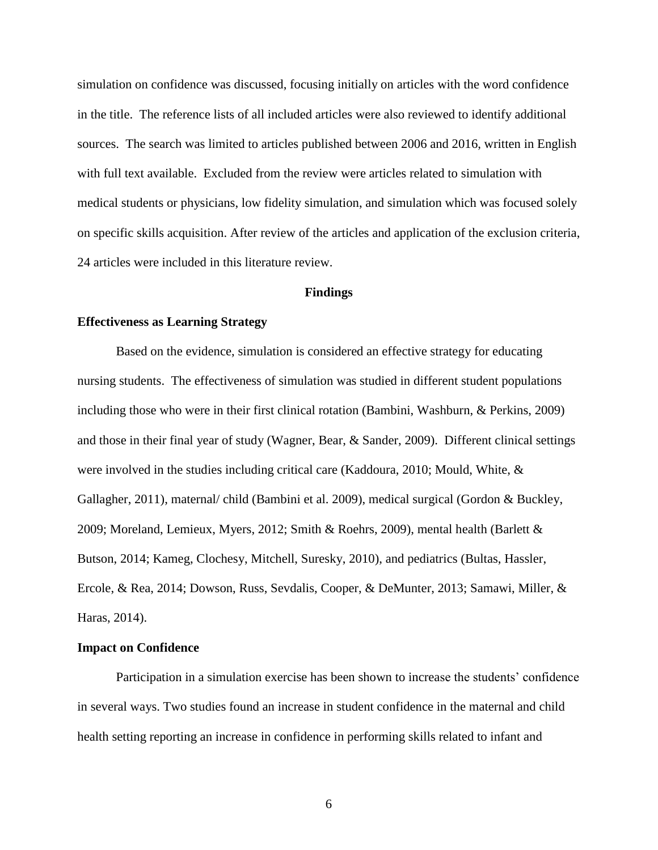simulation on confidence was discussed, focusing initially on articles with the word confidence in the title. The reference lists of all included articles were also reviewed to identify additional sources. The search was limited to articles published between 2006 and 2016, written in English with full text available. Excluded from the review were articles related to simulation with medical students or physicians, low fidelity simulation, and simulation which was focused solely on specific skills acquisition. After review of the articles and application of the exclusion criteria, 24 articles were included in this literature review.

#### **Findings**

#### **Effectiveness as Learning Strategy**

Based on the evidence, simulation is considered an effective strategy for educating nursing students. The effectiveness of simulation was studied in different student populations including those who were in their first clinical rotation (Bambini, Washburn, & Perkins, 2009) and those in their final year of study (Wagner, Bear, & Sander, 2009). Different clinical settings were involved in the studies including critical care (Kaddoura, 2010; Mould, White, & Gallagher, 2011), maternal/ child (Bambini et al. 2009), medical surgical (Gordon & Buckley, 2009; Moreland, Lemieux, Myers, 2012; Smith & Roehrs, 2009), mental health (Barlett & Butson, 2014; Kameg, Clochesy, Mitchell, Suresky, 2010), and pediatrics (Bultas, Hassler, Ercole, & Rea, 2014; Dowson, Russ, Sevdalis, Cooper, & DeMunter, 2013; Samawi, Miller, & Haras, 2014).

#### **Impact on Confidence**

Participation in a simulation exercise has been shown to increase the students' confidence in several ways. Two studies found an increase in student confidence in the maternal and child health setting reporting an increase in confidence in performing skills related to infant and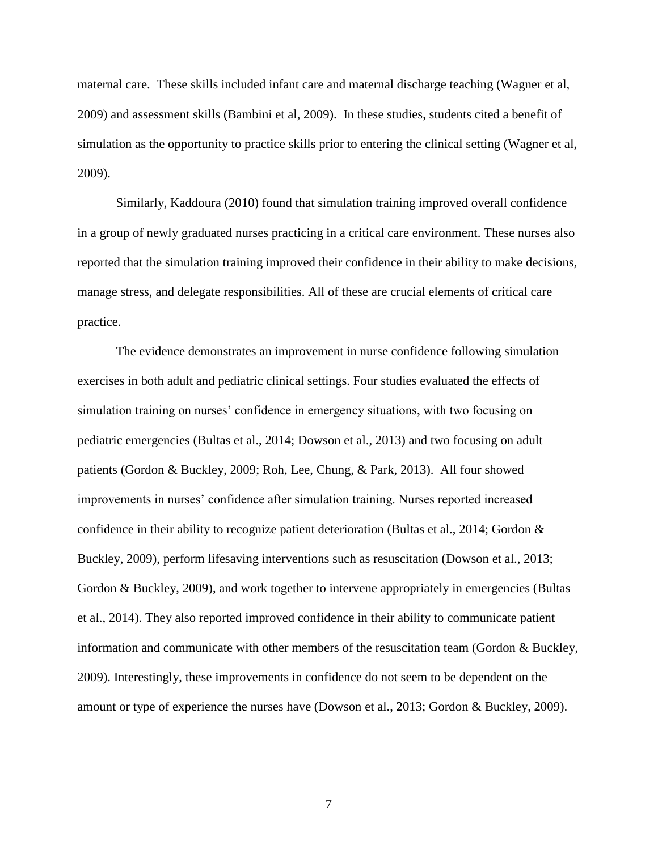maternal care. These skills included infant care and maternal discharge teaching (Wagner et al, 2009) and assessment skills (Bambini et al, 2009). In these studies, students cited a benefit of simulation as the opportunity to practice skills prior to entering the clinical setting (Wagner et al, 2009).

Similarly, Kaddoura (2010) found that simulation training improved overall confidence in a group of newly graduated nurses practicing in a critical care environment. These nurses also reported that the simulation training improved their confidence in their ability to make decisions, manage stress, and delegate responsibilities. All of these are crucial elements of critical care practice.

The evidence demonstrates an improvement in nurse confidence following simulation exercises in both adult and pediatric clinical settings. Four studies evaluated the effects of simulation training on nurses' confidence in emergency situations, with two focusing on pediatric emergencies (Bultas et al., 2014; Dowson et al., 2013) and two focusing on adult patients (Gordon & Buckley, 2009; Roh, Lee, Chung, & Park, 2013). All four showed improvements in nurses' confidence after simulation training. Nurses reported increased confidence in their ability to recognize patient deterioration (Bultas et al., 2014; Gordon & Buckley, 2009), perform lifesaving interventions such as resuscitation (Dowson et al., 2013; Gordon & Buckley, 2009), and work together to intervene appropriately in emergencies (Bultas et al., 2014). They also reported improved confidence in their ability to communicate patient information and communicate with other members of the resuscitation team (Gordon & Buckley, 2009). Interestingly, these improvements in confidence do not seem to be dependent on the amount or type of experience the nurses have (Dowson et al., 2013; Gordon & Buckley, 2009).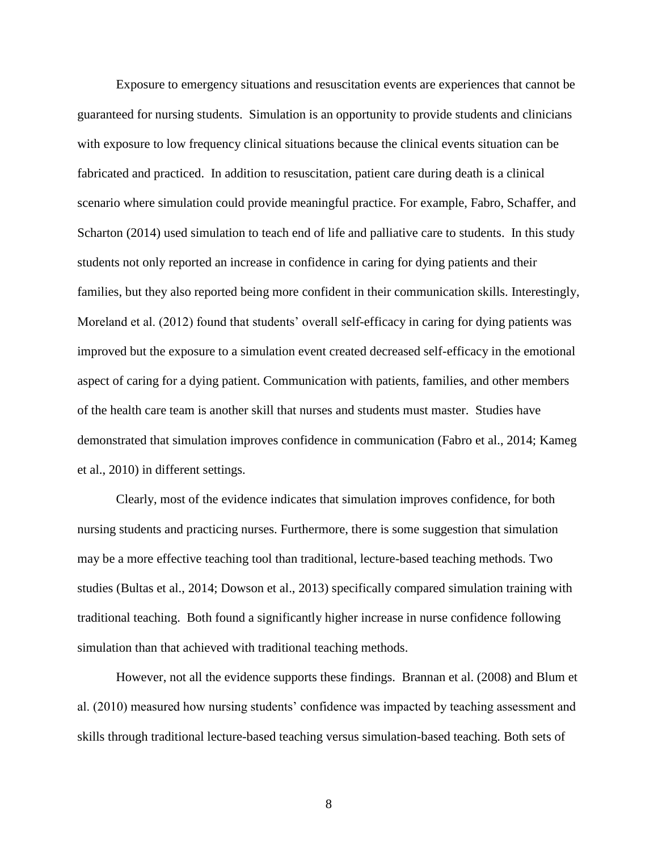Exposure to emergency situations and resuscitation events are experiences that cannot be guaranteed for nursing students. Simulation is an opportunity to provide students and clinicians with exposure to low frequency clinical situations because the clinical events situation can be fabricated and practiced. In addition to resuscitation, patient care during death is a clinical scenario where simulation could provide meaningful practice. For example, Fabro, Schaffer, and Scharton (2014) used simulation to teach end of life and palliative care to students. In this study students not only reported an increase in confidence in caring for dying patients and their families, but they also reported being more confident in their communication skills. Interestingly, Moreland et al. (2012) found that students' overall self-efficacy in caring for dying patients was improved but the exposure to a simulation event created decreased self-efficacy in the emotional aspect of caring for a dying patient. Communication with patients, families, and other members of the health care team is another skill that nurses and students must master. Studies have demonstrated that simulation improves confidence in communication (Fabro et al., 2014; Kameg et al., 2010) in different settings.

Clearly, most of the evidence indicates that simulation improves confidence, for both nursing students and practicing nurses. Furthermore, there is some suggestion that simulation may be a more effective teaching tool than traditional, lecture-based teaching methods. Two studies (Bultas et al., 2014; Dowson et al., 2013) specifically compared simulation training with traditional teaching. Both found a significantly higher increase in nurse confidence following simulation than that achieved with traditional teaching methods.

However, not all the evidence supports these findings. Brannan et al. (2008) and Blum et al. (2010) measured how nursing students' confidence was impacted by teaching assessment and skills through traditional lecture-based teaching versus simulation-based teaching. Both sets of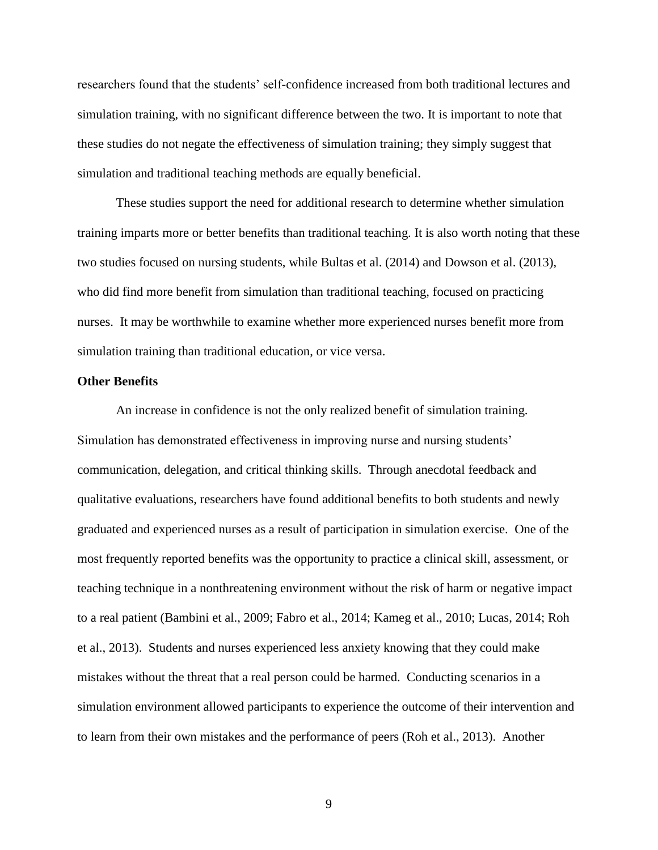researchers found that the students' self-confidence increased from both traditional lectures and simulation training, with no significant difference between the two. It is important to note that these studies do not negate the effectiveness of simulation training; they simply suggest that simulation and traditional teaching methods are equally beneficial.

These studies support the need for additional research to determine whether simulation training imparts more or better benefits than traditional teaching. It is also worth noting that these two studies focused on nursing students, while Bultas et al. (2014) and Dowson et al. (2013), who did find more benefit from simulation than traditional teaching, focused on practicing nurses. It may be worthwhile to examine whether more experienced nurses benefit more from simulation training than traditional education, or vice versa.

#### **Other Benefits**

An increase in confidence is not the only realized benefit of simulation training. Simulation has demonstrated effectiveness in improving nurse and nursing students' communication, delegation, and critical thinking skills. Through anecdotal feedback and qualitative evaluations, researchers have found additional benefits to both students and newly graduated and experienced nurses as a result of participation in simulation exercise. One of the most frequently reported benefits was the opportunity to practice a clinical skill, assessment, or teaching technique in a nonthreatening environment without the risk of harm or negative impact to a real patient (Bambini et al., 2009; Fabro et al., 2014; Kameg et al., 2010; Lucas, 2014; Roh et al., 2013). Students and nurses experienced less anxiety knowing that they could make mistakes without the threat that a real person could be harmed. Conducting scenarios in a simulation environment allowed participants to experience the outcome of their intervention and to learn from their own mistakes and the performance of peers (Roh et al., 2013). Another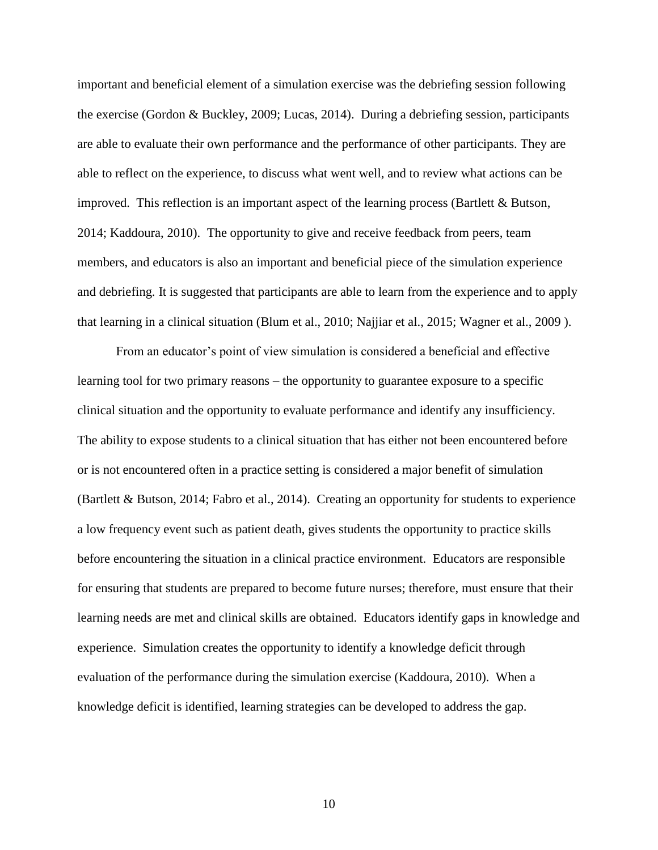important and beneficial element of a simulation exercise was the debriefing session following the exercise (Gordon & Buckley, 2009; Lucas, 2014). During a debriefing session, participants are able to evaluate their own performance and the performance of other participants. They are able to reflect on the experience, to discuss what went well, and to review what actions can be improved. This reflection is an important aspect of the learning process (Bartlett  $\&$  Butson, 2014; Kaddoura, 2010). The opportunity to give and receive feedback from peers, team members, and educators is also an important and beneficial piece of the simulation experience and debriefing. It is suggested that participants are able to learn from the experience and to apply that learning in a clinical situation (Blum et al., 2010; Najjiar et al., 2015; Wagner et al., 2009 ).

From an educator's point of view simulation is considered a beneficial and effective learning tool for two primary reasons – the opportunity to guarantee exposure to a specific clinical situation and the opportunity to evaluate performance and identify any insufficiency. The ability to expose students to a clinical situation that has either not been encountered before or is not encountered often in a practice setting is considered a major benefit of simulation (Bartlett & Butson, 2014; Fabro et al., 2014). Creating an opportunity for students to experience a low frequency event such as patient death, gives students the opportunity to practice skills before encountering the situation in a clinical practice environment. Educators are responsible for ensuring that students are prepared to become future nurses; therefore, must ensure that their learning needs are met and clinical skills are obtained. Educators identify gaps in knowledge and experience. Simulation creates the opportunity to identify a knowledge deficit through evaluation of the performance during the simulation exercise (Kaddoura, 2010). When a knowledge deficit is identified, learning strategies can be developed to address the gap.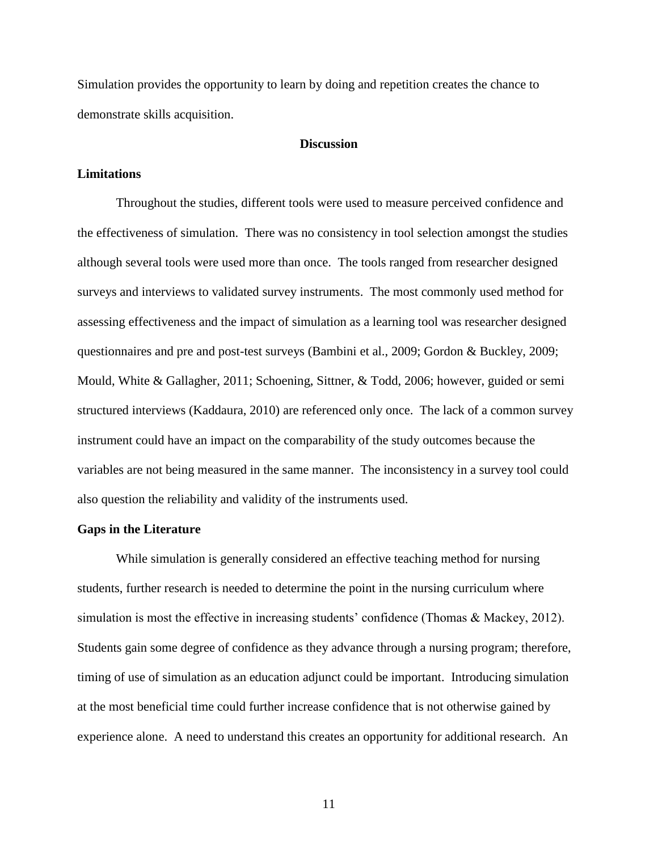Simulation provides the opportunity to learn by doing and repetition creates the chance to demonstrate skills acquisition.

#### **Discussion**

#### **Limitations**

Throughout the studies, different tools were used to measure perceived confidence and the effectiveness of simulation. There was no consistency in tool selection amongst the studies although several tools were used more than once. The tools ranged from researcher designed surveys and interviews to validated survey instruments. The most commonly used method for assessing effectiveness and the impact of simulation as a learning tool was researcher designed questionnaires and pre and post-test surveys (Bambini et al., 2009; Gordon & Buckley, 2009; Mould, White & Gallagher, 2011; Schoening, Sittner, & Todd, 2006; however, guided or semi structured interviews (Kaddaura, 2010) are referenced only once. The lack of a common survey instrument could have an impact on the comparability of the study outcomes because the variables are not being measured in the same manner. The inconsistency in a survey tool could also question the reliability and validity of the instruments used.

#### **Gaps in the Literature**

While simulation is generally considered an effective teaching method for nursing students, further research is needed to determine the point in the nursing curriculum where simulation is most the effective in increasing students' confidence (Thomas & Mackey, 2012). Students gain some degree of confidence as they advance through a nursing program; therefore, timing of use of simulation as an education adjunct could be important. Introducing simulation at the most beneficial time could further increase confidence that is not otherwise gained by experience alone. A need to understand this creates an opportunity for additional research. An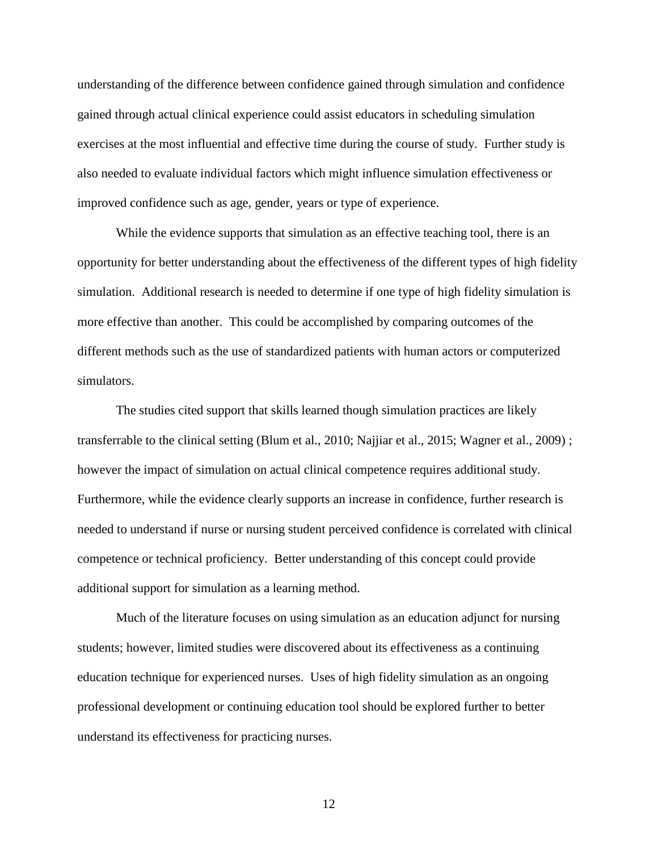understanding of the difference between confidence gained through simulation and confidence gained through actual clinical experience could assist educators in scheduling simulation exercises at the most influential and effective time during the course of study. Further study is also needed to evaluate individual factors which might influence simulation effectiveness or improved confidence such as age, gender, years or type of experience.

While the evidence supports that simulation as an effective teaching tool, there is an opportunity for better understanding about the effectiveness of the different types of high fidelity simulation. Additional research is needed to determine if one type of high fidelity simulation is more effective than another. This could be accomplished by comparing outcomes of the different methods such as the use of standardized patients with human actors or computerized simulators.

The studies cited support that skills learned though simulation practices are likely transferrable to the clinical setting (Blum et al., 2010; Najjiar et al., 2015; Wagner et al., 2009) ; however the impact of simulation on actual clinical competence requires additional study. Furthermore, while the evidence clearly supports an increase in confidence, further research is needed to understand if nurse or nursing student perceived confidence is correlated with clinical competence or technical proficiency. Better understanding of this concept could provide additional support for simulation as a learning method.

Much of the literature focuses on using simulation as an education adjunct for nursing students; however, limited studies were discovered about its effectiveness as a continuing education technique for experienced nurses. Uses of high fidelity simulation as an ongoing professional development or continuing education tool should be explored further to better understand its effectiveness for practicing nurses.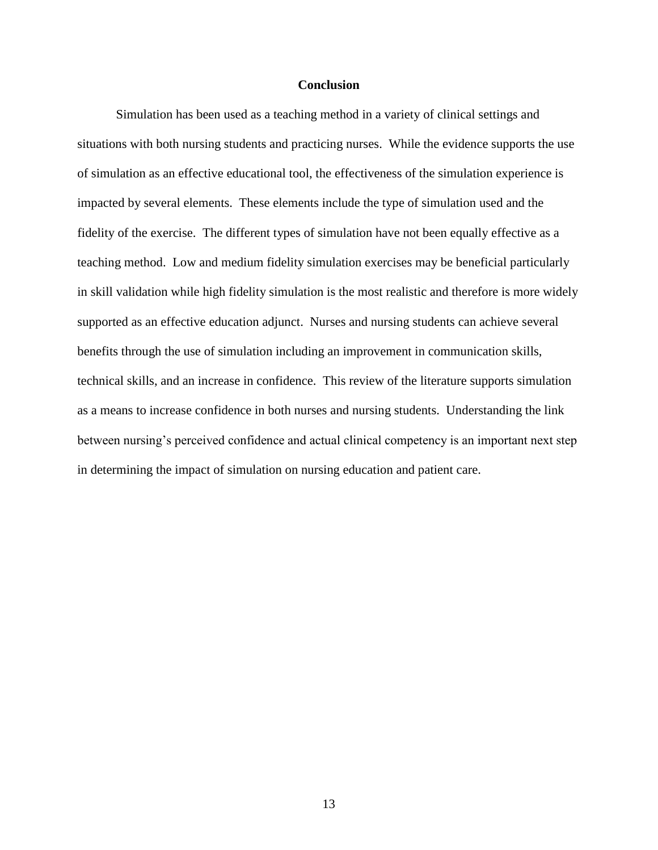#### **Conclusion**

Simulation has been used as a teaching method in a variety of clinical settings and situations with both nursing students and practicing nurses. While the evidence supports the use of simulation as an effective educational tool, the effectiveness of the simulation experience is impacted by several elements. These elements include the type of simulation used and the fidelity of the exercise. The different types of simulation have not been equally effective as a teaching method. Low and medium fidelity simulation exercises may be beneficial particularly in skill validation while high fidelity simulation is the most realistic and therefore is more widely supported as an effective education adjunct. Nurses and nursing students can achieve several benefits through the use of simulation including an improvement in communication skills, technical skills, and an increase in confidence. This review of the literature supports simulation as a means to increase confidence in both nurses and nursing students. Understanding the link between nursing's perceived confidence and actual clinical competency is an important next step in determining the impact of simulation on nursing education and patient care.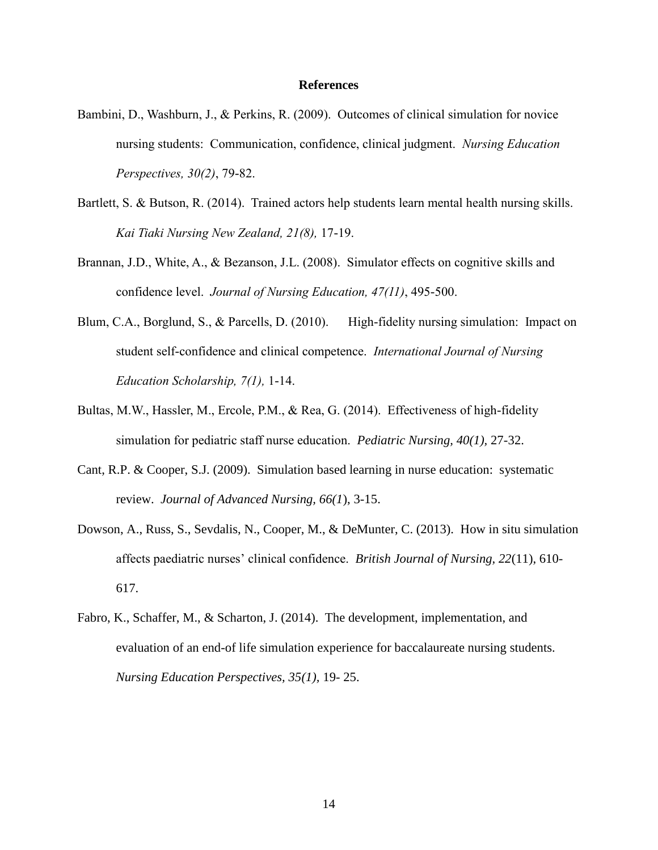#### **References**

- Bambini, D., Washburn, J., & Perkins, R. (2009). Outcomes of clinical simulation for novice nursing students: Communication, confidence, clinical judgment. *Nursing Education Perspectives, 30(2)*, 79-82.
- Bartlett, S. & Butson, R. (2014). Trained actors help students learn mental health nursing skills. *Kai Tiaki Nursing New Zealand, 21(8),* 17-19.
- Brannan, J.D., White, A., & Bezanson, J.L. (2008). Simulator effects on cognitive skills and confidence level. *Journal of Nursing Education, 47(11)*, 495-500.
- Blum, C.A., Borglund, S., & Parcells, D. (2010). High-fidelity nursing simulation: Impact on student self-confidence and clinical competence. *International Journal of Nursing Education Scholarship, 7(1),* 1-14.
- Bultas, M.W., Hassler, M., Ercole, P.M., & Rea, G. (2014). Effectiveness of high-fidelity simulation for pediatric staff nurse education. *Pediatric Nursing, 40(1),* 27-32.
- Cant, R.P. & Cooper, S.J. (2009). Simulation based learning in nurse education: systematic review. *Journal of Advanced Nursing, 66(1*), 3-15.
- Dowson, A., Russ, S., Sevdalis, N., Cooper, M., & DeMunter, C. (2013). How in situ simulation affects paediatric nurses' clinical confidence. *British Journal of Nursing, 22*(11), 610- 617.
- Fabro, K., Schaffer, M., & Scharton, J. (2014). The development, implementation, and evaluation of an end-of life simulation experience for baccalaureate nursing students. *Nursing Education Perspectives, 35(1),* 19- 25.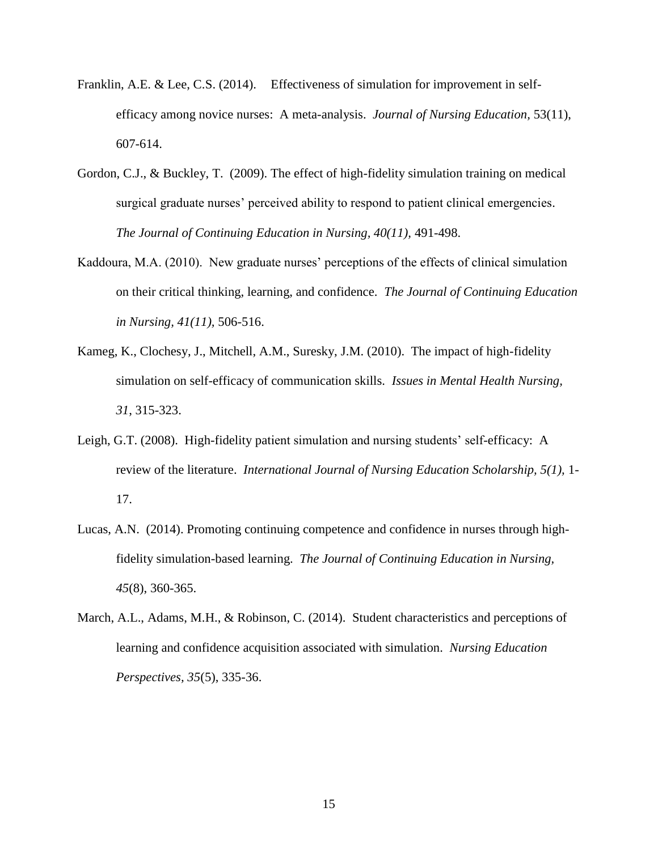- Franklin, A.E. & Lee, C.S. (2014). Effectiveness of simulation for improvement in selfefficacy among novice nurses: A meta-analysis. *Journal of Nursing Education,* 53(11), 607-614.
- Gordon, C.J., & Buckley, T. (2009). The effect of high-fidelity simulation training on medical surgical graduate nurses' perceived ability to respond to patient clinical emergencies. *The Journal of Continuing Education in Nursing, 40(11),* 491-498.
- Kaddoura, M.A. (2010). New graduate nurses' perceptions of the effects of clinical simulation on their critical thinking, learning, and confidence. *The Journal of Continuing Education in Nursing, 41(11),* 506-516.
- Kameg, K., Clochesy, J., Mitchell, A.M., Suresky, J.M. (2010). The impact of high-fidelity simulation on self-efficacy of communication skills. *Issues in Mental Health Nursing, 31*, 315-323.
- Leigh, G.T. (2008). High-fidelity patient simulation and nursing students' self-efficacy: A review of the literature. *International Journal of Nursing Education Scholarship, 5(1),* 1- 17.
- Lucas, A.N. (2014). Promoting continuing competence and confidence in nurses through highfidelity simulation-based learning. *The Journal of Continuing Education in Nursing, 45*(8), 360-365.
- March, A.L., Adams, M.H., & Robinson, C. (2014). Student characteristics and perceptions of learning and confidence acquisition associated with simulation. *Nursing Education Perspectives, 35*(5), 335-36.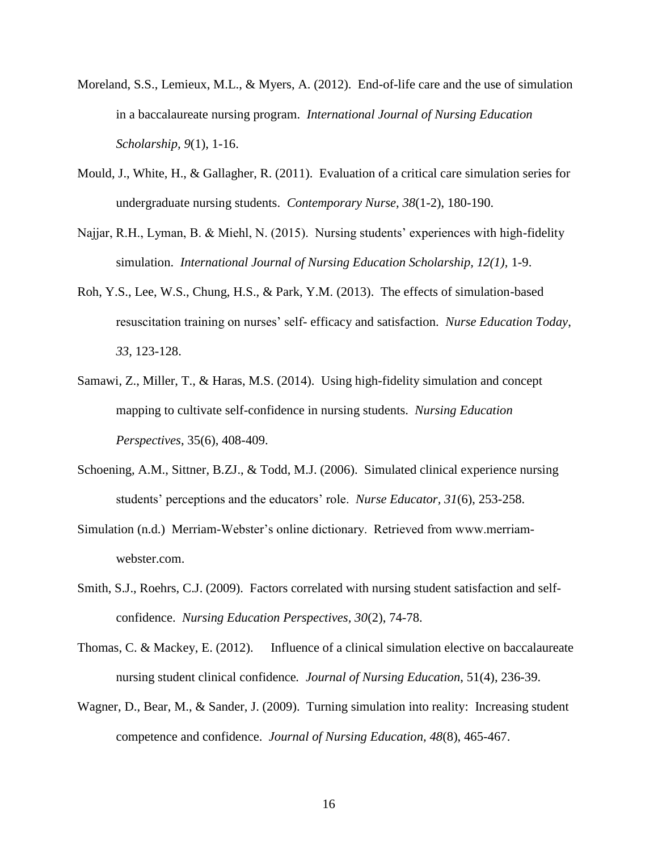- Moreland, S.S., Lemieux, M.L., & Myers, A. (2012). End-of-life care and the use of simulation in a baccalaureate nursing program. *International Journal of Nursing Education Scholarship, 9*(1), 1-16.
- Mould, J., White, H., & Gallagher, R. (2011). Evaluation of a critical care simulation series for undergraduate nursing students. *Contemporary Nurse, 38*(1-2), 180-190.
- Najjar, R.H., Lyman, B. & Miehl, N. (2015). Nursing students' experiences with high-fidelity simulation. *International Journal of Nursing Education Scholarship, 12(1),* 1-9.
- Roh, Y.S., Lee, W.S., Chung, H.S., & Park, Y.M. (2013). The effects of simulation-based resuscitation training on nurses' self- efficacy and satisfaction. *Nurse Education Today*, *33*, 123-128.
- Samawi, Z., Miller, T., & Haras, M.S. (2014). Using high-fidelity simulation and concept mapping to cultivate self-confidence in nursing students. *Nursing Education Perspectives*, 35(6), 408-409.
- Schoening, A.M., Sittner, B.ZJ., & Todd, M.J. (2006). Simulated clinical experience nursing students' perceptions and the educators' role. *Nurse Educator, 31*(6), 253-258.
- Simulation (n.d.) Merriam-Webster's online dictionary. Retrieved from www.merriamwebster.com.
- Smith, S.J., Roehrs, C.J. (2009). Factors correlated with nursing student satisfaction and selfconfidence. *Nursing Education Perspectives, 30*(2), 74-78.
- Thomas, C. & Mackey, E. (2012). Influence of a clinical simulation elective on baccalaureate nursing student clinical confidence*. Journal of Nursing Education*, 51(4), 236-39.
- Wagner, D., Bear, M., & Sander, J. (2009). Turning simulation into reality: Increasing student competence and confidence. *Journal of Nursing Education, 48*(8), 465-467.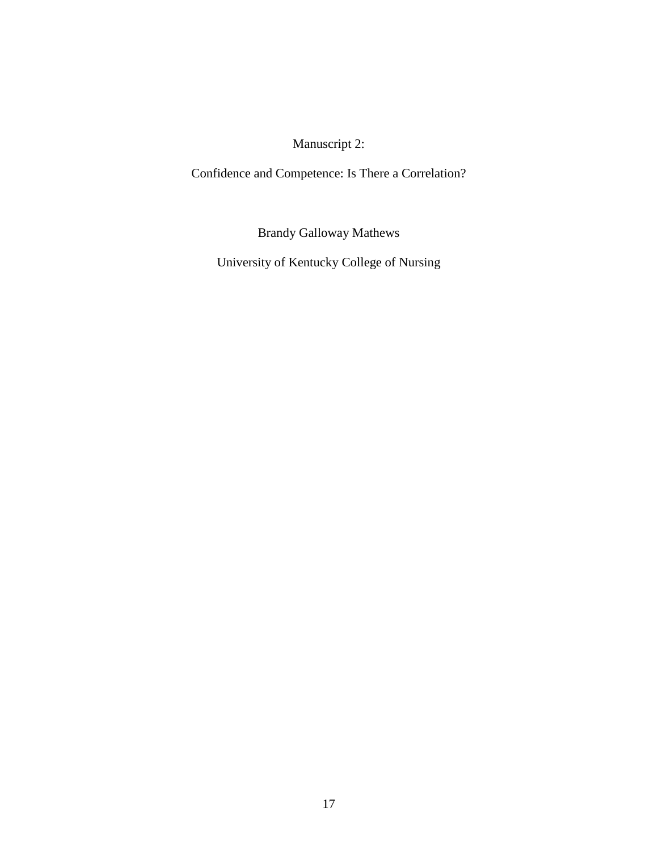Manuscript 2:

<span id="page-23-0"></span>Confidence and Competence: Is There a Correlation?

Brandy Galloway Mathews

University of Kentucky College of Nursing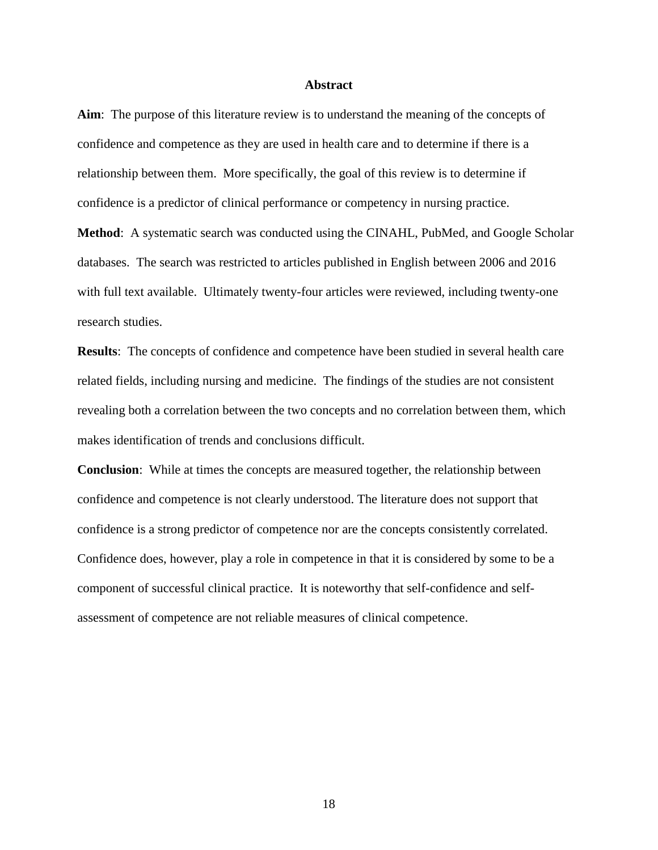#### **Abstract**

**Aim**: The purpose of this literature review is to understand the meaning of the concepts of confidence and competence as they are used in health care and to determine if there is a relationship between them. More specifically, the goal of this review is to determine if confidence is a predictor of clinical performance or competency in nursing practice.

**Method**: A systematic search was conducted using the CINAHL, PubMed, and Google Scholar databases. The search was restricted to articles published in English between 2006 and 2016 with full text available. Ultimately twenty-four articles were reviewed, including twenty-one research studies.

**Results**: The concepts of confidence and competence have been studied in several health care related fields, including nursing and medicine. The findings of the studies are not consistent revealing both a correlation between the two concepts and no correlation between them, which makes identification of trends and conclusions difficult.

**Conclusion**: While at times the concepts are measured together, the relationship between confidence and competence is not clearly understood. The literature does not support that confidence is a strong predictor of competence nor are the concepts consistently correlated. Confidence does, however, play a role in competence in that it is considered by some to be a component of successful clinical practice. It is noteworthy that self-confidence and selfassessment of competence are not reliable measures of clinical competence.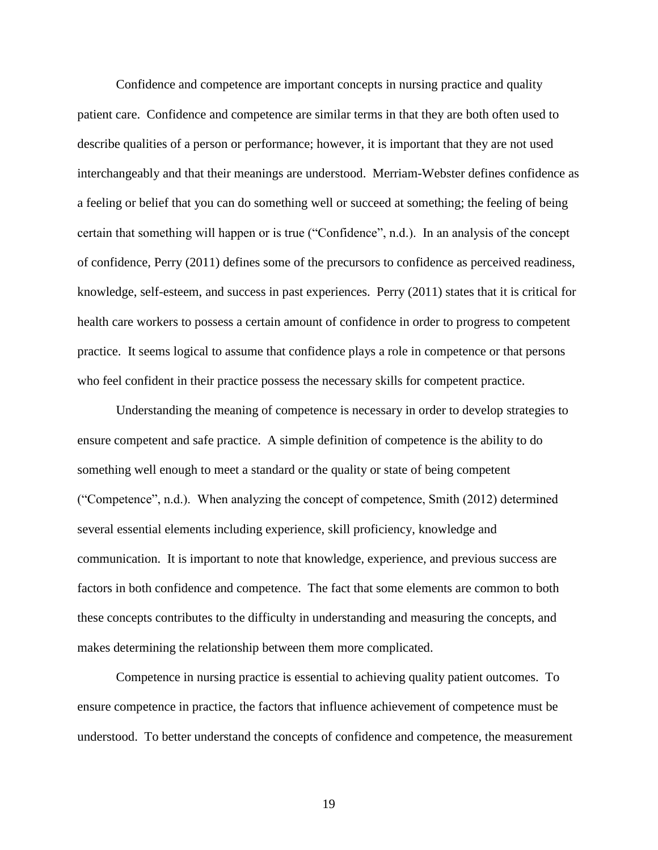Confidence and competence are important concepts in nursing practice and quality patient care. Confidence and competence are similar terms in that they are both often used to describe qualities of a person or performance; however, it is important that they are not used interchangeably and that their meanings are understood. Merriam-Webster defines confidence as a feeling or belief that you can do something well or succeed at something; the feeling of being certain that something will happen or is true ("Confidence", n.d.). In an analysis of the concept of confidence, Perry (2011) defines some of the precursors to confidence as perceived readiness, knowledge, self-esteem, and success in past experiences. Perry (2011) states that it is critical for health care workers to possess a certain amount of confidence in order to progress to competent practice. It seems logical to assume that confidence plays a role in competence or that persons who feel confident in their practice possess the necessary skills for competent practice.

Understanding the meaning of competence is necessary in order to develop strategies to ensure competent and safe practice. A simple definition of competence is the ability to do something well enough to meet a standard or the quality or state of being competent ("Competence", n.d.). When analyzing the concept of competence, Smith (2012) determined several essential elements including experience, skill proficiency, knowledge and communication. It is important to note that knowledge, experience, and previous success are factors in both confidence and competence. The fact that some elements are common to both these concepts contributes to the difficulty in understanding and measuring the concepts, and makes determining the relationship between them more complicated.

Competence in nursing practice is essential to achieving quality patient outcomes. To ensure competence in practice, the factors that influence achievement of competence must be understood. To better understand the concepts of confidence and competence, the measurement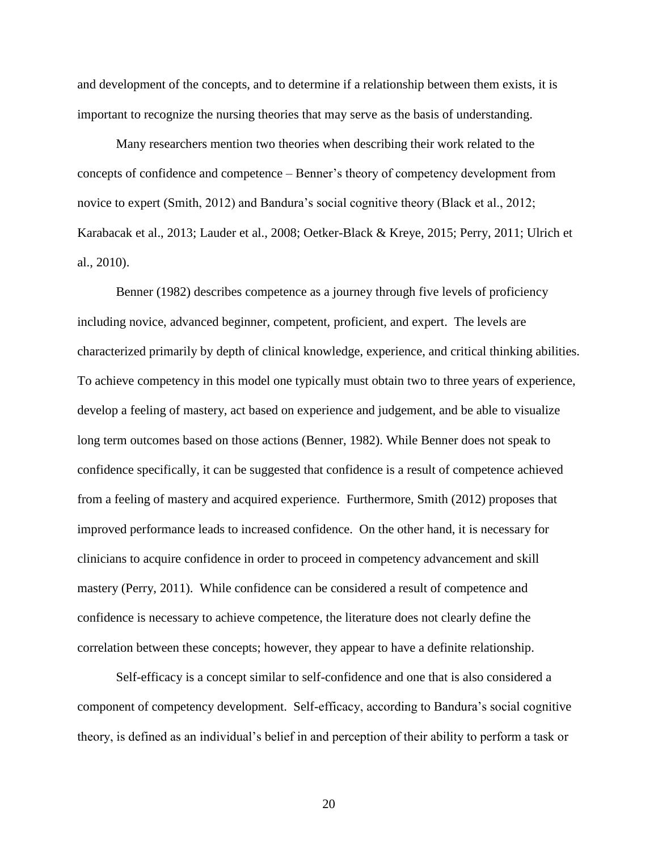and development of the concepts, and to determine if a relationship between them exists, it is important to recognize the nursing theories that may serve as the basis of understanding.

Many researchers mention two theories when describing their work related to the concepts of confidence and competence – Benner's theory of competency development from novice to expert (Smith, 2012) and Bandura's social cognitive theory (Black et al., 2012; Karabacak et al., 2013; Lauder et al., 2008; Oetker-Black & Kreye, 2015; Perry, 2011; Ulrich et al., 2010).

Benner (1982) describes competence as a journey through five levels of proficiency including novice, advanced beginner, competent, proficient, and expert. The levels are characterized primarily by depth of clinical knowledge, experience, and critical thinking abilities. To achieve competency in this model one typically must obtain two to three years of experience, develop a feeling of mastery, act based on experience and judgement, and be able to visualize long term outcomes based on those actions (Benner, 1982). While Benner does not speak to confidence specifically, it can be suggested that confidence is a result of competence achieved from a feeling of mastery and acquired experience. Furthermore, Smith (2012) proposes that improved performance leads to increased confidence. On the other hand, it is necessary for clinicians to acquire confidence in order to proceed in competency advancement and skill mastery (Perry, 2011). While confidence can be considered a result of competence and confidence is necessary to achieve competence, the literature does not clearly define the correlation between these concepts; however, they appear to have a definite relationship.

Self-efficacy is a concept similar to self-confidence and one that is also considered a component of competency development. Self-efficacy, according to Bandura's social cognitive theory, is defined as an individual's belief in and perception of their ability to perform a task or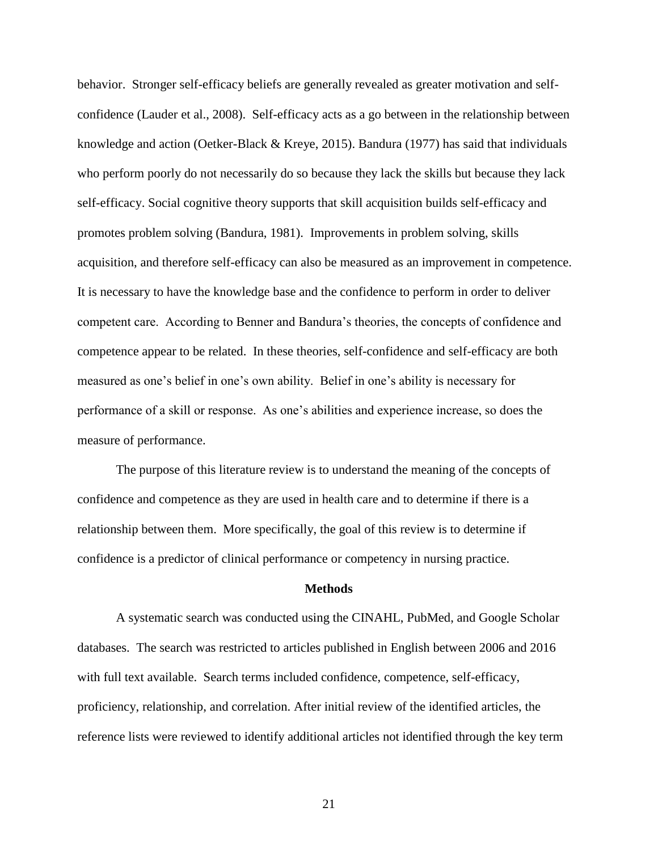behavior. Stronger self-efficacy beliefs are generally revealed as greater motivation and selfconfidence (Lauder et al., 2008). Self-efficacy acts as a go between in the relationship between knowledge and action (Oetker-Black & Kreye, 2015). Bandura (1977) has said that individuals who perform poorly do not necessarily do so because they lack the skills but because they lack self-efficacy. Social cognitive theory supports that skill acquisition builds self-efficacy and promotes problem solving (Bandura, 1981). Improvements in problem solving, skills acquisition, and therefore self-efficacy can also be measured as an improvement in competence. It is necessary to have the knowledge base and the confidence to perform in order to deliver competent care. According to Benner and Bandura's theories, the concepts of confidence and competence appear to be related. In these theories, self-confidence and self-efficacy are both measured as one's belief in one's own ability. Belief in one's ability is necessary for performance of a skill or response. As one's abilities and experience increase, so does the measure of performance.

The purpose of this literature review is to understand the meaning of the concepts of confidence and competence as they are used in health care and to determine if there is a relationship between them. More specifically, the goal of this review is to determine if confidence is a predictor of clinical performance or competency in nursing practice.

#### **Methods**

A systematic search was conducted using the CINAHL, PubMed, and Google Scholar databases. The search was restricted to articles published in English between 2006 and 2016 with full text available. Search terms included confidence, competence, self-efficacy, proficiency, relationship, and correlation. After initial review of the identified articles, the reference lists were reviewed to identify additional articles not identified through the key term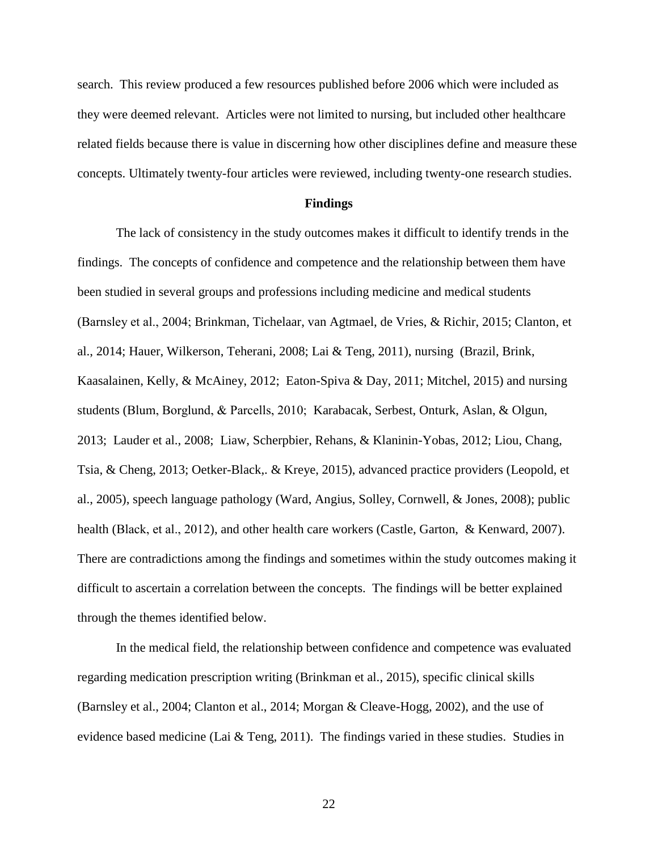search. This review produced a few resources published before 2006 which were included as they were deemed relevant. Articles were not limited to nursing, but included other healthcare related fields because there is value in discerning how other disciplines define and measure these concepts. Ultimately twenty-four articles were reviewed, including twenty-one research studies.

#### **Findings**

The lack of consistency in the study outcomes makes it difficult to identify trends in the findings. The concepts of confidence and competence and the relationship between them have been studied in several groups and professions including medicine and medical students (Barnsley et al., 2004; Brinkman, Tichelaar, van Agtmael, de Vries, & Richir, 2015; Clanton, et al., 2014; Hauer, Wilkerson, Teherani, 2008; Lai & Teng, 2011), nursing (Brazil, Brink, Kaasalainen, Kelly, & McAiney, 2012; Eaton-Spiva & Day, 2011; Mitchel, 2015) and nursing students (Blum, Borglund, & Parcells, 2010; Karabacak, Serbest, Onturk, Aslan, & Olgun, 2013; Lauder et al., 2008; Liaw, Scherpbier, Rehans, & Klaninin-Yobas, 2012; Liou, Chang, Tsia, & Cheng, 2013; Oetker-Black,. & Kreye, 2015), advanced practice providers (Leopold, et al., 2005), speech language pathology (Ward, Angius, Solley, Cornwell, & Jones, 2008); public health (Black, et al., 2012), and other health care workers (Castle, Garton, & Kenward, 2007). There are contradictions among the findings and sometimes within the study outcomes making it difficult to ascertain a correlation between the concepts. The findings will be better explained through the themes identified below.

In the medical field, the relationship between confidence and competence was evaluated regarding medication prescription writing (Brinkman et al., 2015), specific clinical skills (Barnsley et al., 2004; Clanton et al., 2014; Morgan & Cleave-Hogg, 2002), and the use of evidence based medicine (Lai & Teng, 2011). The findings varied in these studies. Studies in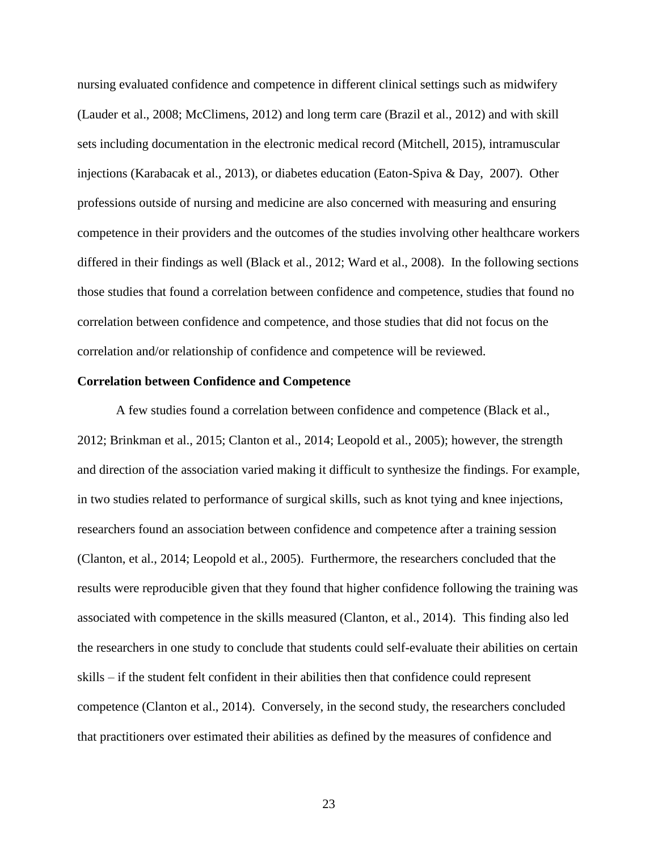nursing evaluated confidence and competence in different clinical settings such as midwifery (Lauder et al., 2008; McClimens, 2012) and long term care (Brazil et al., 2012) and with skill sets including documentation in the electronic medical record (Mitchell, 2015), intramuscular injections (Karabacak et al., 2013), or diabetes education (Eaton-Spiva & Day, 2007). Other professions outside of nursing and medicine are also concerned with measuring and ensuring competence in their providers and the outcomes of the studies involving other healthcare workers differed in their findings as well (Black et al., 2012; Ward et al., 2008). In the following sections those studies that found a correlation between confidence and competence, studies that found no correlation between confidence and competence, and those studies that did not focus on the correlation and/or relationship of confidence and competence will be reviewed.

#### **Correlation between Confidence and Competence**

A few studies found a correlation between confidence and competence (Black et al., 2012; Brinkman et al., 2015; Clanton et al., 2014; Leopold et al., 2005); however, the strength and direction of the association varied making it difficult to synthesize the findings. For example, in two studies related to performance of surgical skills, such as knot tying and knee injections, researchers found an association between confidence and competence after a training session (Clanton, et al., 2014; Leopold et al., 2005). Furthermore, the researchers concluded that the results were reproducible given that they found that higher confidence following the training was associated with competence in the skills measured (Clanton, et al., 2014). This finding also led the researchers in one study to conclude that students could self-evaluate their abilities on certain skills – if the student felt confident in their abilities then that confidence could represent competence (Clanton et al., 2014). Conversely, in the second study, the researchers concluded that practitioners over estimated their abilities as defined by the measures of confidence and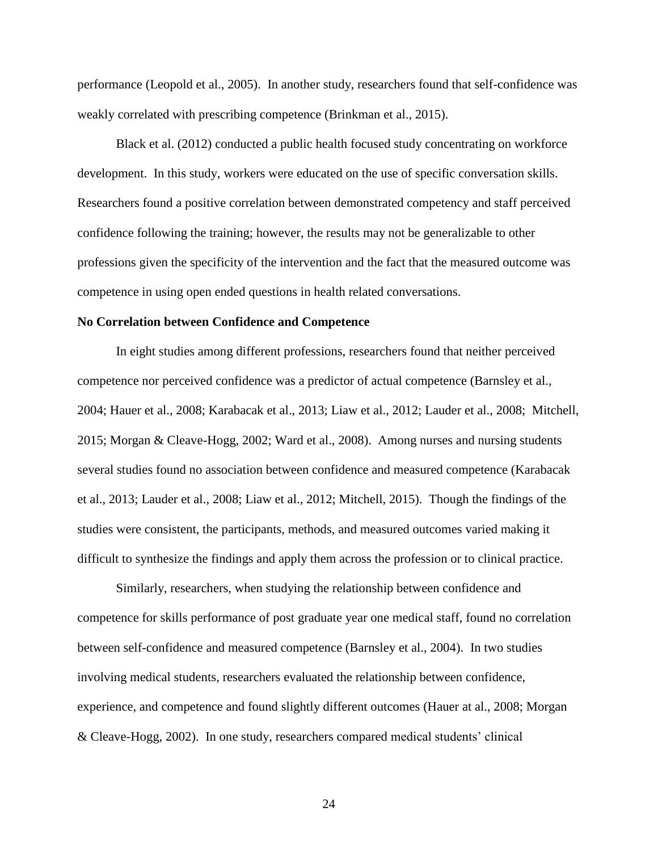performance (Leopold et al., 2005). In another study, researchers found that self-confidence was weakly correlated with prescribing competence (Brinkman et al., 2015).

Black et al. (2012) conducted a public health focused study concentrating on workforce development. In this study, workers were educated on the use of specific conversation skills. Researchers found a positive correlation between demonstrated competency and staff perceived confidence following the training; however, the results may not be generalizable to other professions given the specificity of the intervention and the fact that the measured outcome was competence in using open ended questions in health related conversations.

#### **No Correlation between Confidence and Competence**

In eight studies among different professions, researchers found that neither perceived competence nor perceived confidence was a predictor of actual competence (Barnsley et al., 2004; Hauer et al., 2008; Karabacak et al., 2013; Liaw et al., 2012; Lauder et al., 2008; Mitchell, 2015; Morgan & Cleave-Hogg, 2002; Ward et al., 2008). Among nurses and nursing students several studies found no association between confidence and measured competence (Karabacak et al., 2013; Lauder et al., 2008; Liaw et al., 2012; Mitchell, 2015). Though the findings of the studies were consistent, the participants, methods, and measured outcomes varied making it difficult to synthesize the findings and apply them across the profession or to clinical practice.

Similarly, researchers, when studying the relationship between confidence and competence for skills performance of post graduate year one medical staff, found no correlation between self-confidence and measured competence (Barnsley et al., 2004). In two studies involving medical students, researchers evaluated the relationship between confidence, experience, and competence and found slightly different outcomes (Hauer at al., 2008; Morgan & Cleave-Hogg, 2002). In one study, researchers compared medical students' clinical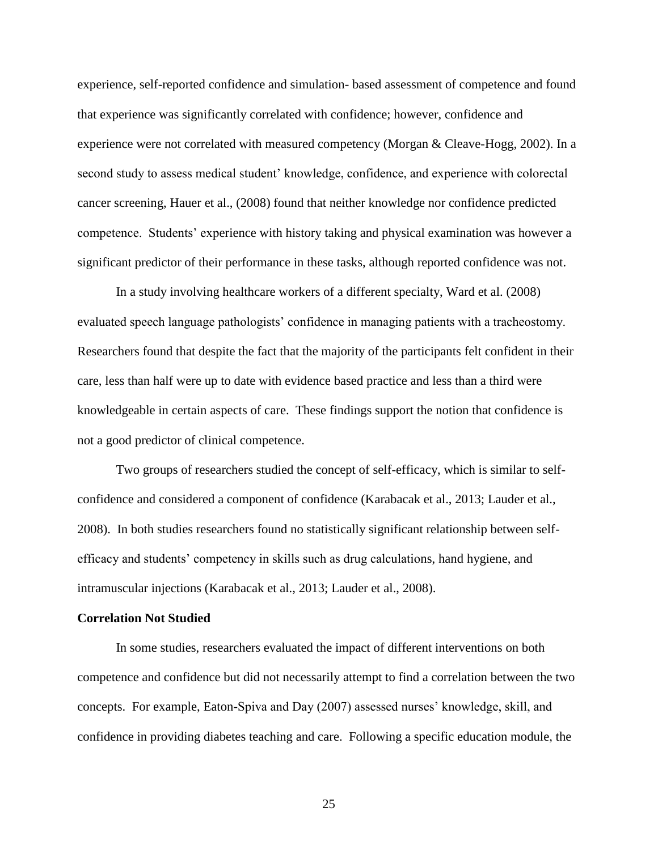experience, self-reported confidence and simulation- based assessment of competence and found that experience was significantly correlated with confidence; however, confidence and experience were not correlated with measured competency (Morgan & Cleave-Hogg, 2002). In a second study to assess medical student' knowledge, confidence, and experience with colorectal cancer screening, Hauer et al., (2008) found that neither knowledge nor confidence predicted competence. Students' experience with history taking and physical examination was however a significant predictor of their performance in these tasks, although reported confidence was not.

In a study involving healthcare workers of a different specialty, Ward et al. (2008) evaluated speech language pathologists' confidence in managing patients with a tracheostomy. Researchers found that despite the fact that the majority of the participants felt confident in their care, less than half were up to date with evidence based practice and less than a third were knowledgeable in certain aspects of care. These findings support the notion that confidence is not a good predictor of clinical competence.

Two groups of researchers studied the concept of self-efficacy, which is similar to selfconfidence and considered a component of confidence (Karabacak et al., 2013; Lauder et al., 2008). In both studies researchers found no statistically significant relationship between selfefficacy and students' competency in skills such as drug calculations, hand hygiene, and intramuscular injections (Karabacak et al., 2013; Lauder et al., 2008).

#### **Correlation Not Studied**

In some studies, researchers evaluated the impact of different interventions on both competence and confidence but did not necessarily attempt to find a correlation between the two concepts. For example, Eaton-Spiva and Day (2007) assessed nurses' knowledge, skill, and confidence in providing diabetes teaching and care. Following a specific education module, the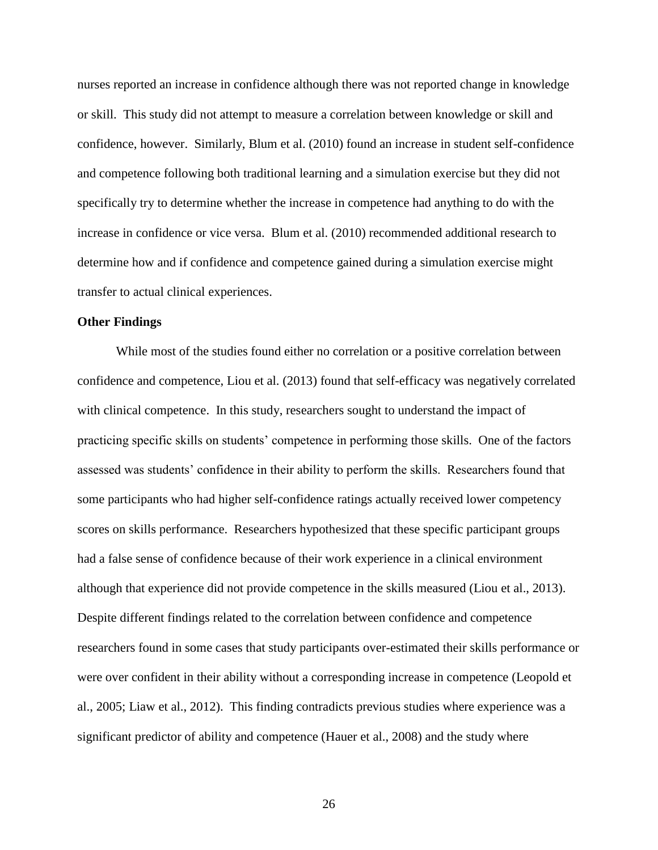nurses reported an increase in confidence although there was not reported change in knowledge or skill. This study did not attempt to measure a correlation between knowledge or skill and confidence, however. Similarly, Blum et al. (2010) found an increase in student self-confidence and competence following both traditional learning and a simulation exercise but they did not specifically try to determine whether the increase in competence had anything to do with the increase in confidence or vice versa. Blum et al. (2010) recommended additional research to determine how and if confidence and competence gained during a simulation exercise might transfer to actual clinical experiences.

#### **Other Findings**

While most of the studies found either no correlation or a positive correlation between confidence and competence, Liou et al. (2013) found that self-efficacy was negatively correlated with clinical competence. In this study, researchers sought to understand the impact of practicing specific skills on students' competence in performing those skills. One of the factors assessed was students' confidence in their ability to perform the skills. Researchers found that some participants who had higher self-confidence ratings actually received lower competency scores on skills performance. Researchers hypothesized that these specific participant groups had a false sense of confidence because of their work experience in a clinical environment although that experience did not provide competence in the skills measured (Liou et al., 2013). Despite different findings related to the correlation between confidence and competence researchers found in some cases that study participants over-estimated their skills performance or were over confident in their ability without a corresponding increase in competence (Leopold et al., 2005; Liaw et al., 2012). This finding contradicts previous studies where experience was a significant predictor of ability and competence (Hauer et al., 2008) and the study where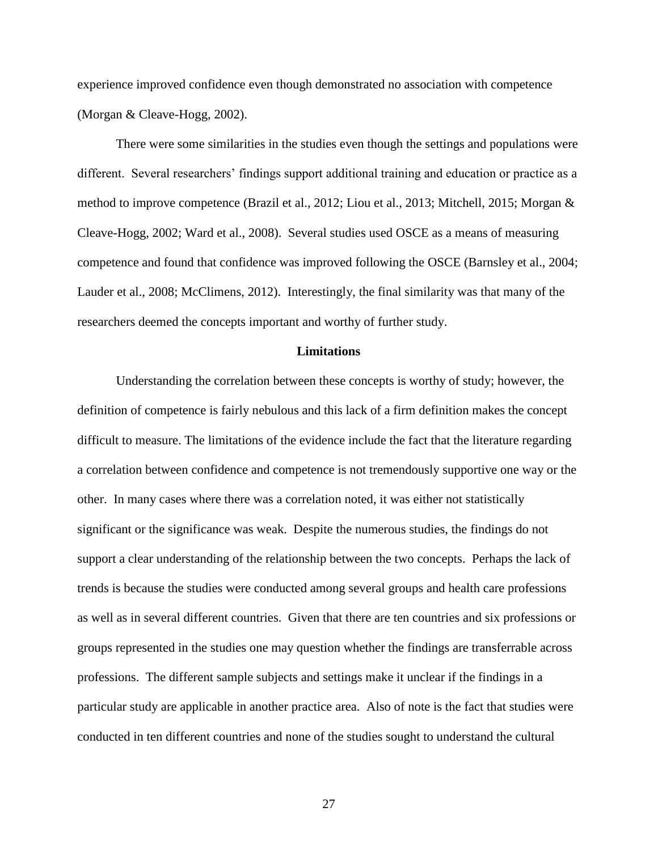experience improved confidence even though demonstrated no association with competence (Morgan & Cleave-Hogg, 2002).

There were some similarities in the studies even though the settings and populations were different. Several researchers' findings support additional training and education or practice as a method to improve competence (Brazil et al., 2012; Liou et al., 2013; Mitchell, 2015; Morgan & Cleave-Hogg, 2002; Ward et al., 2008). Several studies used OSCE as a means of measuring competence and found that confidence was improved following the OSCE (Barnsley et al., 2004; Lauder et al., 2008; McClimens, 2012). Interestingly, the final similarity was that many of the researchers deemed the concepts important and worthy of further study.

#### **Limitations**

Understanding the correlation between these concepts is worthy of study; however, the definition of competence is fairly nebulous and this lack of a firm definition makes the concept difficult to measure. The limitations of the evidence include the fact that the literature regarding a correlation between confidence and competence is not tremendously supportive one way or the other. In many cases where there was a correlation noted, it was either not statistically significant or the significance was weak. Despite the numerous studies, the findings do not support a clear understanding of the relationship between the two concepts. Perhaps the lack of trends is because the studies were conducted among several groups and health care professions as well as in several different countries. Given that there are ten countries and six professions or groups represented in the studies one may question whether the findings are transferrable across professions. The different sample subjects and settings make it unclear if the findings in a particular study are applicable in another practice area. Also of note is the fact that studies were conducted in ten different countries and none of the studies sought to understand the cultural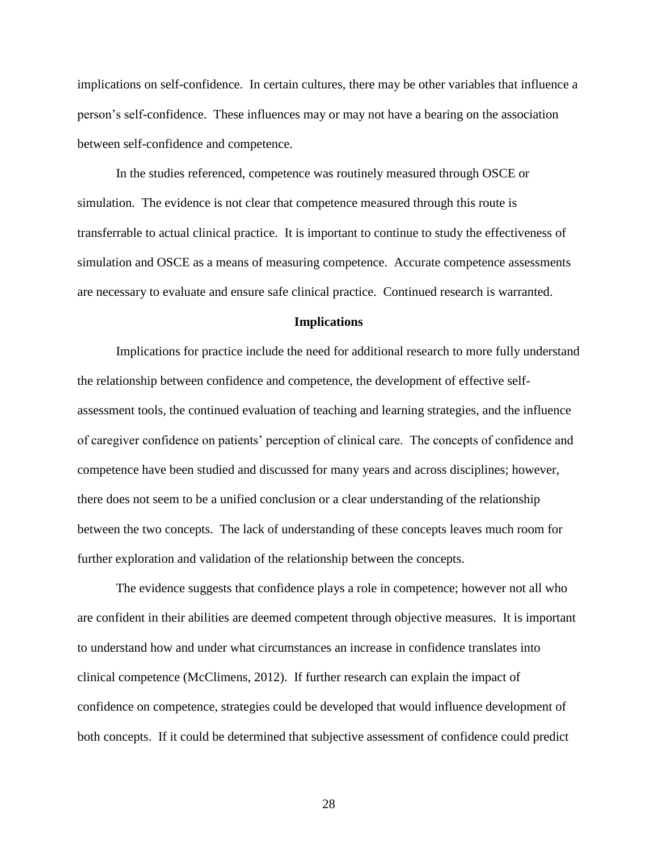implications on self-confidence. In certain cultures, there may be other variables that influence a person's self-confidence. These influences may or may not have a bearing on the association between self-confidence and competence.

In the studies referenced, competence was routinely measured through OSCE or simulation. The evidence is not clear that competence measured through this route is transferrable to actual clinical practice. It is important to continue to study the effectiveness of simulation and OSCE as a means of measuring competence. Accurate competence assessments are necessary to evaluate and ensure safe clinical practice. Continued research is warranted.

#### **Implications**

Implications for practice include the need for additional research to more fully understand the relationship between confidence and competence, the development of effective selfassessment tools, the continued evaluation of teaching and learning strategies, and the influence of caregiver confidence on patients' perception of clinical care. The concepts of confidence and competence have been studied and discussed for many years and across disciplines; however, there does not seem to be a unified conclusion or a clear understanding of the relationship between the two concepts. The lack of understanding of these concepts leaves much room for further exploration and validation of the relationship between the concepts.

The evidence suggests that confidence plays a role in competence; however not all who are confident in their abilities are deemed competent through objective measures. It is important to understand how and under what circumstances an increase in confidence translates into clinical competence (McClimens, 2012). If further research can explain the impact of confidence on competence, strategies could be developed that would influence development of both concepts. If it could be determined that subjective assessment of confidence could predict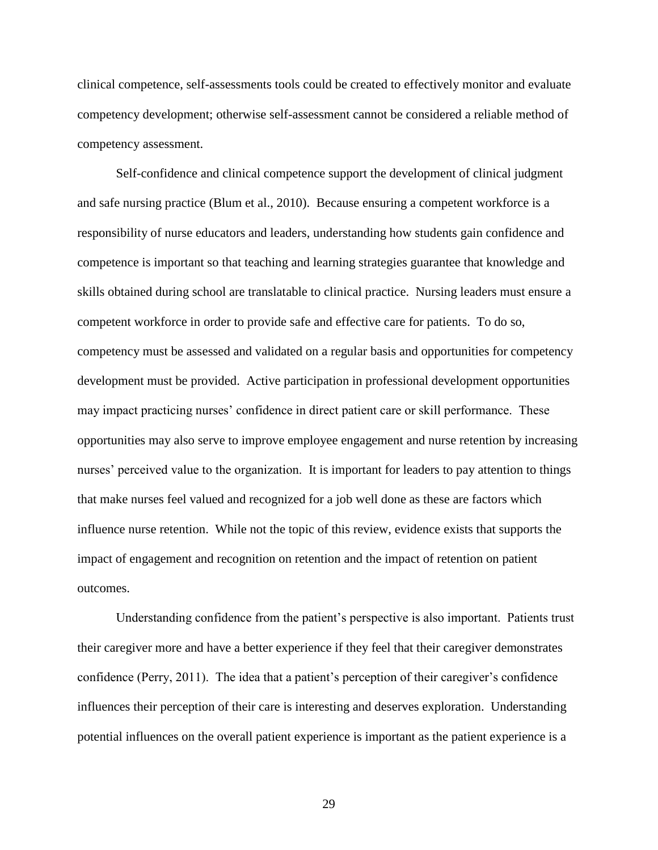clinical competence, self-assessments tools could be created to effectively monitor and evaluate competency development; otherwise self-assessment cannot be considered a reliable method of competency assessment.

Self-confidence and clinical competence support the development of clinical judgment and safe nursing practice (Blum et al., 2010). Because ensuring a competent workforce is a responsibility of nurse educators and leaders, understanding how students gain confidence and competence is important so that teaching and learning strategies guarantee that knowledge and skills obtained during school are translatable to clinical practice. Nursing leaders must ensure a competent workforce in order to provide safe and effective care for patients. To do so, competency must be assessed and validated on a regular basis and opportunities for competency development must be provided. Active participation in professional development opportunities may impact practicing nurses' confidence in direct patient care or skill performance. These opportunities may also serve to improve employee engagement and nurse retention by increasing nurses' perceived value to the organization. It is important for leaders to pay attention to things that make nurses feel valued and recognized for a job well done as these are factors which influence nurse retention. While not the topic of this review, evidence exists that supports the impact of engagement and recognition on retention and the impact of retention on patient outcomes.

Understanding confidence from the patient's perspective is also important. Patients trust their caregiver more and have a better experience if they feel that their caregiver demonstrates confidence (Perry, 2011). The idea that a patient's perception of their caregiver's confidence influences their perception of their care is interesting and deserves exploration. Understanding potential influences on the overall patient experience is important as the patient experience is a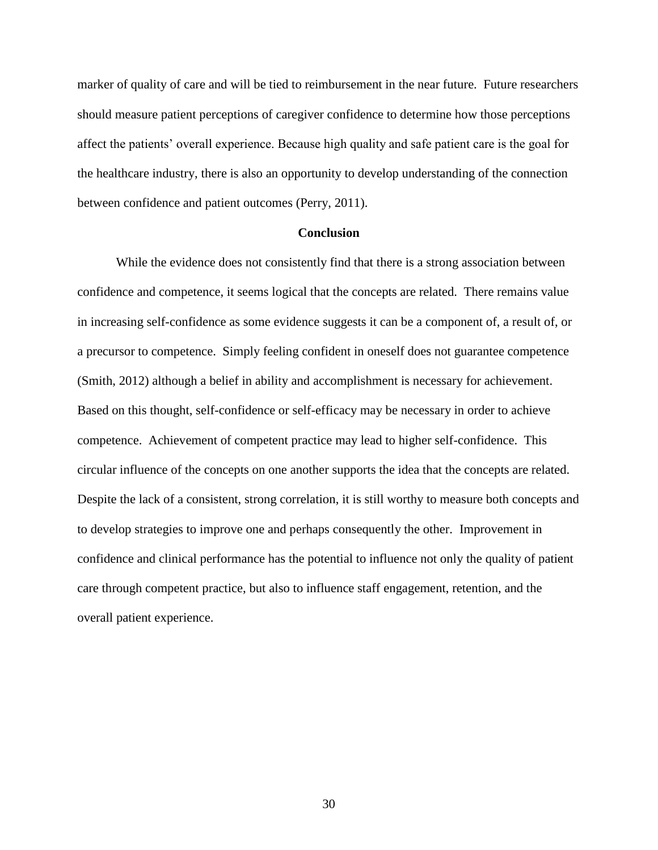marker of quality of care and will be tied to reimbursement in the near future. Future researchers should measure patient perceptions of caregiver confidence to determine how those perceptions affect the patients' overall experience. Because high quality and safe patient care is the goal for the healthcare industry, there is also an opportunity to develop understanding of the connection between confidence and patient outcomes (Perry, 2011).

#### **Conclusion**

While the evidence does not consistently find that there is a strong association between confidence and competence, it seems logical that the concepts are related. There remains value in increasing self-confidence as some evidence suggests it can be a component of, a result of, or a precursor to competence. Simply feeling confident in oneself does not guarantee competence (Smith, 2012) although a belief in ability and accomplishment is necessary for achievement. Based on this thought, self-confidence or self-efficacy may be necessary in order to achieve competence. Achievement of competent practice may lead to higher self-confidence. This circular influence of the concepts on one another supports the idea that the concepts are related. Despite the lack of a consistent, strong correlation, it is still worthy to measure both concepts and to develop strategies to improve one and perhaps consequently the other. Improvement in confidence and clinical performance has the potential to influence not only the quality of patient care through competent practice, but also to influence staff engagement, retention, and the overall patient experience.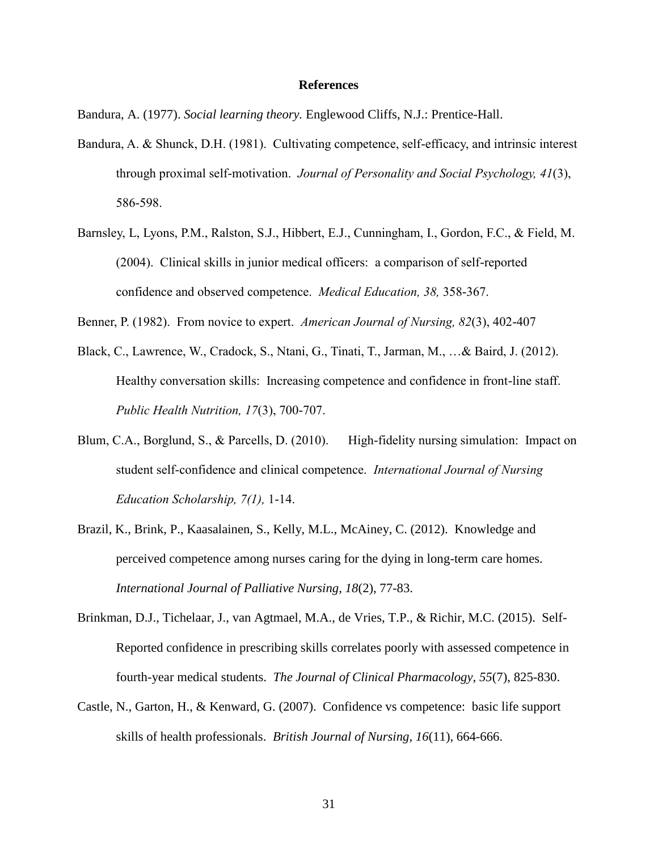#### **References**

Bandura, A. (1977). *Social learning theory.* Englewood Cliffs, N.J.: Prentice-Hall.

- Bandura, A. & Shunck, D.H. (1981). Cultivating competence, self-efficacy, and intrinsic interest through proximal self-motivation. *Journal of Personality and Social Psychology, 41*(3), 586-598.
- Barnsley, L, Lyons, P.M., Ralston, S.J., Hibbert, E.J., Cunningham, I., Gordon, F.C., & Field, M. (2004). Clinical skills in junior medical officers: a comparison of self-reported confidence and observed competence. *Medical Education, 38,* 358-367.
- Benner, P. (1982). From novice to expert. *American Journal of Nursing, 82*(3), 402-407
- Black, C., Lawrence, W., Cradock, S., Ntani, G., Tinati, T., Jarman, M., …& Baird, J. (2012). Healthy conversation skills: Increasing competence and confidence in front-line staff. *Public Health Nutrition, 17*(3), 700-707.
- Blum, C.A., Borglund, S., & Parcells, D. (2010). High-fidelity nursing simulation: Impact on student self-confidence and clinical competence. *International Journal of Nursing Education Scholarship, 7(1),* 1-14.
- Brazil, K., Brink, P., Kaasalainen, S., Kelly, M.L., McAiney, C. (2012). Knowledge and perceived competence among nurses caring for the dying in long-term care homes. *International Journal of Palliative Nursing, 18*(2), 77-83.
- Brinkman, D.J., Tichelaar, J., van Agtmael, M.A., de Vries, T.P., & Richir, M.C. (2015). Self-Reported confidence in prescribing skills correlates poorly with assessed competence in fourth-year medical students. *The Journal of Clinical Pharmacology, 55*(7), 825-830.
- Castle, N., Garton, H., & Kenward, G. (2007). Confidence vs competence: basic life support skills of health professionals. *British Journal of Nursing, 16*(11), 664-666.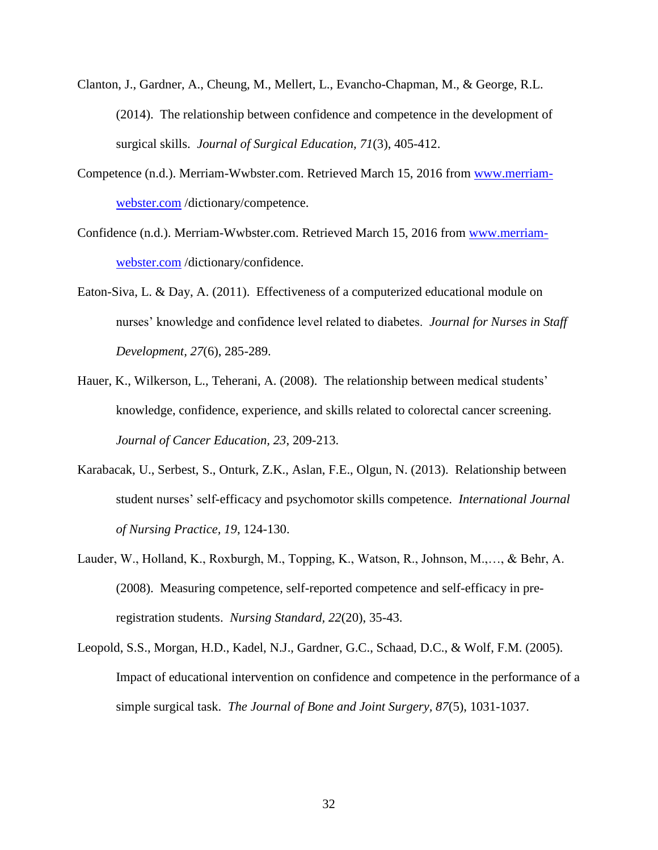- Clanton, J., Gardner, A., Cheung, M., Mellert, L., Evancho-Chapman, M., & George, R.L. (2014). The relationship between confidence and competence in the development of surgical skills. *Journal of Surgical Education, 71*(3), 405-412.
- Competence (n.d.). Merriam-Wwbster.com. Retrieved March 15, 2016 from [www.merriam](http://www.merriam-webster.com/)[webster.com](http://www.merriam-webster.com/) /dictionary/competence.
- Confidence (n.d.). Merriam-Wwbster.com. Retrieved March 15, 2016 from [www.merriam](http://www.merriam-webster.com/)[webster.com](http://www.merriam-webster.com/) /dictionary/confidence.
- Eaton-Siva, L. & Day, A. (2011). Effectiveness of a computerized educational module on nurses' knowledge and confidence level related to diabetes. *Journal for Nurses in Staff Development, 27*(6), 285-289.
- Hauer, K., Wilkerson, L., Teherani, A. (2008). The relationship between medical students' knowledge, confidence, experience, and skills related to colorectal cancer screening. *Journal of Cancer Education, 23*, 209-213.
- Karabacak, U., Serbest, S., Onturk, Z.K., Aslan, F.E., Olgun, N. (2013). Relationship between student nurses' self-efficacy and psychomotor skills competence. *International Journal of Nursing Practice, 19*, 124-130.
- Lauder, W., Holland, K., Roxburgh, M., Topping, K., Watson, R., Johnson, M.,…, & Behr, A. (2008). Measuring competence, self-reported competence and self-efficacy in preregistration students. *Nursing Standard, 22*(20), 35-43.
- Leopold, S.S., Morgan, H.D., Kadel, N.J., Gardner, G.C., Schaad, D.C., & Wolf, F.M. (2005). Impact of educational intervention on confidence and competence in the performance of a simple surgical task. *The Journal of Bone and Joint Surgery, 87*(5), 1031-1037.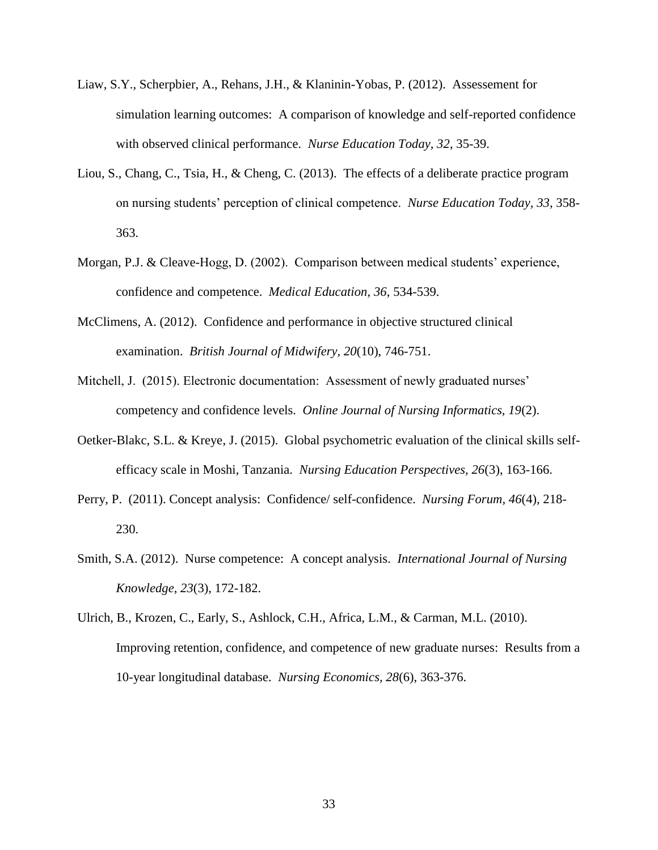- Liaw, S.Y., Scherpbier, A., Rehans, J.H., & Klaninin-Yobas, P. (2012). Assessement for simulation learning outcomes: A comparison of knowledge and self-reported confidence with observed clinical performance. *Nurse Education Today, 32*, 35-39.
- Liou, S., Chang, C., Tsia, H., & Cheng, C. (2013). The effects of a deliberate practice program on nursing students' perception of clinical competence. *Nurse Education Today, 33*, 358- 363.
- Morgan, P.J. & Cleave-Hogg, D. (2002). Comparison between medical students' experience, confidence and competence. *Medical Education, 36*, 534-539.
- McClimens, A. (2012). Confidence and performance in objective structured clinical examination. *British Journal of Midwifery, 20*(10), 746-751.
- Mitchell, J. (2015). Electronic documentation: Assessment of newly graduated nurses' competency and confidence levels. *Online Journal of Nursing Informatics, 19*(2).
- Oetker-Blakc, S.L. & Kreye, J. (2015). Global psychometric evaluation of the clinical skills selfefficacy scale in Moshi, Tanzania. *Nursing Education Perspectives, 26*(3), 163-166.
- Perry, P. (2011). Concept analysis: Confidence/ self-confidence. *Nursing Forum, 46*(4), 218- 230.
- Smith, S.A. (2012). Nurse competence: A concept analysis. *International Journal of Nursing Knowledge, 23*(3), 172-182.
- Ulrich, B., Krozen, C., Early, S., Ashlock, C.H., Africa, L.M., & Carman, M.L. (2010). Improving retention, confidence, and competence of new graduate nurses: Results from a 10-year longitudinal database. *Nursing Economics, 28*(6), 363-376.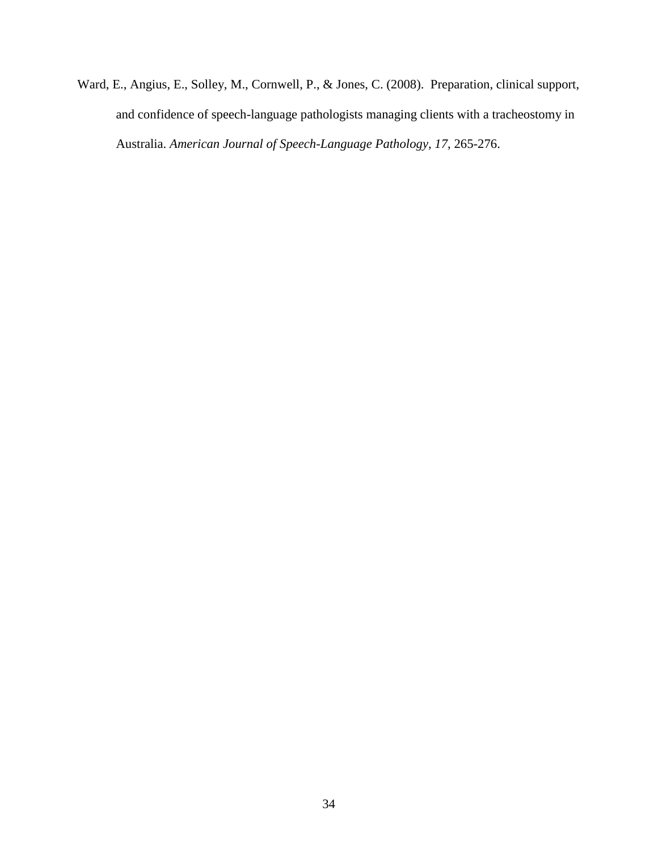Ward, E., Angius, E., Solley, M., Cornwell, P., & Jones, C. (2008). Preparation, clinical support, and confidence of speech-language pathologists managing clients with a tracheostomy in Australia. *American Journal of Speech-Language Pathology, 17*, 265-276.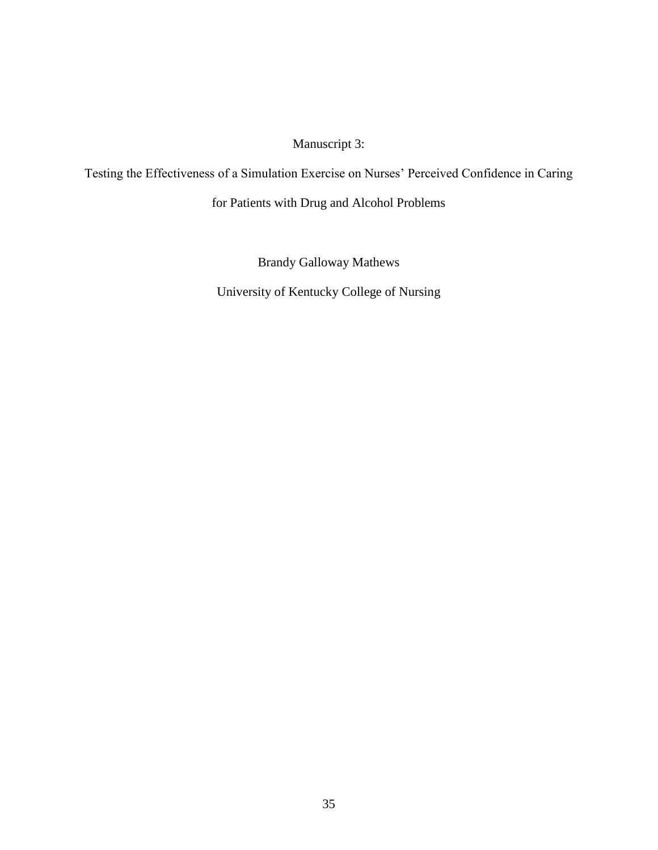Manuscript 3:

Testing the Effectiveness of a Simulation Exercise on Nurses' Perceived Confidence in Caring

for Patients with Drug and Alcohol Problems

Brandy Galloway Mathews University of Kentucky College of Nursing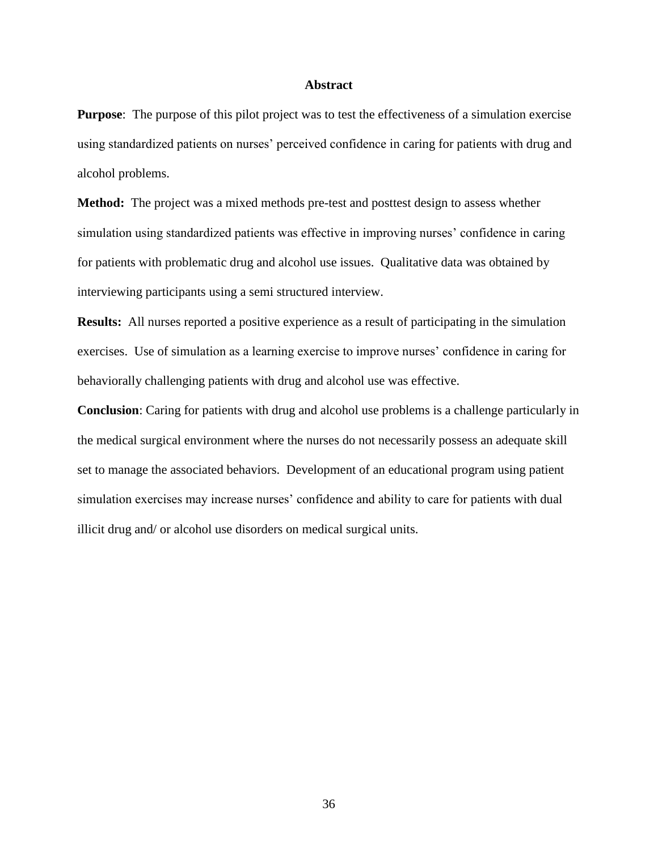#### **Abstract**

**Purpose**: The purpose of this pilot project was to test the effectiveness of a simulation exercise using standardized patients on nurses' perceived confidence in caring for patients with drug and alcohol problems.

**Method:** The project was a mixed methods pre-test and posttest design to assess whether simulation using standardized patients was effective in improving nurses' confidence in caring for patients with problematic drug and alcohol use issues. Qualitative data was obtained by interviewing participants using a semi structured interview.

**Results:** All nurses reported a positive experience as a result of participating in the simulation exercises. Use of simulation as a learning exercise to improve nurses' confidence in caring for behaviorally challenging patients with drug and alcohol use was effective.

**Conclusion**: Caring for patients with drug and alcohol use problems is a challenge particularly in the medical surgical environment where the nurses do not necessarily possess an adequate skill set to manage the associated behaviors. Development of an educational program using patient simulation exercises may increase nurses' confidence and ability to care for patients with dual illicit drug and/ or alcohol use disorders on medical surgical units.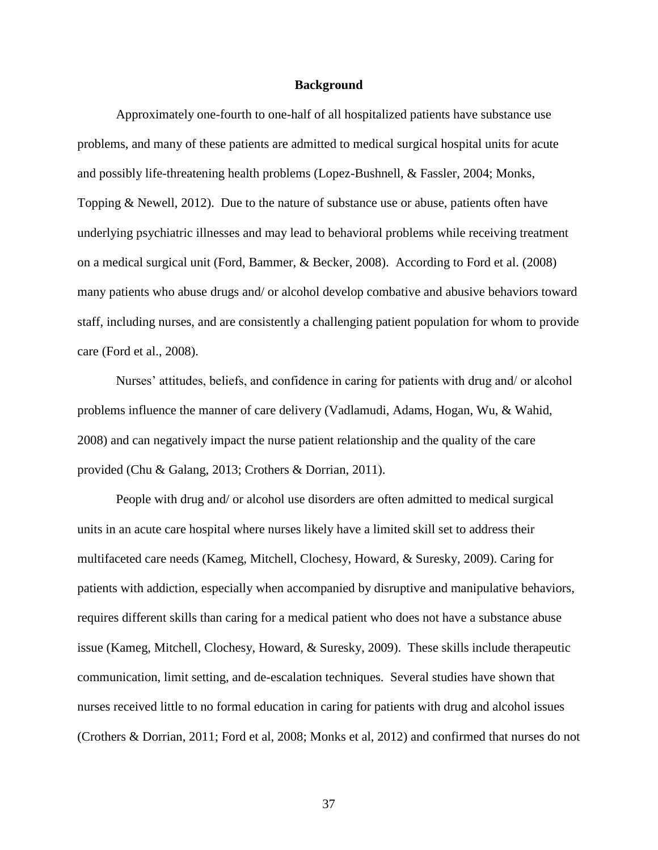#### **Background**

Approximately one-fourth to one-half of all hospitalized patients have substance use problems, and many of these patients are admitted to medical surgical hospital units for acute and possibly life-threatening health problems (Lopez-Bushnell, & Fassler, 2004; Monks, Topping & Newell, 2012). Due to the nature of substance use or abuse, patients often have underlying psychiatric illnesses and may lead to behavioral problems while receiving treatment on a medical surgical unit (Ford, Bammer, & Becker, 2008). According to Ford et al. (2008) many patients who abuse drugs and/ or alcohol develop combative and abusive behaviors toward staff, including nurses, and are consistently a challenging patient population for whom to provide care (Ford et al., 2008).

Nurses' attitudes, beliefs, and confidence in caring for patients with drug and/ or alcohol problems influence the manner of care delivery (Vadlamudi, Adams, Hogan, Wu, & Wahid, 2008) and can negatively impact the nurse patient relationship and the quality of the care provided (Chu & Galang, 2013; Crothers & Dorrian, 2011).

People with drug and/ or alcohol use disorders are often admitted to medical surgical units in an acute care hospital where nurses likely have a limited skill set to address their multifaceted care needs (Kameg, Mitchell, Clochesy, Howard, & Suresky, 2009). Caring for patients with addiction, especially when accompanied by disruptive and manipulative behaviors, requires different skills than caring for a medical patient who does not have a substance abuse issue (Kameg, Mitchell, Clochesy, Howard, & Suresky, 2009). These skills include therapeutic communication, limit setting, and de-escalation techniques. Several studies have shown that nurses received little to no formal education in caring for patients with drug and alcohol issues (Crothers & Dorrian, 2011; Ford et al, 2008; Monks et al, 2012) and confirmed that nurses do not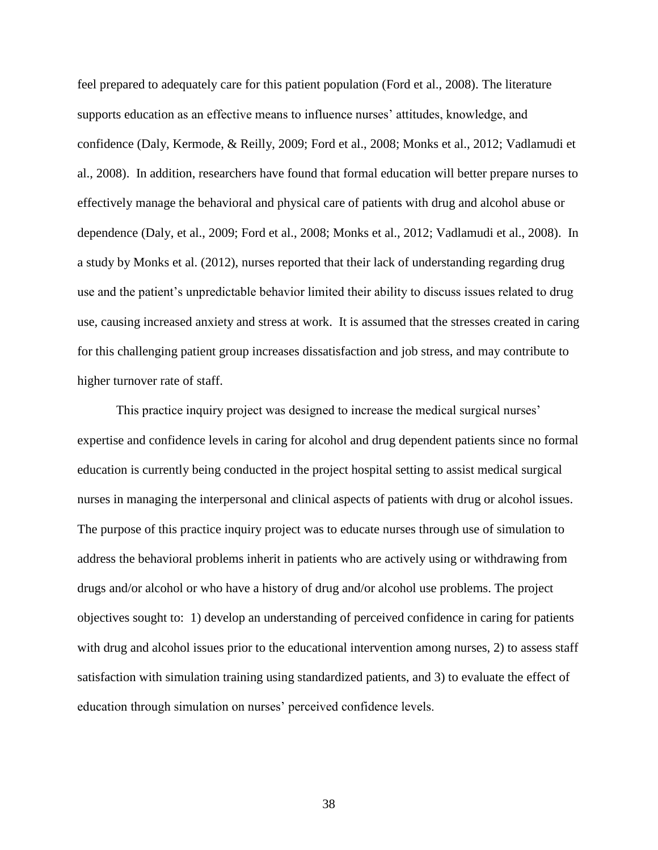feel prepared to adequately care for this patient population (Ford et al., 2008). The literature supports education as an effective means to influence nurses' attitudes, knowledge, and confidence (Daly, Kermode, & Reilly, 2009; Ford et al., 2008; Monks et al., 2012; Vadlamudi et al., 2008). In addition, researchers have found that formal education will better prepare nurses to effectively manage the behavioral and physical care of patients with drug and alcohol abuse or dependence (Daly, et al., 2009; Ford et al., 2008; Monks et al., 2012; Vadlamudi et al., 2008). In a study by Monks et al. (2012), nurses reported that their lack of understanding regarding drug use and the patient's unpredictable behavior limited their ability to discuss issues related to drug use, causing increased anxiety and stress at work. It is assumed that the stresses created in caring for this challenging patient group increases dissatisfaction and job stress, and may contribute to higher turnover rate of staff.

This practice inquiry project was designed to increase the medical surgical nurses' expertise and confidence levels in caring for alcohol and drug dependent patients since no formal education is currently being conducted in the project hospital setting to assist medical surgical nurses in managing the interpersonal and clinical aspects of patients with drug or alcohol issues. The purpose of this practice inquiry project was to educate nurses through use of simulation to address the behavioral problems inherit in patients who are actively using or withdrawing from drugs and/or alcohol or who have a history of drug and/or alcohol use problems. The project objectives sought to: 1) develop an understanding of perceived confidence in caring for patients with drug and alcohol issues prior to the educational intervention among nurses, 2) to assess staff satisfaction with simulation training using standardized patients, and 3) to evaluate the effect of education through simulation on nurses' perceived confidence levels.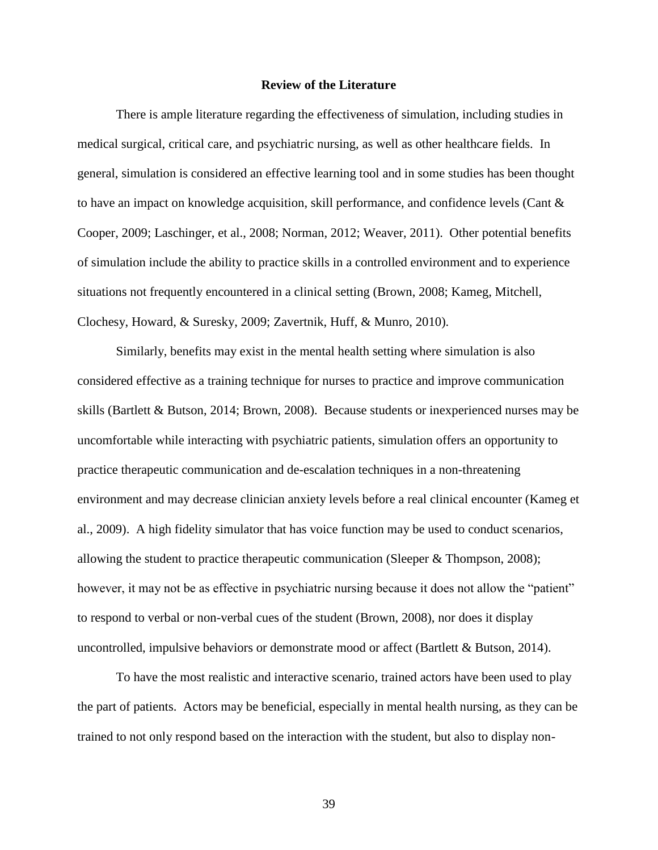#### **Review of the Literature**

There is ample literature regarding the effectiveness of simulation, including studies in medical surgical, critical care, and psychiatric nursing, as well as other healthcare fields. In general, simulation is considered an effective learning tool and in some studies has been thought to have an impact on knowledge acquisition, skill performance, and confidence levels (Cant & Cooper, 2009; Laschinger, et al., 2008; Norman, 2012; Weaver, 2011). Other potential benefits of simulation include the ability to practice skills in a controlled environment and to experience situations not frequently encountered in a clinical setting (Brown, 2008; Kameg, Mitchell, Clochesy, Howard, & Suresky, 2009; Zavertnik, Huff, & Munro, 2010).

Similarly, benefits may exist in the mental health setting where simulation is also considered effective as a training technique for nurses to practice and improve communication skills (Bartlett & Butson, 2014; Brown, 2008). Because students or inexperienced nurses may be uncomfortable while interacting with psychiatric patients, simulation offers an opportunity to practice therapeutic communication and de-escalation techniques in a non-threatening environment and may decrease clinician anxiety levels before a real clinical encounter (Kameg et al., 2009). A high fidelity simulator that has voice function may be used to conduct scenarios, allowing the student to practice therapeutic communication (Sleeper & Thompson, 2008); however, it may not be as effective in psychiatric nursing because it does not allow the "patient" to respond to verbal or non-verbal cues of the student (Brown, 2008), nor does it display uncontrolled, impulsive behaviors or demonstrate mood or affect (Bartlett & Butson, 2014).

To have the most realistic and interactive scenario, trained actors have been used to play the part of patients. Actors may be beneficial, especially in mental health nursing, as they can be trained to not only respond based on the interaction with the student, but also to display non-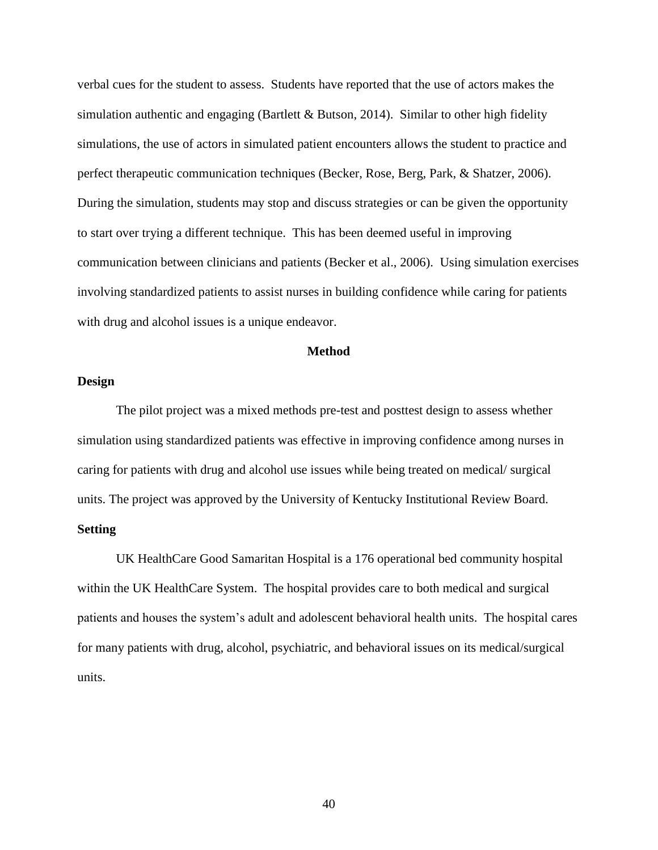verbal cues for the student to assess. Students have reported that the use of actors makes the simulation authentic and engaging (Bartlett & Butson, 2014). Similar to other high fidelity simulations, the use of actors in simulated patient encounters allows the student to practice and perfect therapeutic communication techniques (Becker, Rose, Berg, Park, & Shatzer, 2006). During the simulation, students may stop and discuss strategies or can be given the opportunity to start over trying a different technique. This has been deemed useful in improving communication between clinicians and patients (Becker et al., 2006). Using simulation exercises involving standardized patients to assist nurses in building confidence while caring for patients with drug and alcohol issues is a unique endeavor.

### **Method**

### **Design**

The pilot project was a mixed methods pre-test and posttest design to assess whether simulation using standardized patients was effective in improving confidence among nurses in caring for patients with drug and alcohol use issues while being treated on medical/ surgical units. The project was approved by the University of Kentucky Institutional Review Board.

## **Setting**

UK HealthCare Good Samaritan Hospital is a 176 operational bed community hospital within the UK HealthCare System. The hospital provides care to both medical and surgical patients and houses the system's adult and adolescent behavioral health units. The hospital cares for many patients with drug, alcohol, psychiatric, and behavioral issues on its medical/surgical units.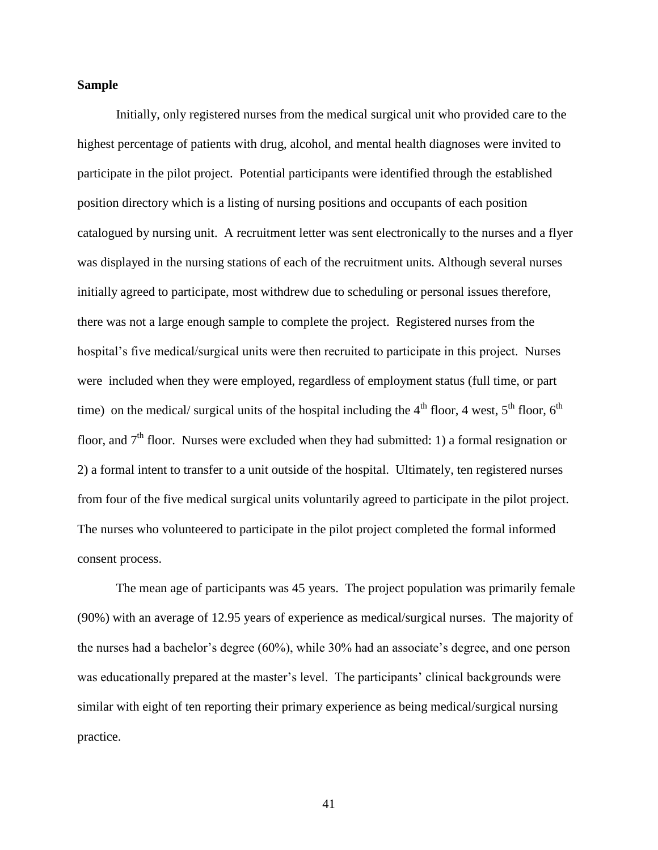### **Sample**

Initially, only registered nurses from the medical surgical unit who provided care to the highest percentage of patients with drug, alcohol, and mental health diagnoses were invited to participate in the pilot project. Potential participants were identified through the established position directory which is a listing of nursing positions and occupants of each position catalogued by nursing unit. A recruitment letter was sent electronically to the nurses and a flyer was displayed in the nursing stations of each of the recruitment units. Although several nurses initially agreed to participate, most withdrew due to scheduling or personal issues therefore, there was not a large enough sample to complete the project. Registered nurses from the hospital's five medical/surgical units were then recruited to participate in this project. Nurses were included when they were employed, regardless of employment status (full time, or part time) on the medical/ surgical units of the hospital including the  $4<sup>th</sup>$  floor, 4 west,  $5<sup>th</sup>$  floor,  $6<sup>th</sup>$ floor, and  $7<sup>th</sup>$  floor. Nurses were excluded when they had submitted: 1) a formal resignation or 2) a formal intent to transfer to a unit outside of the hospital. Ultimately, ten registered nurses from four of the five medical surgical units voluntarily agreed to participate in the pilot project. The nurses who volunteered to participate in the pilot project completed the formal informed consent process.

The mean age of participants was 45 years. The project population was primarily female (90%) with an average of 12.95 years of experience as medical/surgical nurses. The majority of the nurses had a bachelor's degree (60%), while 30% had an associate's degree, and one person was educationally prepared at the master's level. The participants' clinical backgrounds were similar with eight of ten reporting their primary experience as being medical/surgical nursing practice.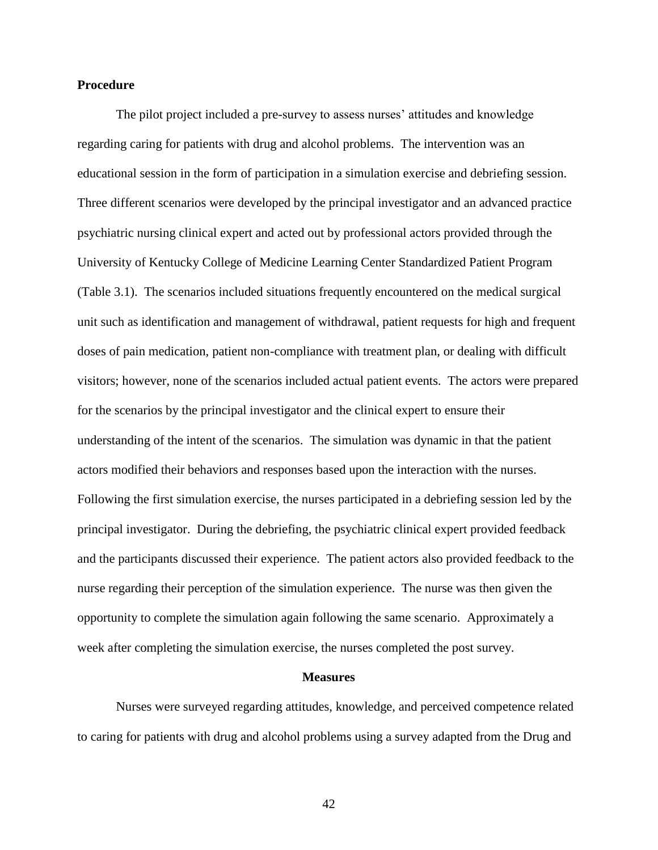### **Procedure**

The pilot project included a pre-survey to assess nurses' attitudes and knowledge regarding caring for patients with drug and alcohol problems. The intervention was an educational session in the form of participation in a simulation exercise and debriefing session. Three different scenarios were developed by the principal investigator and an advanced practice psychiatric nursing clinical expert and acted out by professional actors provided through the University of Kentucky College of Medicine Learning Center Standardized Patient Program (Table 3.1). The scenarios included situations frequently encountered on the medical surgical unit such as identification and management of withdrawal, patient requests for high and frequent doses of pain medication, patient non-compliance with treatment plan, or dealing with difficult visitors; however, none of the scenarios included actual patient events. The actors were prepared for the scenarios by the principal investigator and the clinical expert to ensure their understanding of the intent of the scenarios. The simulation was dynamic in that the patient actors modified their behaviors and responses based upon the interaction with the nurses. Following the first simulation exercise, the nurses participated in a debriefing session led by the principal investigator. During the debriefing, the psychiatric clinical expert provided feedback and the participants discussed their experience. The patient actors also provided feedback to the nurse regarding their perception of the simulation experience. The nurse was then given the opportunity to complete the simulation again following the same scenario. Approximately a week after completing the simulation exercise, the nurses completed the post survey.

#### **Measures**

Nurses were surveyed regarding attitudes, knowledge, and perceived competence related to caring for patients with drug and alcohol problems using a survey adapted from the Drug and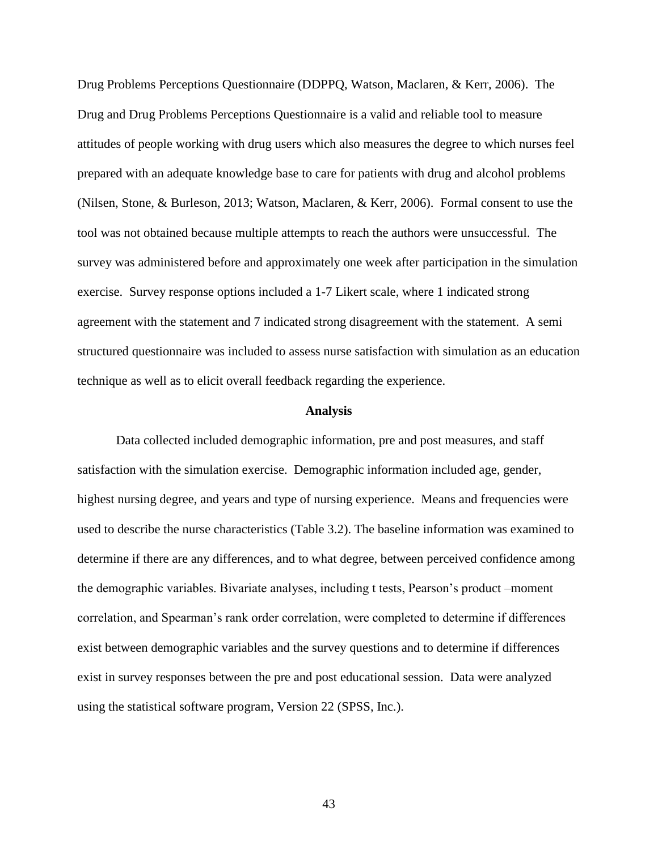Drug Problems Perceptions Questionnaire (DDPPQ, Watson, Maclaren, & Kerr, 2006). The Drug and Drug Problems Perceptions Questionnaire is a valid and reliable tool to measure attitudes of people working with drug users which also measures the degree to which nurses feel prepared with an adequate knowledge base to care for patients with drug and alcohol problems (Nilsen, Stone, & Burleson, 2013; Watson, Maclaren, & Kerr, 2006). Formal consent to use the tool was not obtained because multiple attempts to reach the authors were unsuccessful. The survey was administered before and approximately one week after participation in the simulation exercise. Survey response options included a 1-7 Likert scale, where 1 indicated strong agreement with the statement and 7 indicated strong disagreement with the statement. A semi structured questionnaire was included to assess nurse satisfaction with simulation as an education technique as well as to elicit overall feedback regarding the experience.

#### **Analysis**

Data collected included demographic information, pre and post measures, and staff satisfaction with the simulation exercise. Demographic information included age, gender, highest nursing degree, and years and type of nursing experience. Means and frequencies were used to describe the nurse characteristics (Table 3.2). The baseline information was examined to determine if there are any differences, and to what degree, between perceived confidence among the demographic variables. Bivariate analyses, including t tests, Pearson's product –moment correlation, and Spearman's rank order correlation, were completed to determine if differences exist between demographic variables and the survey questions and to determine if differences exist in survey responses between the pre and post educational session. Data were analyzed using the statistical software program, Version 22 (SPSS, Inc.).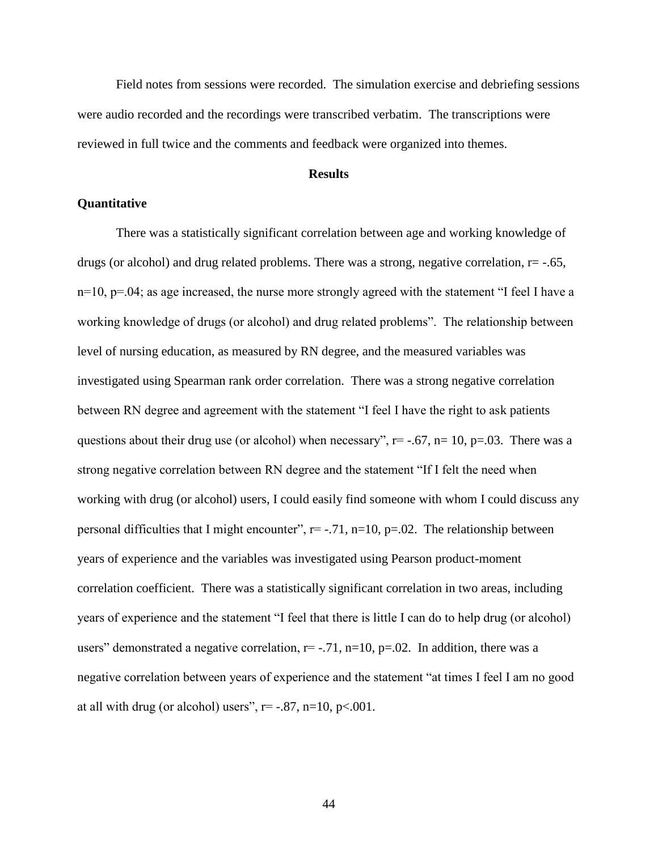Field notes from sessions were recorded. The simulation exercise and debriefing sessions were audio recorded and the recordings were transcribed verbatim. The transcriptions were reviewed in full twice and the comments and feedback were organized into themes.

#### **Results**

## **Quantitative**

There was a statistically significant correlation between age and working knowledge of drugs (or alcohol) and drug related problems. There was a strong, negative correlation,  $r = -0.65$ ,  $n=10$ ,  $p=.04$ ; as age increased, the nurse more strongly agreed with the statement "I feel I have a working knowledge of drugs (or alcohol) and drug related problems". The relationship between level of nursing education, as measured by RN degree, and the measured variables was investigated using Spearman rank order correlation. There was a strong negative correlation between RN degree and agreement with the statement "I feel I have the right to ask patients questions about their drug use (or alcohol) when necessary",  $r = -.67$ ,  $n = 10$ ,  $p = .03$ . There was a strong negative correlation between RN degree and the statement "If I felt the need when working with drug (or alcohol) users, I could easily find someone with whom I could discuss any personal difficulties that I might encounter",  $r = -.71$ ,  $n=10$ ,  $p=.02$ . The relationship between years of experience and the variables was investigated using Pearson product-moment correlation coefficient. There was a statistically significant correlation in two areas, including years of experience and the statement "I feel that there is little I can do to help drug (or alcohol) users" demonstrated a negative correlation,  $r = -.71$ ,  $n=10$ ,  $p=.02$ . In addition, there was a negative correlation between years of experience and the statement "at times I feel I am no good at all with drug (or alcohol) users",  $r = -.87$ ,  $n=10$ ,  $p < .001$ .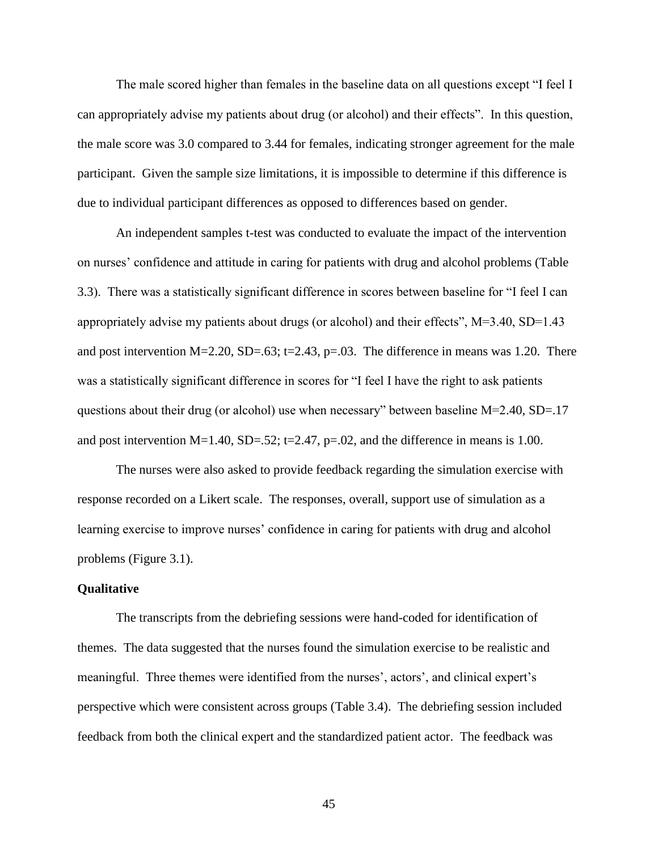The male scored higher than females in the baseline data on all questions except "I feel I can appropriately advise my patients about drug (or alcohol) and their effects". In this question, the male score was 3.0 compared to 3.44 for females, indicating stronger agreement for the male participant. Given the sample size limitations, it is impossible to determine if this difference is due to individual participant differences as opposed to differences based on gender.

An independent samples t-test was conducted to evaluate the impact of the intervention on nurses' confidence and attitude in caring for patients with drug and alcohol problems (Table 3.3). There was a statistically significant difference in scores between baseline for "I feel I can appropriately advise my patients about drugs (or alcohol) and their effects", M=3.40, SD=1.43 and post intervention  $M=2.20$ ,  $SD=.63$ ; t=2.43, p=.03. The difference in means was 1.20. There was a statistically significant difference in scores for "I feel I have the right to ask patients questions about their drug (or alcohol) use when necessary" between baseline M=2.40, SD=.17 and post intervention  $M=1.40$ ,  $SD=.52$ ; t=2.47, p=.02, and the difference in means is 1.00.

The nurses were also asked to provide feedback regarding the simulation exercise with response recorded on a Likert scale. The responses, overall, support use of simulation as a learning exercise to improve nurses' confidence in caring for patients with drug and alcohol problems (Figure 3.1).

#### **Qualitative**

The transcripts from the debriefing sessions were hand-coded for identification of themes. The data suggested that the nurses found the simulation exercise to be realistic and meaningful. Three themes were identified from the nurses', actors', and clinical expert's perspective which were consistent across groups (Table 3.4). The debriefing session included feedback from both the clinical expert and the standardized patient actor. The feedback was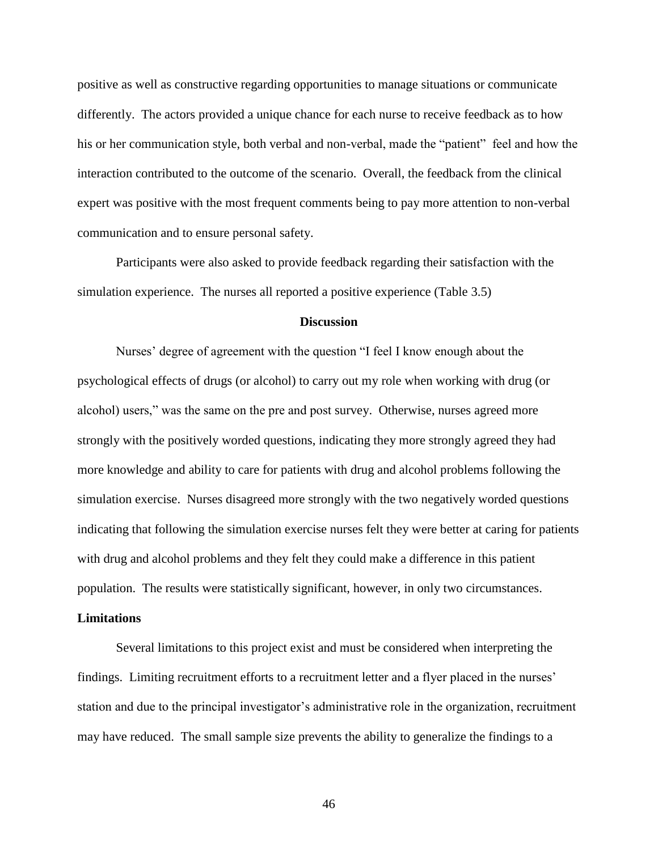positive as well as constructive regarding opportunities to manage situations or communicate differently. The actors provided a unique chance for each nurse to receive feedback as to how his or her communication style, both verbal and non-verbal, made the "patient" feel and how the interaction contributed to the outcome of the scenario. Overall, the feedback from the clinical expert was positive with the most frequent comments being to pay more attention to non-verbal communication and to ensure personal safety.

Participants were also asked to provide feedback regarding their satisfaction with the simulation experience. The nurses all reported a positive experience (Table 3.5)

#### **Discussion**

Nurses' degree of agreement with the question "I feel I know enough about the psychological effects of drugs (or alcohol) to carry out my role when working with drug (or alcohol) users," was the same on the pre and post survey. Otherwise, nurses agreed more strongly with the positively worded questions, indicating they more strongly agreed they had more knowledge and ability to care for patients with drug and alcohol problems following the simulation exercise. Nurses disagreed more strongly with the two negatively worded questions indicating that following the simulation exercise nurses felt they were better at caring for patients with drug and alcohol problems and they felt they could make a difference in this patient population. The results were statistically significant, however, in only two circumstances.

#### **Limitations**

Several limitations to this project exist and must be considered when interpreting the findings. Limiting recruitment efforts to a recruitment letter and a flyer placed in the nurses' station and due to the principal investigator's administrative role in the organization, recruitment may have reduced. The small sample size prevents the ability to generalize the findings to a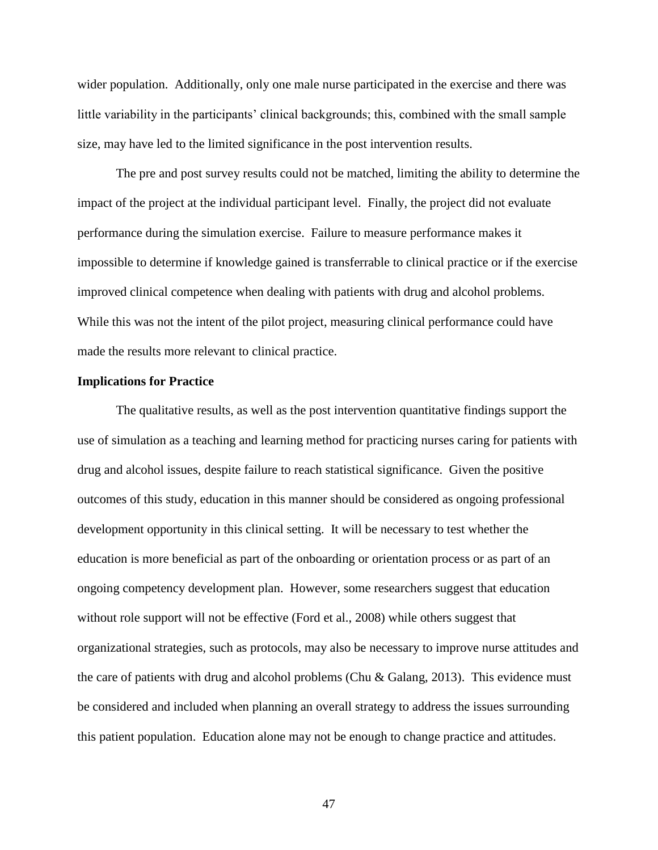wider population. Additionally, only one male nurse participated in the exercise and there was little variability in the participants' clinical backgrounds; this, combined with the small sample size, may have led to the limited significance in the post intervention results.

The pre and post survey results could not be matched, limiting the ability to determine the impact of the project at the individual participant level. Finally, the project did not evaluate performance during the simulation exercise. Failure to measure performance makes it impossible to determine if knowledge gained is transferrable to clinical practice or if the exercise improved clinical competence when dealing with patients with drug and alcohol problems. While this was not the intent of the pilot project, measuring clinical performance could have made the results more relevant to clinical practice.

#### **Implications for Practice**

The qualitative results, as well as the post intervention quantitative findings support the use of simulation as a teaching and learning method for practicing nurses caring for patients with drug and alcohol issues, despite failure to reach statistical significance. Given the positive outcomes of this study, education in this manner should be considered as ongoing professional development opportunity in this clinical setting. It will be necessary to test whether the education is more beneficial as part of the onboarding or orientation process or as part of an ongoing competency development plan. However, some researchers suggest that education without role support will not be effective (Ford et al., 2008) while others suggest that organizational strategies, such as protocols, may also be necessary to improve nurse attitudes and the care of patients with drug and alcohol problems (Chu & Galang, 2013). This evidence must be considered and included when planning an overall strategy to address the issues surrounding this patient population. Education alone may not be enough to change practice and attitudes.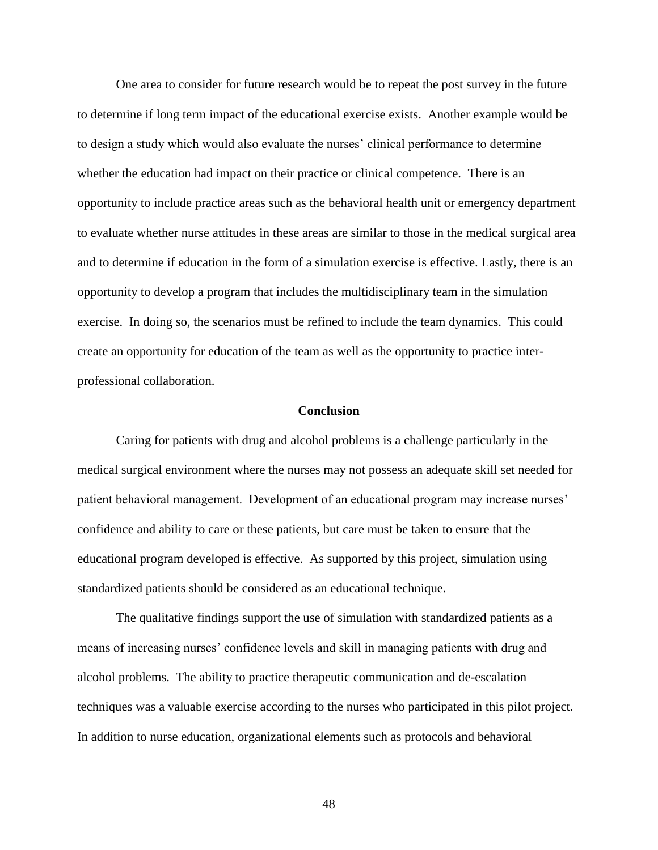One area to consider for future research would be to repeat the post survey in the future to determine if long term impact of the educational exercise exists. Another example would be to design a study which would also evaluate the nurses' clinical performance to determine whether the education had impact on their practice or clinical competence. There is an opportunity to include practice areas such as the behavioral health unit or emergency department to evaluate whether nurse attitudes in these areas are similar to those in the medical surgical area and to determine if education in the form of a simulation exercise is effective. Lastly, there is an opportunity to develop a program that includes the multidisciplinary team in the simulation exercise. In doing so, the scenarios must be refined to include the team dynamics. This could create an opportunity for education of the team as well as the opportunity to practice interprofessional collaboration.

#### **Conclusion**

Caring for patients with drug and alcohol problems is a challenge particularly in the medical surgical environment where the nurses may not possess an adequate skill set needed for patient behavioral management. Development of an educational program may increase nurses' confidence and ability to care or these patients, but care must be taken to ensure that the educational program developed is effective. As supported by this project, simulation using standardized patients should be considered as an educational technique.

The qualitative findings support the use of simulation with standardized patients as a means of increasing nurses' confidence levels and skill in managing patients with drug and alcohol problems. The ability to practice therapeutic communication and de-escalation techniques was a valuable exercise according to the nurses who participated in this pilot project. In addition to nurse education, organizational elements such as protocols and behavioral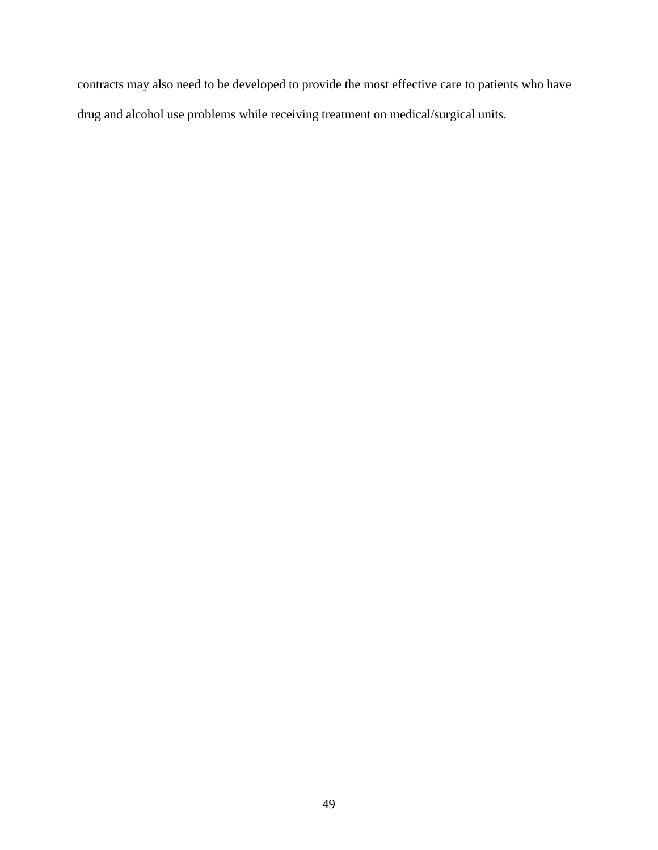contracts may also need to be developed to provide the most effective care to patients who have drug and alcohol use problems while receiving treatment on medical/surgical units.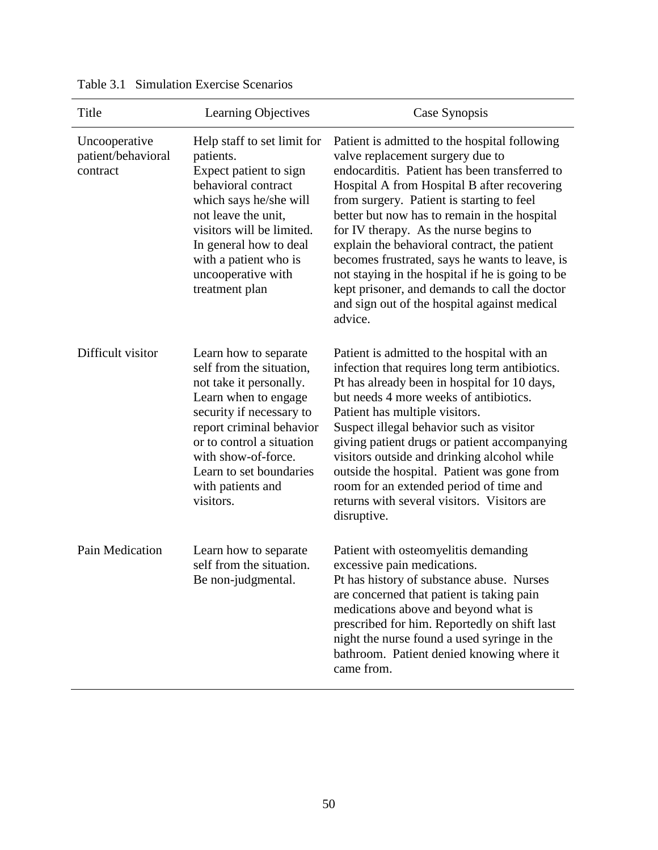| Title                                           | Learning Objectives                                                                                                                                                                                                                                                           | Case Synopsis                                                                                                                                                                                                                                                                                                                                                                                                                                                                                                                                                                              |
|-------------------------------------------------|-------------------------------------------------------------------------------------------------------------------------------------------------------------------------------------------------------------------------------------------------------------------------------|--------------------------------------------------------------------------------------------------------------------------------------------------------------------------------------------------------------------------------------------------------------------------------------------------------------------------------------------------------------------------------------------------------------------------------------------------------------------------------------------------------------------------------------------------------------------------------------------|
| Uncooperative<br>patient/behavioral<br>contract | Help staff to set limit for<br>patients.<br>Expect patient to sign<br>behavioral contract<br>which says he/she will<br>not leave the unit.<br>visitors will be limited.<br>In general how to deal<br>with a patient who is<br>uncooperative with<br>treatment plan            | Patient is admitted to the hospital following<br>valve replacement surgery due to<br>endocarditis. Patient has been transferred to<br>Hospital A from Hospital B after recovering<br>from surgery. Patient is starting to feel<br>better but now has to remain in the hospital<br>for IV therapy. As the nurse begins to<br>explain the behavioral contract, the patient<br>becomes frustrated, says he wants to leave, is<br>not staying in the hospital if he is going to be<br>kept prisoner, and demands to call the doctor<br>and sign out of the hospital against medical<br>advice. |
| Difficult visitor                               | Learn how to separate<br>self from the situation,<br>not take it personally.<br>Learn when to engage<br>security if necessary to<br>report criminal behavior<br>or to control a situation<br>with show-of-force.<br>Learn to set boundaries<br>with patients and<br>visitors. | Patient is admitted to the hospital with an<br>infection that requires long term antibiotics.<br>Pt has already been in hospital for 10 days,<br>but needs 4 more weeks of antibiotics.<br>Patient has multiple visitors.<br>Suspect illegal behavior such as visitor<br>giving patient drugs or patient accompanying<br>visitors outside and drinking alcohol while<br>outside the hospital. Patient was gone from<br>room for an extended period of time and<br>returns with several visitors. Visitors are<br>disruptive.                                                               |
| Pain Medication                                 | Learn how to separate<br>self from the situation.<br>Be non-judgmental.                                                                                                                                                                                                       | Patient with osteomyelitis demanding<br>excessive pain medications.<br>Pt has history of substance abuse. Nurses<br>are concerned that patient is taking pain<br>medications above and beyond what is<br>prescribed for him. Reportedly on shift last<br>night the nurse found a used syringe in the<br>bathroom. Patient denied knowing where it<br>came from.                                                                                                                                                                                                                            |

| Table 3.1 Simulation Exercise Scenarios |  |  |  |  |
|-----------------------------------------|--|--|--|--|
|-----------------------------------------|--|--|--|--|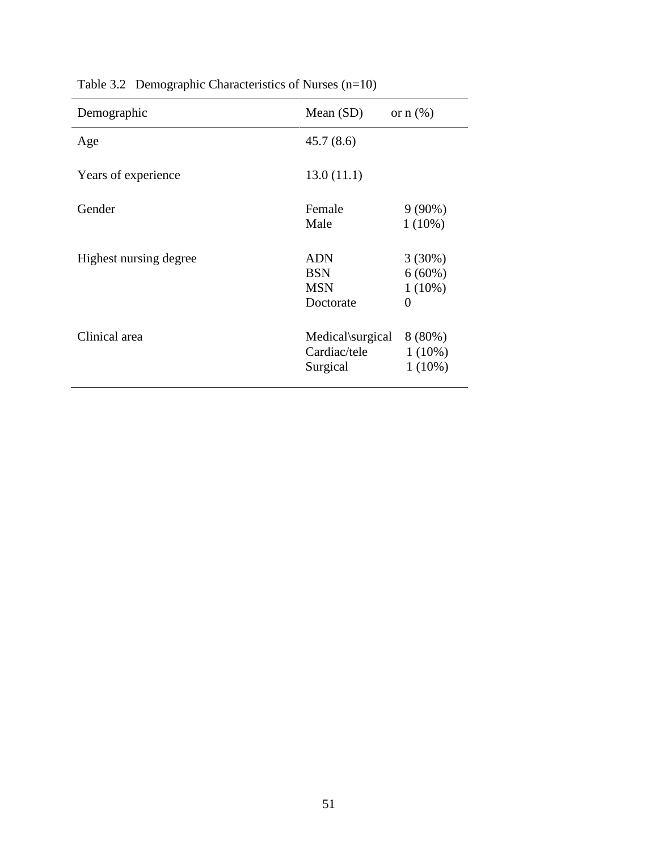| Demographic            | Mean $(SD)$             | or $n$ $(\%)$          |
|------------------------|-------------------------|------------------------|
| Age                    | 45.7(8.6)               |                        |
| Years of experience    | 13.0(11.1)              |                        |
| Gender                 | Female<br>Male          | $9(90\%)$<br>$1(10\%)$ |
|                        |                         |                        |
| Highest nursing degree | <b>ADN</b>              | $3(30\%)$              |
|                        | <b>BSN</b>              | $6(60\%)$              |
|                        | <b>MSN</b><br>Doctorate | $1(10\%)$<br>$\theta$  |
| Clinical area          | Medical\surgical        | $8(80\%)$              |
|                        | Cardiac/tele            | $1(10\%)$              |
|                        | Surgical                | $1(10\%)$              |

Table 3.2 Demographic Characteristics of Nurses (n=10)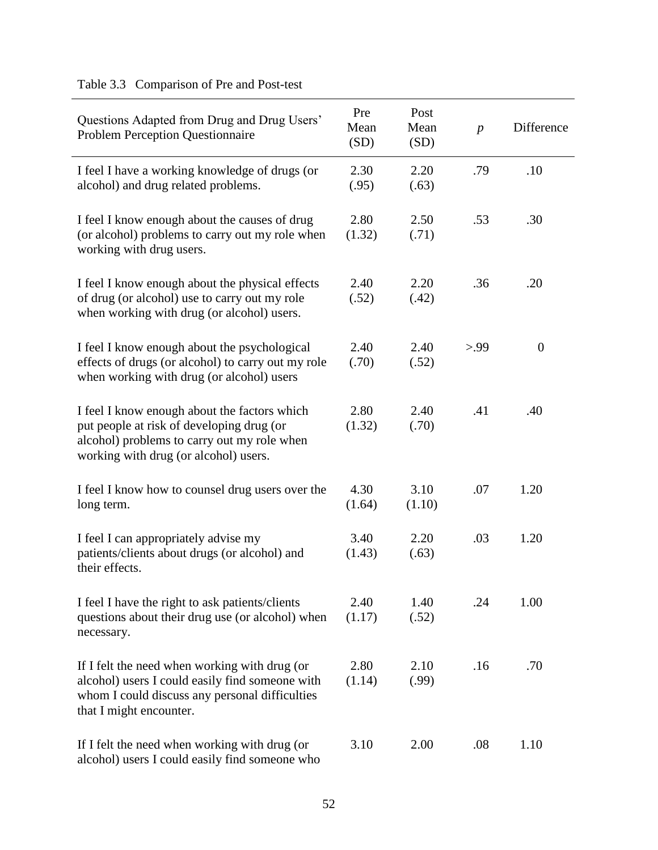| Questions Adapted from Drug and Drug Users'<br><b>Problem Perception Questionnaire</b>                                                                                            | Pre<br>Mean<br>(SD) | Post<br>Mean<br>(SD) | $\overline{p}$ | Difference     |
|-----------------------------------------------------------------------------------------------------------------------------------------------------------------------------------|---------------------|----------------------|----------------|----------------|
| I feel I have a working knowledge of drugs (or<br>alcohol) and drug related problems.                                                                                             | 2.30<br>(.95)       | 2.20<br>(.63)        | .79            | .10            |
| I feel I know enough about the causes of drug<br>(or alcohol) problems to carry out my role when<br>working with drug users.                                                      | 2.80<br>(1.32)      | 2.50<br>(.71)        | .53            | .30            |
| I feel I know enough about the physical effects<br>of drug (or alcohol) use to carry out my role<br>when working with drug (or alcohol) users.                                    | 2.40<br>(.52)       | 2.20<br>(.42)        | .36            | .20            |
| I feel I know enough about the psychological<br>effects of drugs (or alcohol) to carry out my role<br>when working with drug (or alcohol) users                                   | 2.40<br>(.70)       | 2.40<br>(.52)        | > 99           | $\overline{0}$ |
| I feel I know enough about the factors which<br>put people at risk of developing drug (or<br>alcohol) problems to carry out my role when<br>working with drug (or alcohol) users. | 2.80<br>(1.32)      | 2.40<br>(.70)        | .41            | .40            |
| I feel I know how to counsel drug users over the<br>long term.                                                                                                                    | 4.30<br>(1.64)      | 3.10<br>(1.10)       | .07            | 1.20           |
| I feel I can appropriately advise my<br>patients/clients about drugs (or alcohol) and<br>their effects.                                                                           | 3.40<br>(1.43)      | 2.20<br>(.63)        | .03            | 1.20           |
| I feel I have the right to ask patients/clients<br>questions about their drug use (or alcohol) when<br>necessary.                                                                 | 2.40<br>(1.17)      | 1.40<br>(.52)        | .24            | 1.00           |
| If I felt the need when working with drug (or<br>alcohol) users I could easily find someone with<br>whom I could discuss any personal difficulties<br>that I might encounter.     | 2.80<br>(1.14)      | 2.10<br>(.99)        | .16            | .70            |
| If I felt the need when working with drug (or<br>alcohol) users I could easily find someone who                                                                                   | 3.10                | 2.00                 | .08            | 1.10           |

# Table 3.3 Comparison of Pre and Post-test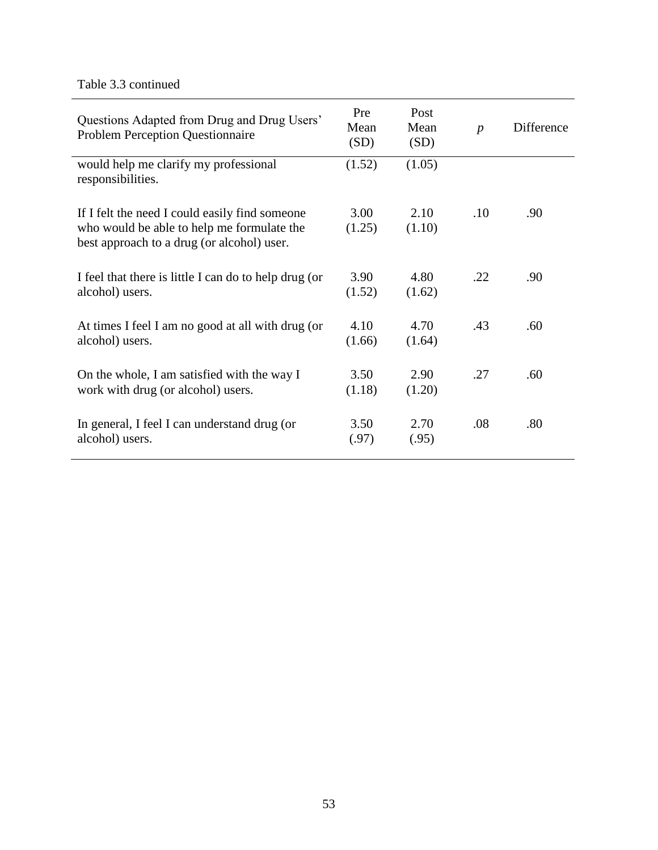Table 3.3 continued

| Questions Adapted from Drug and Drug Users'<br><b>Problem Perception Questionnaire</b>                                                     | Pre<br>Mean<br>(SD) | Post<br>Mean<br>(SD) | $\boldsymbol{p}$ | Difference |
|--------------------------------------------------------------------------------------------------------------------------------------------|---------------------|----------------------|------------------|------------|
| would help me clarify my professional<br>responsibilities.                                                                                 | (1.52)              | (1.05)               |                  |            |
| If I felt the need I could easily find someone<br>who would be able to help me formulate the<br>best approach to a drug (or alcohol) user. | 3.00<br>(1.25)      | 2.10<br>(1.10)       | .10              | .90        |
| I feel that there is little I can do to help drug (or<br>alcohol) users.                                                                   | 3.90<br>(1.52)      | 4.80<br>(1.62)       | .22              | .90        |
| At times I feel I am no good at all with drug (or<br>alcohol) users.                                                                       | 4.10<br>(1.66)      | 4.70<br>(1.64)       | .43              | .60        |
| On the whole, I am satisfied with the way I<br>work with drug (or alcohol) users.                                                          | 3.50<br>(1.18)      | 2.90<br>(1.20)       | .27              | .60        |
| In general, I feel I can understand drug (or<br>alcohol) users.                                                                            | 3.50<br>(.97)       | 2.70<br>(.95)        | .08              | .80        |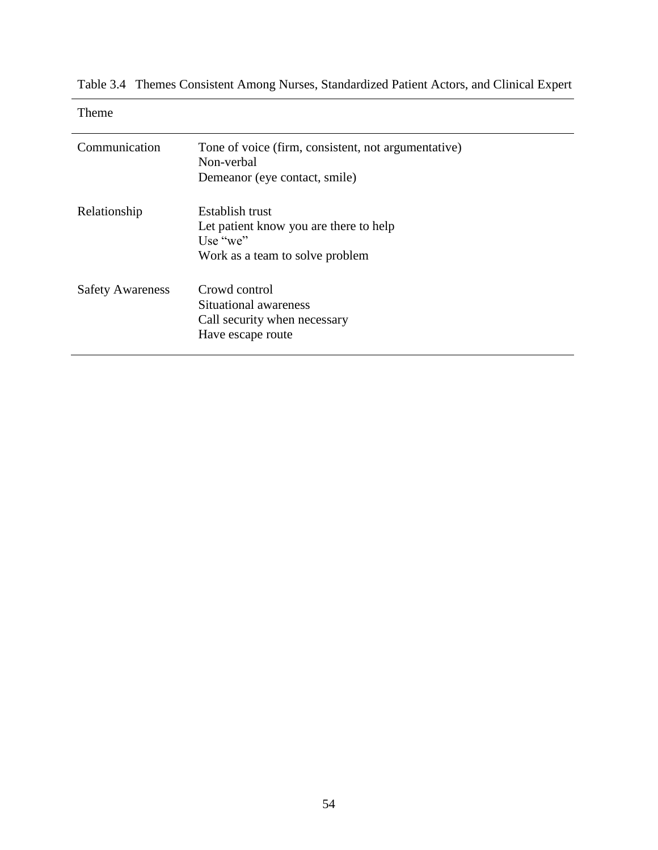| <b>Theme</b>            |                                                                                                          |
|-------------------------|----------------------------------------------------------------------------------------------------------|
| Communication           | Tone of voice (firm, consistent, not argumentative)<br>Non-verbal<br>Demeanor (eye contact, smile)       |
| Relationship            | Establish trust<br>Let patient know you are there to help<br>Use "we"<br>Work as a team to solve problem |
| <b>Safety Awareness</b> | Crowd control<br>Situational awareness<br>Call security when necessary<br>Have escape route              |

Table 3.4 Themes Consistent Among Nurses, Standardized Patient Actors, and Clinical Expert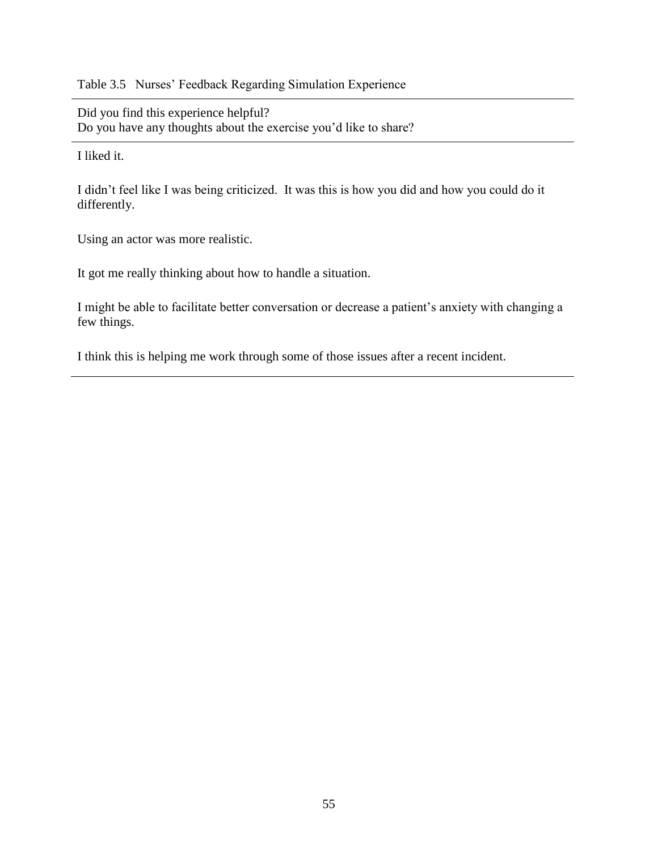Table 3.5 Nurses' Feedback Regarding Simulation Experience

Did you find this experience helpful? Do you have any thoughts about the exercise you'd like to share?

I liked it.

I didn't feel like I was being criticized. It was this is how you did and how you could do it differently.

Using an actor was more realistic.

It got me really thinking about how to handle a situation.

I might be able to facilitate better conversation or decrease a patient's anxiety with changing a few things.

I think this is helping me work through some of those issues after a recent incident.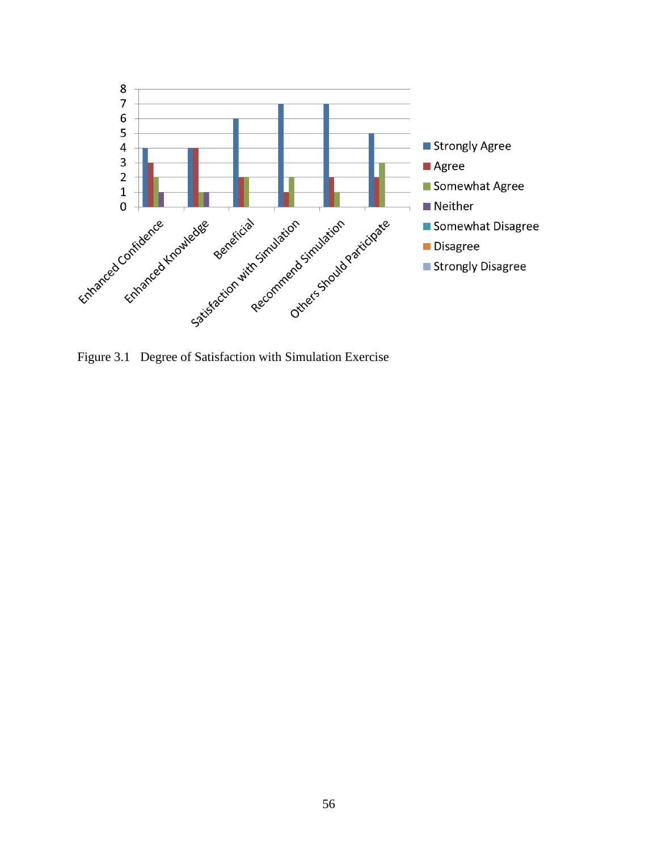

Figure 3.1 Degree of Satisfaction with Simulation Exercise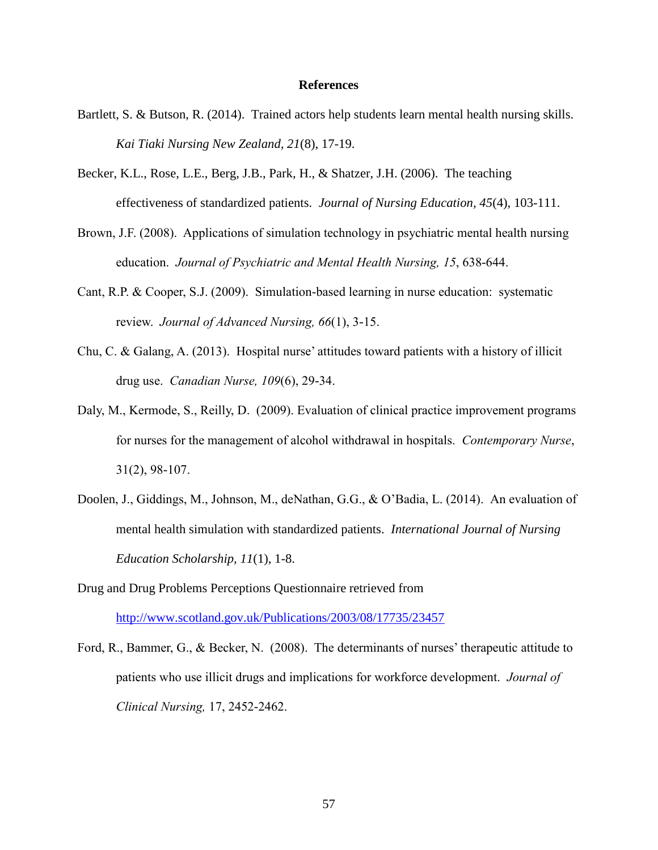#### **References**

- Bartlett, S. & Butson, R. (2014). Trained actors help students learn mental health nursing skills. *Kai Tiaki Nursing New Zealand, 21*(8), 17-19.
- Becker, K.L., Rose, L.E., Berg, J.B., Park, H., & Shatzer, J.H. (2006). The teaching effectiveness of standardized patients. *Journal of Nursing Education, 45*(4), 103-111.
- Brown, J.F. (2008). Applications of simulation technology in psychiatric mental health nursing education. *Journal of Psychiatric and Mental Health Nursing, 15*, 638-644.
- Cant, R.P. & Cooper, S.J. (2009). Simulation-based learning in nurse education: systematic review. *Journal of Advanced Nursing, 66*(1), 3-15.
- Chu, C. & Galang, A. (2013). Hospital nurse' attitudes toward patients with a history of illicit drug use. *Canadian Nurse, 109*(6), 29-34.
- Daly, M., Kermode, S., Reilly, D. (2009). Evaluation of clinical practice improvement programs for nurses for the management of alcohol withdrawal in hospitals. *Contemporary Nurse*, 31(2), 98-107.
- Doolen, J., Giddings, M., Johnson, M., deNathan, G.G., & O'Badia, L. (2014). An evaluation of mental health simulation with standardized patients. *International Journal of Nursing Education Scholarship, 11*(1), 1-8.
- Drug and Drug Problems Perceptions Questionnaire retrieved from <http://www.scotland.gov.uk/Publications/2003/08/17735/23457>
- Ford, R., Bammer, G., & Becker, N. (2008). The determinants of nurses' therapeutic attitude to patients who use illicit drugs and implications for workforce development. *Journal of Clinical Nursing,* 17, 2452-2462.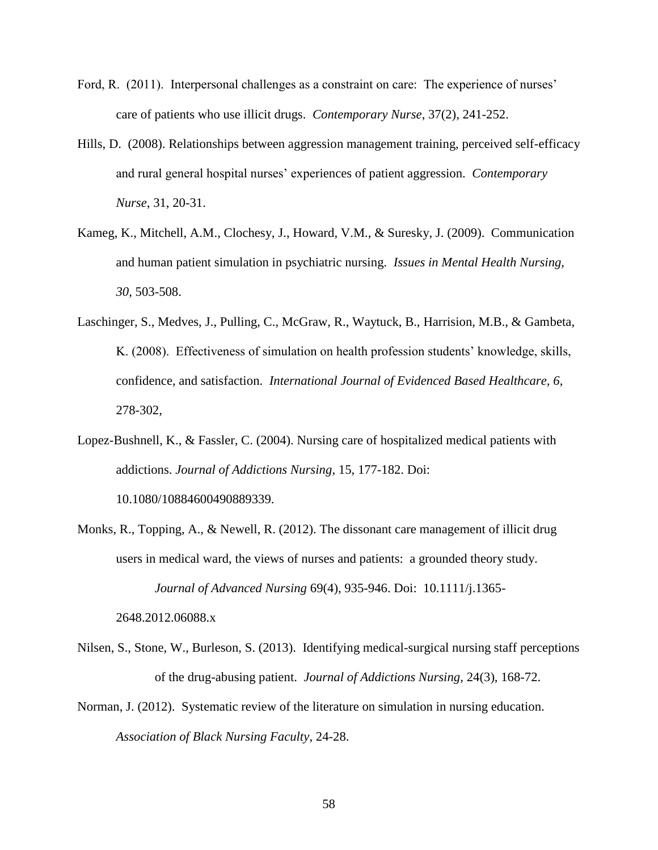- Ford, R. (2011). Interpersonal challenges as a constraint on care: The experience of nurses' care of patients who use illicit drugs. *Contemporary Nurse*, 37(2), 241-252.
- Hills, D. (2008). Relationships between aggression management training, perceived self-efficacy and rural general hospital nurses' experiences of patient aggression. *Contemporary Nurse*, 31, 20-31.
- Kameg, K., Mitchell, A.M., Clochesy, J., Howard, V.M., & Suresky, J. (2009). Communication and human patient simulation in psychiatric nursing. *Issues in Mental Health Nursing, 30*, 503-508.
- Laschinger, S., Medves, J., Pulling, C., McGraw, R., Waytuck, B., Harrision, M.B., & Gambeta, K. (2008). Effectiveness of simulation on health profession students' knowledge, skills, confidence, and satisfaction. *International Journal of Evidenced Based Healthcare, 6*, 278-302,
- Lopez-Bushnell, K., & Fassler, C. (2004). Nursing care of hospitalized medical patients with addictions. *Journal of Addictions Nursing*, 15, 177-182. Doi: 10.1080/10884600490889339.
- Monks, R., Topping, A., & Newell, R. (2012). The dissonant care management of illicit drug users in medical ward, the views of nurses and patients: a grounded theory study. *Journal of Advanced Nursing* 69(4), 935-946. Doi: 10.1111/j.1365-

2648.2012.06088.x

- Nilsen, S., Stone, W., Burleson, S. (2013). Identifying medical-surgical nursing staff perceptions of the drug-abusing patient. *Journal of Addictions Nursing,* 24(3), 168-72.
- Norman, J. (2012). Systematic review of the literature on simulation in nursing education. *Association of Black Nursing Faculty*, 24-28.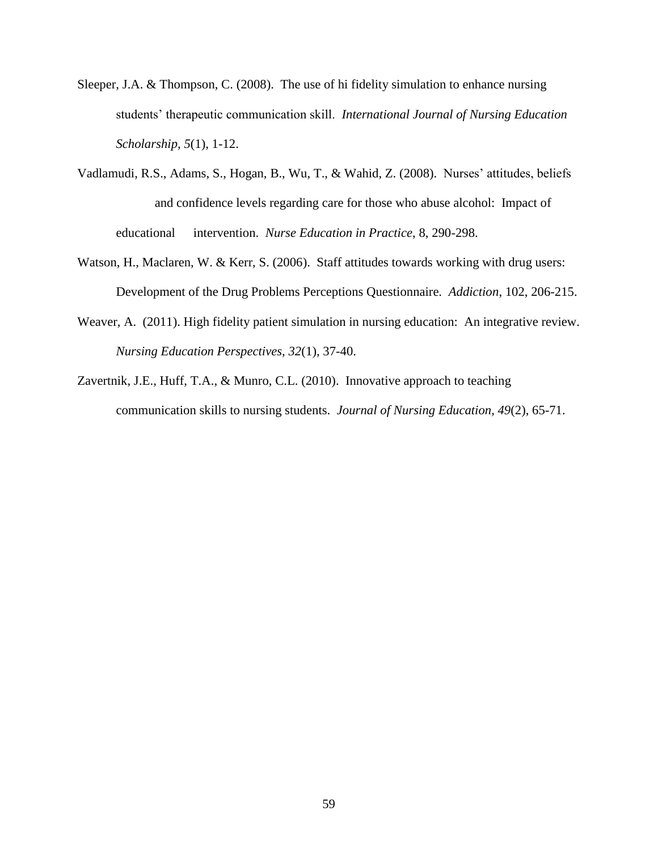- Sleeper, J.A. & Thompson, C. (2008). The use of hi fidelity simulation to enhance nursing students' therapeutic communication skill. *International Journal of Nursing Education Scholarship, 5*(1), 1-12.
- Vadlamudi, R.S., Adams, S., Hogan, B., Wu, T., & Wahid, Z. (2008). Nurses' attitudes, beliefs and confidence levels regarding care for those who abuse alcohol: Impact of educational intervention. *Nurse Education in Practice*, 8, 290-298.
- Watson, H., Maclaren, W. & Kerr, S. (2006). Staff attitudes towards working with drug users: Development of the Drug Problems Perceptions Questionnaire. *Addiction*, 102, 206-215.
- Weaver, A. (2011). High fidelity patient simulation in nursing education: An integrative review. *Nursing Education Perspectives, 32*(1), 37-40.
- Zavertnik, J.E., Huff, T.A., & Munro, C.L. (2010). Innovative approach to teaching communication skills to nursing students. *Journal of Nursing Education, 49*(2), 65-71.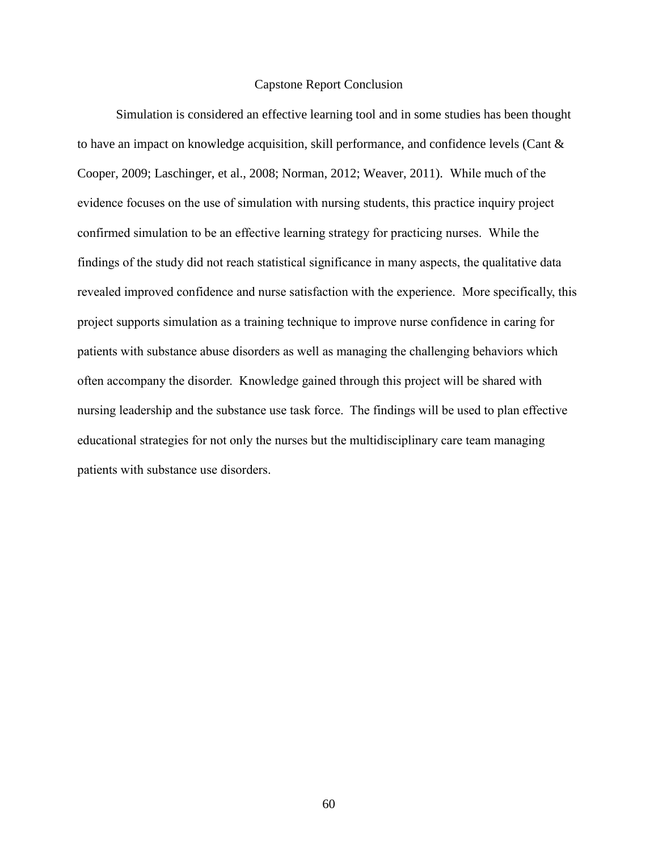#### Capstone Report Conclusion

Simulation is considered an effective learning tool and in some studies has been thought to have an impact on knowledge acquisition, skill performance, and confidence levels (Cant & Cooper, 2009; Laschinger, et al., 2008; Norman, 2012; Weaver, 2011). While much of the evidence focuses on the use of simulation with nursing students, this practice inquiry project confirmed simulation to be an effective learning strategy for practicing nurses. While the findings of the study did not reach statistical significance in many aspects, the qualitative data revealed improved confidence and nurse satisfaction with the experience. More specifically, this project supports simulation as a training technique to improve nurse confidence in caring for patients with substance abuse disorders as well as managing the challenging behaviors which often accompany the disorder. Knowledge gained through this project will be shared with nursing leadership and the substance use task force. The findings will be used to plan effective educational strategies for not only the nurses but the multidisciplinary care team managing patients with substance use disorders.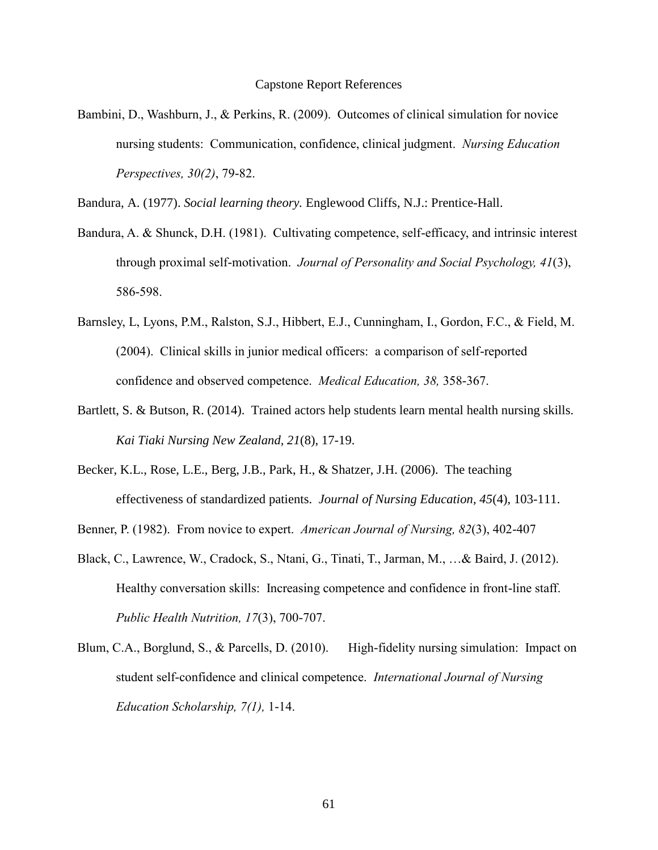Bambini, D., Washburn, J., & Perkins, R. (2009). Outcomes of clinical simulation for novice nursing students: Communication, confidence, clinical judgment. *Nursing Education Perspectives, 30(2)*, 79-82.

Bandura, A. (1977). *Social learning theory.* Englewood Cliffs, N.J.: Prentice-Hall.

- Bandura, A. & Shunck, D.H. (1981). Cultivating competence, self-efficacy, and intrinsic interest through proximal self-motivation. *Journal of Personality and Social Psychology, 41*(3), 586-598.
- Barnsley, L, Lyons, P.M., Ralston, S.J., Hibbert, E.J., Cunningham, I., Gordon, F.C., & Field, M. (2004). Clinical skills in junior medical officers: a comparison of self-reported confidence and observed competence. *Medical Education, 38,* 358-367.
- Bartlett, S. & Butson, R. (2014). Trained actors help students learn mental health nursing skills. *Kai Tiaki Nursing New Zealand, 21*(8), 17-19.
- Becker, K.L., Rose, L.E., Berg, J.B., Park, H., & Shatzer, J.H. (2006). The teaching effectiveness of standardized patients. *Journal of Nursing Education, 45*(4), 103-111.
- Benner, P. (1982). From novice to expert. *American Journal of Nursing, 82*(3), 402-407
- Black, C., Lawrence, W., Cradock, S., Ntani, G., Tinati, T., Jarman, M., …& Baird, J. (2012). Healthy conversation skills: Increasing competence and confidence in front-line staff. *Public Health Nutrition, 17*(3), 700-707.
- Blum, C.A., Borglund, S., & Parcells, D. (2010). High-fidelity nursing simulation: Impact on student self-confidence and clinical competence. *International Journal of Nursing Education Scholarship, 7(1),* 1-14.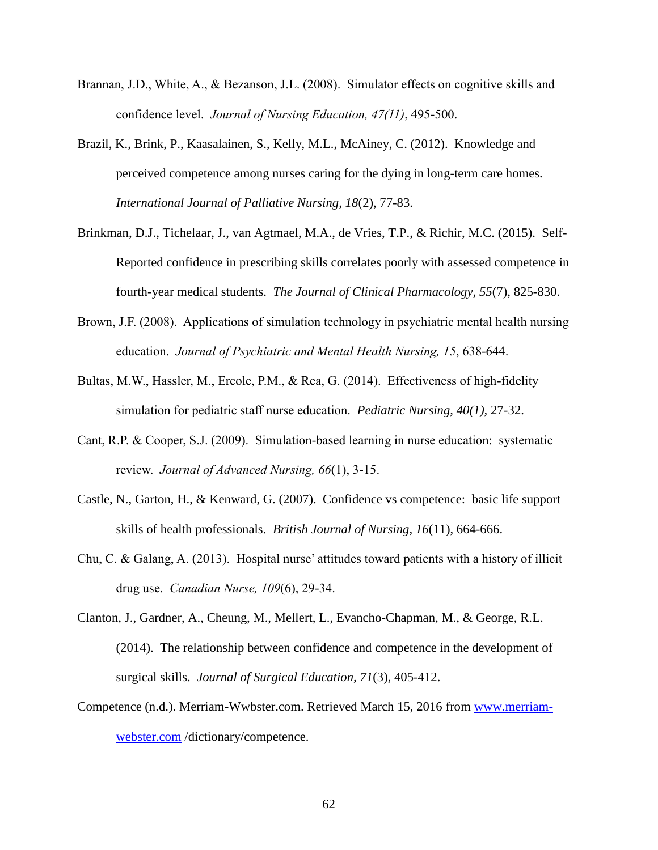- Brannan, J.D., White, A., & Bezanson, J.L. (2008). Simulator effects on cognitive skills and confidence level. *Journal of Nursing Education, 47(11)*, 495-500.
- Brazil, K., Brink, P., Kaasalainen, S., Kelly, M.L., McAiney, C. (2012). Knowledge and perceived competence among nurses caring for the dying in long-term care homes. *International Journal of Palliative Nursing, 18*(2), 77-83.
- Brinkman, D.J., Tichelaar, J., van Agtmael, M.A., de Vries, T.P., & Richir, M.C. (2015). Self-Reported confidence in prescribing skills correlates poorly with assessed competence in fourth-year medical students. *The Journal of Clinical Pharmacology, 55*(7), 825-830.
- Brown, J.F. (2008). Applications of simulation technology in psychiatric mental health nursing education. *Journal of Psychiatric and Mental Health Nursing, 15*, 638-644.
- Bultas, M.W., Hassler, M., Ercole, P.M., & Rea, G. (2014). Effectiveness of high-fidelity simulation for pediatric staff nurse education. *Pediatric Nursing, 40(1),* 27-32.
- Cant, R.P. & Cooper, S.J. (2009). Simulation-based learning in nurse education: systematic review. *Journal of Advanced Nursing, 66*(1), 3-15.
- Castle, N., Garton, H., & Kenward, G. (2007). Confidence vs competence: basic life support skills of health professionals. *British Journal of Nursing, 16*(11), 664-666.
- Chu, C. & Galang, A. (2013). Hospital nurse' attitudes toward patients with a history of illicit drug use. *Canadian Nurse, 109*(6), 29-34.
- Clanton, J., Gardner, A., Cheung, M., Mellert, L., Evancho-Chapman, M., & George, R.L. (2014). The relationship between confidence and competence in the development of surgical skills. *Journal of Surgical Education, 71*(3), 405-412.
- Competence (n.d.). Merriam-Wwbster.com. Retrieved March 15, 2016 from [www.merriam](http://www.merriam-webster.com/)[webster.com](http://www.merriam-webster.com/) /dictionary/competence.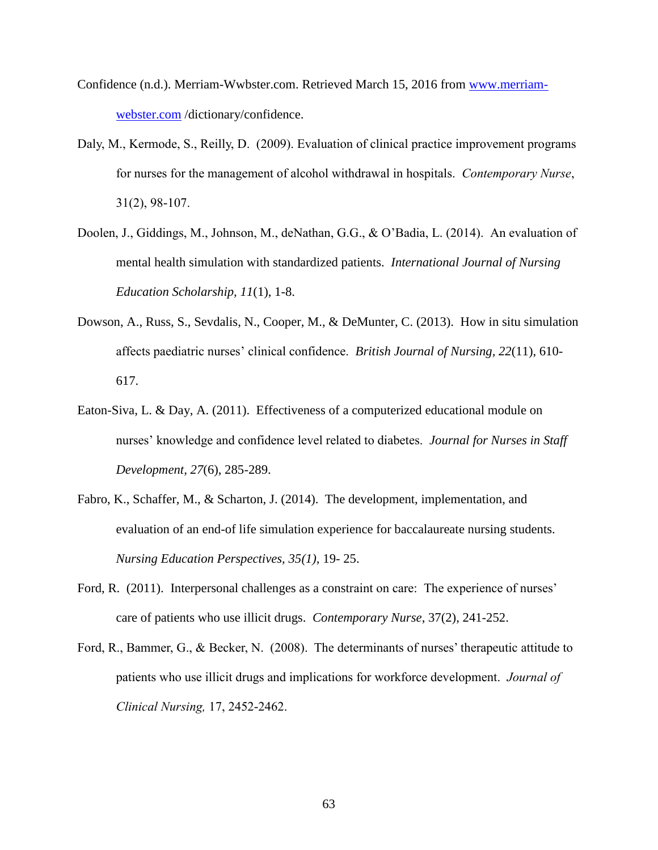- Confidence (n.d.). Merriam-Wwbster.com. Retrieved March 15, 2016 from [www.merriam](http://www.merriam-webster.com/)[webster.com](http://www.merriam-webster.com/) /dictionary/confidence.
- Daly, M., Kermode, S., Reilly, D. (2009). Evaluation of clinical practice improvement programs for nurses for the management of alcohol withdrawal in hospitals. *Contemporary Nurse*, 31(2), 98-107.
- Doolen, J., Giddings, M., Johnson, M., deNathan, G.G., & O'Badia, L. (2014). An evaluation of mental health simulation with standardized patients. *International Journal of Nursing Education Scholarship, 11*(1), 1-8.
- Dowson, A., Russ, S., Sevdalis, N., Cooper, M., & DeMunter, C. (2013). How in situ simulation affects paediatric nurses' clinical confidence. *British Journal of Nursing, 22*(11), 610- 617.
- Eaton-Siva, L. & Day, A. (2011). Effectiveness of a computerized educational module on nurses' knowledge and confidence level related to diabetes. *Journal for Nurses in Staff Development, 27*(6), 285-289.
- Fabro, K., Schaffer, M., & Scharton, J. (2014). The development, implementation, and evaluation of an end-of life simulation experience for baccalaureate nursing students. *Nursing Education Perspectives, 35(1),* 19- 25.
- Ford, R. (2011). Interpersonal challenges as a constraint on care: The experience of nurses' care of patients who use illicit drugs. *Contemporary Nurse*, 37(2), 241-252.
- Ford, R., Bammer, G., & Becker, N. (2008). The determinants of nurses' therapeutic attitude to patients who use illicit drugs and implications for workforce development. *Journal of Clinical Nursing,* 17, 2452-2462.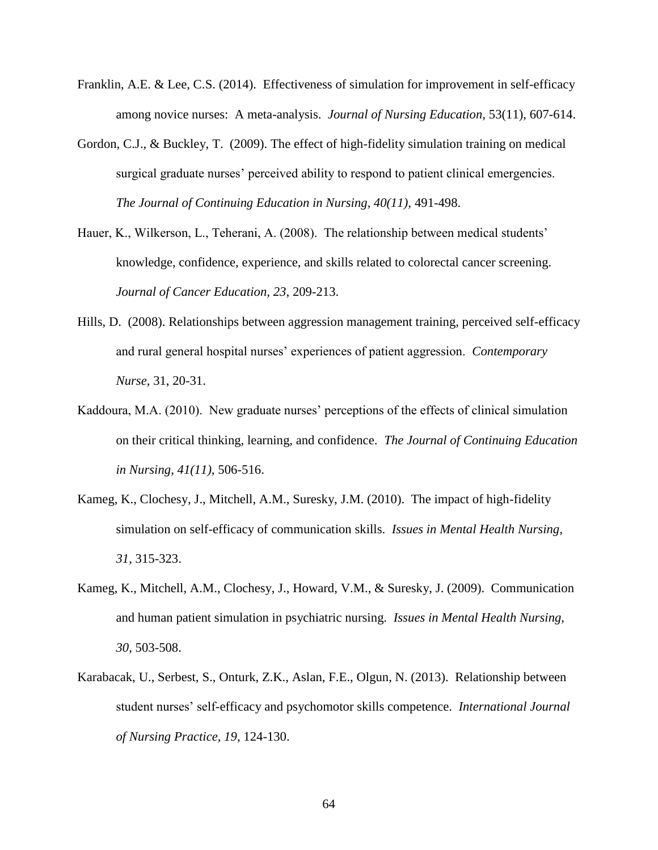- Franklin, A.E. & Lee, C.S. (2014). Effectiveness of simulation for improvement in self-efficacy among novice nurses: A meta-analysis. *Journal of Nursing Education,* 53(11), 607-614.
- Gordon, C.J., & Buckley, T. (2009). The effect of high-fidelity simulation training on medical surgical graduate nurses' perceived ability to respond to patient clinical emergencies. *The Journal of Continuing Education in Nursing, 40(11),* 491-498.
- Hauer, K., Wilkerson, L., Teherani, A. (2008). The relationship between medical students' knowledge, confidence, experience, and skills related to colorectal cancer screening. *Journal of Cancer Education, 23*, 209-213.
- Hills, D. (2008). Relationships between aggression management training, perceived self-efficacy and rural general hospital nurses' experiences of patient aggression. *Contemporary Nurse*, 31, 20-31.
- Kaddoura, M.A. (2010). New graduate nurses' perceptions of the effects of clinical simulation on their critical thinking, learning, and confidence. *The Journal of Continuing Education in Nursing, 41(11),* 506-516.
- Kameg, K., Clochesy, J., Mitchell, A.M., Suresky, J.M. (2010). The impact of high-fidelity simulation on self-efficacy of communication skills. *Issues in Mental Health Nursing, 31*, 315-323.
- Kameg, K., Mitchell, A.M., Clochesy, J., Howard, V.M., & Suresky, J. (2009). Communication and human patient simulation in psychiatric nursing. *Issues in Mental Health Nursing, 30*, 503-508.
- Karabacak, U., Serbest, S., Onturk, Z.K., Aslan, F.E., Olgun, N. (2013). Relationship between student nurses' self-efficacy and psychomotor skills competence. *International Journal of Nursing Practice, 19*, 124-130.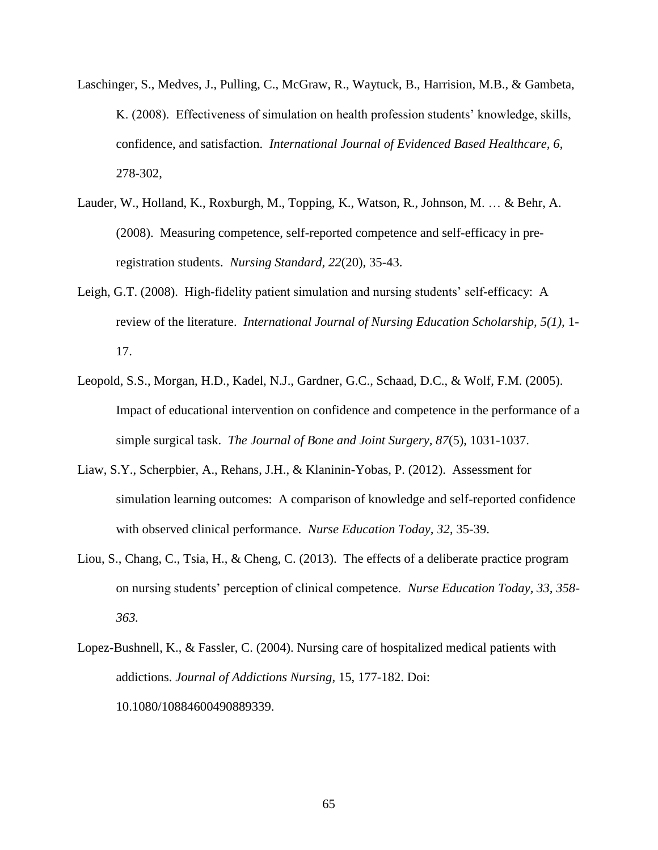- Laschinger, S., Medves, J., Pulling, C., McGraw, R., Waytuck, B., Harrision, M.B., & Gambeta, K. (2008). Effectiveness of simulation on health profession students' knowledge, skills, confidence, and satisfaction. *International Journal of Evidenced Based Healthcare, 6*, 278-302,
- Lauder, W., Holland, K., Roxburgh, M., Topping, K., Watson, R., Johnson, M. … & Behr, A. (2008). Measuring competence, self-reported competence and self-efficacy in preregistration students. *Nursing Standard, 22*(20), 35-43.
- Leigh, G.T. (2008). High-fidelity patient simulation and nursing students' self-efficacy: A review of the literature. *International Journal of Nursing Education Scholarship, 5(1),* 1- 17.
- Leopold, S.S., Morgan, H.D., Kadel, N.J., Gardner, G.C., Schaad, D.C., & Wolf, F.M. (2005). Impact of educational intervention on confidence and competence in the performance of a simple surgical task. *The Journal of Bone and Joint Surgery, 87*(5), 1031-1037.
- Liaw, S.Y., Scherpbier, A., Rehans, J.H., & Klaninin-Yobas, P. (2012). Assessment for simulation learning outcomes: A comparison of knowledge and self-reported confidence with observed clinical performance. *Nurse Education Today, 32*, 35-39.
- Liou, S., Chang, C., Tsia, H., & Cheng, C. (2013). The effects of a deliberate practice program on nursing students' perception of clinical competence. *Nurse Education Today, 33, 358- 363.*
- Lopez-Bushnell, K., & Fassler, C. (2004). Nursing care of hospitalized medical patients with addictions. *Journal of Addictions Nursing*, 15, 177-182. Doi: 10.1080/10884600490889339.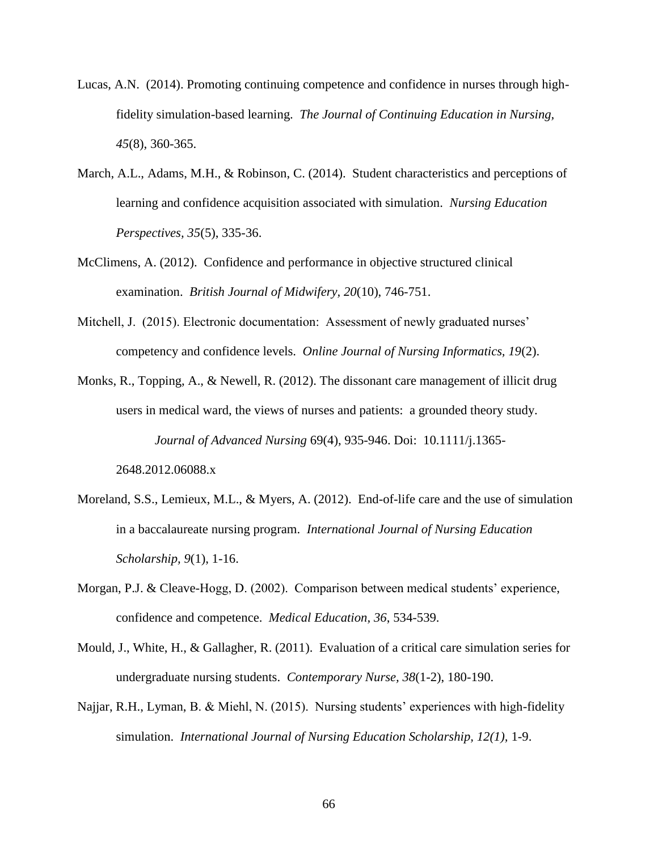- Lucas, A.N. (2014). Promoting continuing competence and confidence in nurses through highfidelity simulation-based learning. *The Journal of Continuing Education in Nursing, 45*(8), 360-365.
- March, A.L., Adams, M.H., & Robinson, C. (2014). Student characteristics and perceptions of learning and confidence acquisition associated with simulation. *Nursing Education Perspectives, 35*(5), 335-36.
- McClimens, A. (2012). Confidence and performance in objective structured clinical examination. *British Journal of Midwifery, 20*(10), 746-751.
- Mitchell, J. (2015). Electronic documentation: Assessment of newly graduated nurses' competency and confidence levels. *Online Journal of Nursing Informatics, 19*(2).
- Monks, R., Topping, A., & Newell, R. (2012). The dissonant care management of illicit drug users in medical ward, the views of nurses and patients: a grounded theory study. *Journal of Advanced Nursing* 69(4), 935-946. Doi: 10.1111/j.1365-

2648.2012.06088.x

- Moreland, S.S., Lemieux, M.L., & Myers, A. (2012). End-of-life care and the use of simulation in a baccalaureate nursing program. *International Journal of Nursing Education Scholarship, 9*(1), 1-16.
- Morgan, P.J. & Cleave-Hogg, D. (2002). Comparison between medical students' experience, confidence and competence. *Medical Education, 36*, 534-539.
- Mould, J., White, H., & Gallagher, R. (2011). Evaluation of a critical care simulation series for undergraduate nursing students. *Contemporary Nurse, 38*(1-2), 180-190.
- Najjar, R.H., Lyman, B. & Miehl, N. (2015). Nursing students' experiences with high-fidelity simulation. *International Journal of Nursing Education Scholarship, 12(1),* 1-9.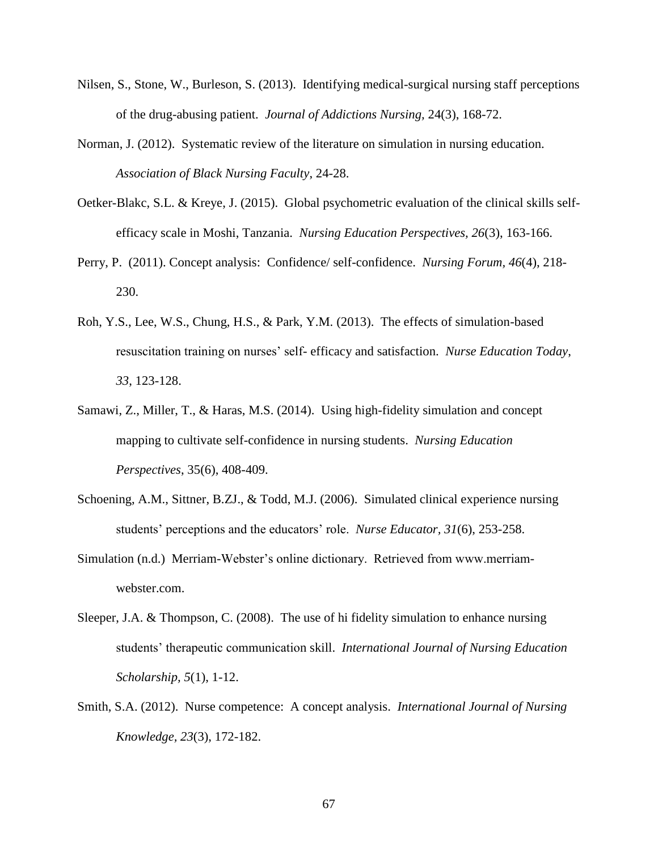- Nilsen, S., Stone, W., Burleson, S. (2013). Identifying medical-surgical nursing staff perceptions of the drug-abusing patient. *Journal of Addictions Nursing,* 24(3), 168-72.
- Norman, J. (2012). Systematic review of the literature on simulation in nursing education. *Association of Black Nursing Faculty*, 24-28.
- Oetker-Blakc, S.L. & Kreye, J. (2015). Global psychometric evaluation of the clinical skills selfefficacy scale in Moshi, Tanzania. *Nursing Education Perspectives, 26*(3), 163-166.
- Perry, P. (2011). Concept analysis: Confidence/ self-confidence. *Nursing Forum, 46*(4), 218- 230.
- Roh, Y.S., Lee, W.S., Chung, H.S., & Park, Y.M. (2013). The effects of simulation-based resuscitation training on nurses' self- efficacy and satisfaction. *Nurse Education Today*, *33*, 123-128.
- Samawi, Z., Miller, T., & Haras, M.S. (2014). Using high-fidelity simulation and concept mapping to cultivate self-confidence in nursing students. *Nursing Education Perspectives*, 35(6), 408-409.
- Schoening, A.M., Sittner, B.ZJ., & Todd, M.J. (2006). Simulated clinical experience nursing students' perceptions and the educators' role. *Nurse Educator, 31*(6), 253-258.
- Simulation (n.d.) Merriam-Webster's online dictionary. Retrieved from www.merriamwebster.com.
- Sleeper, J.A. & Thompson, C. (2008). The use of hi fidelity simulation to enhance nursing students' therapeutic communication skill. *International Journal of Nursing Education Scholarship, 5*(1), 1-12.
- Smith, S.A. (2012). Nurse competence: A concept analysis. *International Journal of Nursing Knowledge, 23*(3), 172-182.